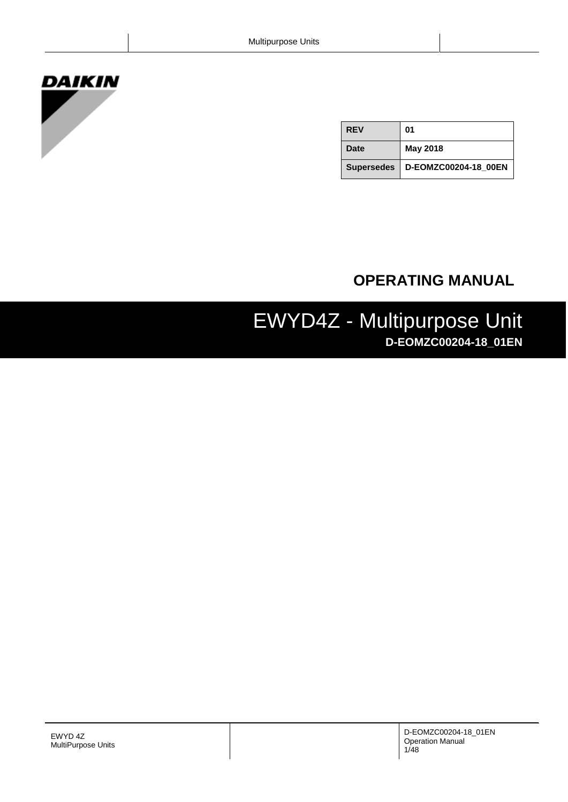# **DAIKIN**

| <b>REV</b>  | 01                                |
|-------------|-----------------------------------|
| <b>Date</b> | <b>May 2018</b>                   |
|             | Supersedes   D-EOMZC00204-18_00EN |

## **OPERATING MANUAL**

## EWYD4Z - Multipurpose Unit **D-EOMZC00204-18\_01EN**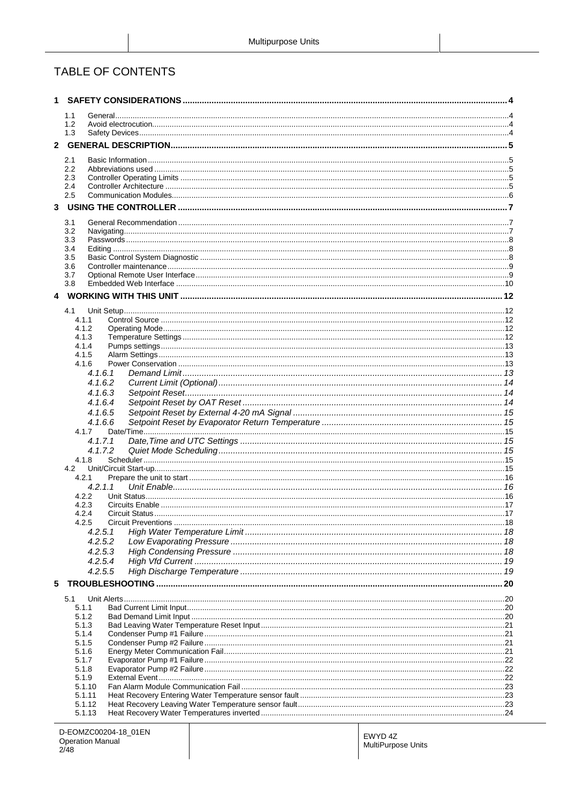## TABLE OF CONTENTS

|   | 1.1                |  |
|---|--------------------|--|
|   | 1.2                |  |
|   | 1.3                |  |
| 2 |                    |  |
|   | 2.1                |  |
|   | 2.2                |  |
|   | 2.3<br>2.4         |  |
|   | 2.5                |  |
| 3 |                    |  |
|   | 3.1                |  |
|   | 3.2                |  |
|   | 3.3                |  |
|   | 3.4<br>3.5         |  |
|   | 3.6                |  |
|   | 3.7                |  |
|   | 3.8                |  |
| 4 |                    |  |
|   | 4.1                |  |
|   | 4.1.1              |  |
|   | 4.1.2<br>4.1.3     |  |
|   | 4.1.4              |  |
|   | 4.1.5              |  |
|   | 4.1.6              |  |
|   | 4.1.6.1<br>4.1.6.2 |  |
|   | 4.1.6.3            |  |
|   | 4.1.6.4            |  |
|   | 4.1.6.5            |  |
|   | 4.1.6.6            |  |
|   | 4.1.7<br>4.1.7.1   |  |
|   | 4.1.7.2            |  |
|   | 4.1.8              |  |
|   | 4.2                |  |
|   | 4.2.1<br>4.2.1.1   |  |
|   | 4.2.2              |  |
|   | 4.2.3              |  |
|   | 4.2.4              |  |
|   | 4.2.5<br>4.2.5.1   |  |
|   | 4.2.5.2            |  |
|   | 4.2.5.3            |  |
|   | 4.2.5.4            |  |
|   | 4.2.5.5            |  |
| 5 |                    |  |
|   | 5.1                |  |
|   | 5.1.1              |  |
|   | 5.1.2<br>5.1.3     |  |
|   | 5.1.4              |  |
|   | 5.1.5              |  |
|   | 5.1.6              |  |
|   | 5.1.7<br>5.1.8     |  |
|   | 5.1.9              |  |
|   | 5.1.10             |  |
|   | 5.1.11<br>5.1.12   |  |
|   | 5.1.13             |  |
|   |                    |  |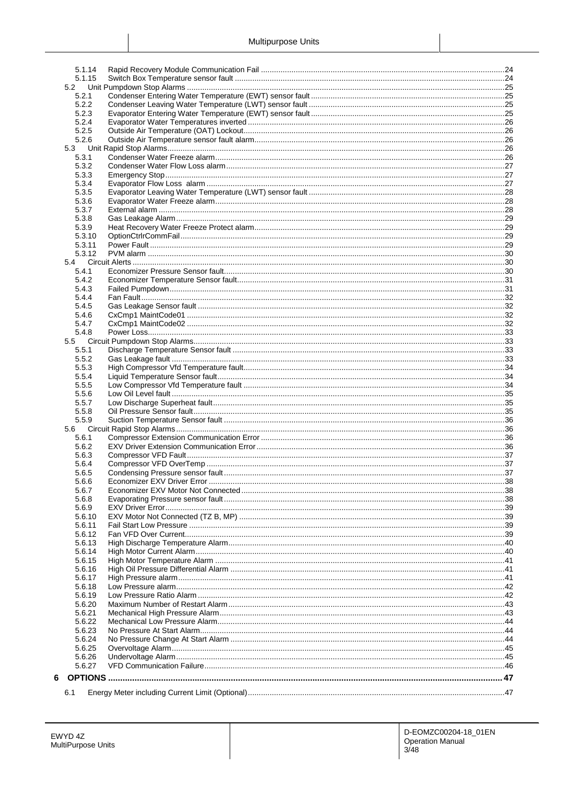|   | 5.1.14 |  |
|---|--------|--|
|   | 5.1.15 |  |
|   | 5.2    |  |
|   | 5.2.1  |  |
|   | 5.2.2  |  |
|   |        |  |
|   | 5.2.3  |  |
|   | 5.2.4  |  |
|   | 5.2.5  |  |
|   | 5.2.6  |  |
|   | 5.3    |  |
|   | 5.3.1  |  |
|   | 5.3.2  |  |
|   | 5.3.3  |  |
|   |        |  |
|   | 5.3.4  |  |
|   | 5.3.5  |  |
|   | 5.3.6  |  |
|   | 5.3.7  |  |
|   | 5.3.8  |  |
|   | 5.3.9  |  |
|   | 5.3.10 |  |
|   | 5.3.11 |  |
|   |        |  |
|   | 5.3.12 |  |
|   | 5.4    |  |
|   | 5.4.1  |  |
|   | 5.4.2  |  |
|   | 5.4.3  |  |
|   | 5.4.4  |  |
|   | 5.4.5  |  |
|   | 5.4.6  |  |
|   | 5.4.7  |  |
|   | 5.4.8  |  |
|   |        |  |
|   | 5.5    |  |
|   | 5.5.1  |  |
|   | 5.5.2  |  |
|   | 5.5.3  |  |
|   | 5.5.4  |  |
|   | 5.5.5  |  |
|   | 5.5.6  |  |
|   | 5.5.7  |  |
|   | 5.5.8  |  |
|   |        |  |
|   | 5.5.9  |  |
|   | 5.6    |  |
|   | 5.6.1  |  |
|   | 5.6.2  |  |
|   | 5.6.3  |  |
|   | 5.6.4  |  |
|   | 5.6.5  |  |
|   | 5.6.6  |  |
|   | 5.6.7  |  |
|   |        |  |
|   | 5.6.8  |  |
|   | 5.6.9  |  |
|   | 5.6.10 |  |
|   | 5.6.11 |  |
|   | 5.6.12 |  |
|   | 5.6.13 |  |
|   | 5.6.14 |  |
|   | 5.6.15 |  |
|   | 5.6.16 |  |
|   | 5.6.17 |  |
|   |        |  |
|   | 5.6.18 |  |
|   | 5.6.19 |  |
|   | 5.6.20 |  |
|   | 5.6.21 |  |
|   | 5.6.22 |  |
|   | 5.6.23 |  |
|   | 5.6.24 |  |
|   | 5.6.25 |  |
|   | 5.6.26 |  |
|   | 5.6.27 |  |
|   |        |  |
| 6 |        |  |
|   |        |  |
|   | 6.1    |  |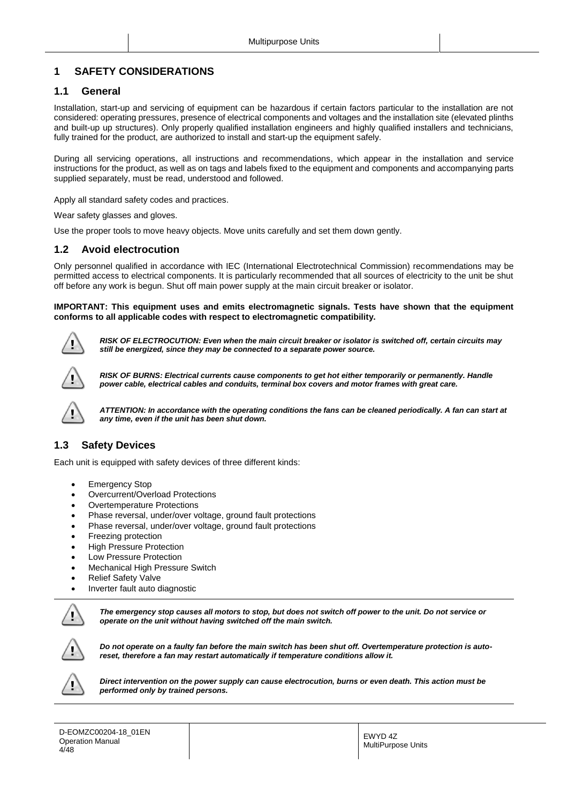## <span id="page-3-0"></span>**1 SAFETY CONSIDERATIONS**

## <span id="page-3-1"></span>**1.1 General**

Installation, start-up and servicing of equipment can be hazardous if certain factors particular to the installation are not considered: operating pressures, presence of electrical components and voltages and the installation site (elevated plinths and built-up up structures). Only properly qualified installation engineers and highly qualified installers and technicians, fully trained for the product, are authorized to install and start-up the equipment safely.

During all servicing operations, all instructions and recommendations, which appear in the installation and service instructions for the product, as well as on tags and labels fixed to the equipment and components and accompanying parts supplied separately, must be read, understood and followed.

Apply all standard safety codes and practices.

Wear safety glasses and gloves.

Use the proper tools to move heavy objects. Move units carefully and set them down gently.

## <span id="page-3-2"></span>**1.2 Avoid electrocution**

Only personnel qualified in accordance with IEC (International Electrotechnical Commission) recommendations may be permitted access to electrical components. It is particularly recommended that all sources of electricity to the unit be shut off before any work is begun. Shut off main power supply at the main circuit breaker or isolator.

#### **IMPORTANT: This equipment uses and emits electromagnetic signals. Tests have shown that the equipment conforms to all applicable codes with respect to electromagnetic compatibility.**



*RISK OF ELECTROCUTION: Even when the main circuit breaker or isolator is switched off, certain circuits may still be energized, since they may be connected to a separate power source.*



*RISK OF BURNS: Electrical currents cause components to get hot either temporarily or permanently. Handle power cable, electrical cables and conduits, terminal box covers and motor frames with great care.*



*ATTENTION: In accordance with the operating conditions the fans can be cleaned periodically. A fan can start at any time, even if the unit has been shut down.*

## <span id="page-3-3"></span>**1.3 Safety Devices**

Each unit is equipped with safety devices of three different kinds:

- Emergency Stop
- Overcurrent/Overload Protections
- Overtemperature Protections
- Phase reversal, under/over voltage, ground fault protections
- Phase reversal, under/over voltage, ground fault protections
- Freezing protection
- High Pressure Protection
- Low Pressure Protection
- Mechanical High Pressure Switch
- Relief Safety Valve
- Inverter fault auto diagnostic



*The emergency stop causes all motors to stop, but does not switch off power to the unit. Do not service or operate on the unit without having switched off the main switch.*



*Do not operate on a faulty fan before the main switch has been shut off. Overtemperature protection is autoreset, therefore a fan may restart automatically if temperature conditions allow it.*



*Direct intervention on the power supply can cause electrocution, burns or even death. This action must be performed only by trained persons.*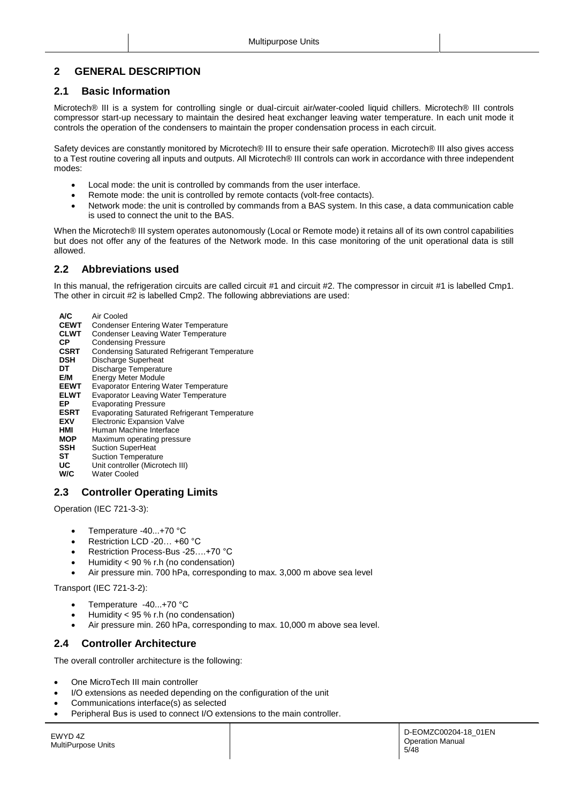## <span id="page-4-0"></span>**2 GENERAL DESCRIPTION**

## <span id="page-4-1"></span>**2.1 Basic Information**

Microtech® III is a system for controlling single or dual-circuit air/water-cooled liquid chillers. Microtech® III controls compressor start-up necessary to maintain the desired heat exchanger leaving water temperature. In each unit mode it controls the operation of the condensers to maintain the proper condensation process in each circuit.

Safety devices are constantly monitored by Microtech® III to ensure their safe operation. Microtech® III also gives access to a Test routine covering all inputs and outputs. All Microtech® III controls can work in accordance with three independent modes:

- Local mode: the unit is controlled by commands from the user interface.
- Remote mode: the unit is controlled by remote contacts (volt-free contacts).
- Network mode: the unit is controlled by commands from a BAS system. In this case, a data communication cable is used to connect the unit to the BAS.

When the Microtech® III system operates autonomously (Local or Remote mode) it retains all of its own control capabilities but does not offer any of the features of the Network mode. In this case monitoring of the unit operational data is still allowed.

## <span id="page-4-2"></span>**2.2 Abbreviations used**

In this manual, the refrigeration circuits are called circuit #1 and circuit #2. The compressor in circuit #1 is labelled Cmp1. The other in circuit #2 is labelled Cmp2. The following abbreviations are used:

**A/C** Air Cooled<br>**CEWT** Condenser **CEWT** Condenser Entering Water Temperature<br>**CLWT** Condenser Leaving Water Temperature **CLWT** Condenser Leaving Water Temperature **CP** Condensing Pressure<br> **CSRT** Condensing Saturated **CSRT** Condensing Saturated Refrigerant Temperature<br>**DSH** Discharge Superheat **DSH** Discharge Superheat<br>**DT** Discharge Temperature **DT** Discharge Temperature<br>**E/M** Energy Meter Module **E/M** Energy Meter Module<br>**EEWT** Evaporator Entering M **Evaporator Entering Water Temperature ELWT** Evaporator Leaving Water Temperature **EP** Evaporating Pressure<br> **ESRT** Evaporating Saturated **Evaporating Saturated Refrigerant Temperature EXV** Electronic Expansion Valve<br> **HMI** Human Machine Interface **HMI** Human Machine Interface **Maximum operating pressure SSH** Suction SuperHeat **ST** Suction Temperature<br>**UC** Unit controller (Microt **UC** Unit controller (Microtech III)<br>**W/C** Water Cooled **Water Cooled** 

## <span id="page-4-3"></span>**2.3 Controller Operating Limits**

Operation (IEC 721-3-3):

- Temperature -40...+70 °C
- Restriction LCD -20... +60 °C
- Restriction Process-Bus -25….+70 °C
- Humidity < 90 % r.h (no condensation)
- Air pressure min. 700 hPa, corresponding to max. 3,000 m above sea level

Transport (IEC 721-3-2):

- Temperature -40...+70 °C
- Humidity < 95 % r.h (no condensation)
- Air pressure min. 260 hPa, corresponding to max. 10,000 m above sea level.

## <span id="page-4-4"></span>**2.4 Controller Architecture**

The overall controller architecture is the following:

- One MicroTech III main controller
- I/O extensions as needed depending on the configuration of the unit
- Communications interface(s) as selected
- Peripheral Bus is used to connect I/O extensions to the main controller.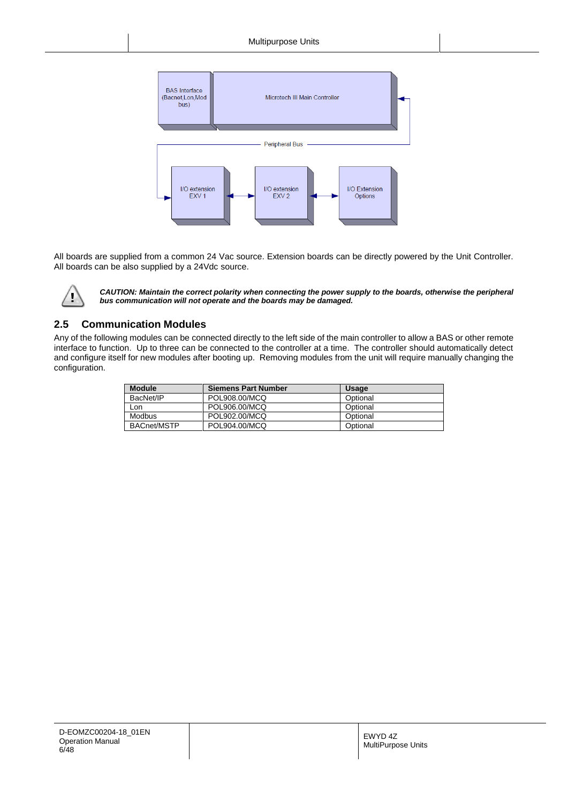

All boards are supplied from a common 24 Vac source. Extension boards can be directly powered by the Unit Controller. All boards can be also supplied by a 24Vdc source.



*CAUTION: Maintain the correct polarity when connecting the power supply to the boards, otherwise the peripheral bus communication will not operate and the boards may be damaged.*

## <span id="page-5-0"></span>**2.5 Communication Modules**

Any of the following modules can be connected directly to the left side of the main controller to allow a BAS or other remote interface to function. Up to three can be connected to the controller at a time. The controller should automatically detect and configure itself for new modules after booting up. Removing modules from the unit will require manually changing the configuration.

| <b>Module</b>      | <b>Siemens Part Number</b> | <b>Usage</b> |
|--------------------|----------------------------|--------------|
| BacNet/IP          | POL908.00/MCQ              | Optional     |
| Lon                | POL906.00/MCQ              | Optional     |
| Modbus             | POL902.00/MCQ              | Optional     |
| <b>BACnet/MSTP</b> | POL904.00/MCQ              | Optional     |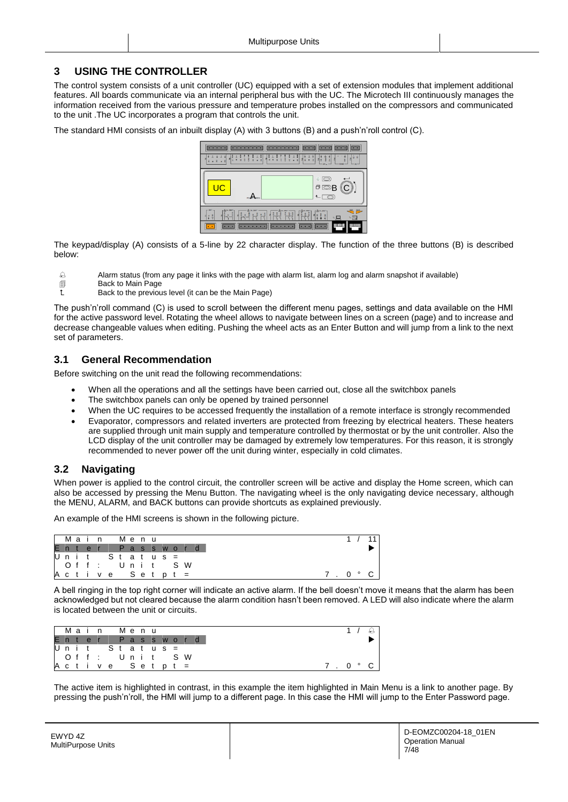## <span id="page-6-0"></span>**3 USING THE CONTROLLER**

The control system consists of a unit controller (UC) equipped with a set of extension modules that implement additional features. All boards communicate via an internal peripheral bus with the UC. The Microtech III continuously manages the information received from the various pressure and temperature probes installed on the compressors and communicated to the unit .The UC incorporates a program that controls the unit.

The standard HMI consists of an inbuilt display (A) with 3 buttons (B) and a push'n'roll control (C).



The keypad/display (A) consists of a 5-line by 22 character display. The function of the three buttons (B) is described below:

- Alarm status (from any page it links with the page with alarm list, alarm log and alarm snapshot if available)
- **Back to Main Page**
- Back to the previous level (it can be the Main Page)

The push'n'roll command (C) is used to scroll between the different menu pages, settings and data available on the HMI for the active password level. Rotating the wheel allows to navigate between lines on a screen (page) and to increase and decrease changeable values when editing. Pushing the wheel acts as an Enter Button and will jump from a link to the next set of parameters.

## <span id="page-6-1"></span>**3.1 General Recommendation**

Before switching on the unit read the following recommendations:

- When all the operations and all the settings have been carried out, close all the switchbox panels
- The switchbox panels can only be opened by trained personnel
- When the UC requires to be accessed frequently the installation of a remote interface is strongly recommended
- Evaporator, compressors and related inverters are protected from freezing by electrical heaters. These heaters are supplied through unit main supply and temperature controlled by thermostat or by the unit controller. Also the LCD display of the unit controller may be damaged by extremely low temperatures. For this reason, it is strongly recommended to never power off the unit during winter, especially in cold climates.

## <span id="page-6-2"></span>**3.2 Navigating**

When power is applied to the control circuit, the controller screen will be active and display the Home screen, which can also be accessed by pressing the Menu Button. The navigating wheel is the only navigating device necessary, although the MENU, ALARM, and BACK buttons can provide shortcuts as explained previously.

An example of the HMI screens is shown in the following picture.

| Main           |  |  | Menu |  |  |                |  |
|----------------|--|--|------|--|--|----------------|--|
|                |  |  |      |  |  | Enter Password |  |
| Unit Status =  |  |  |      |  |  |                |  |
| Off: Unit SW   |  |  |      |  |  |                |  |
| Active Setpt = |  |  |      |  |  |                |  |

A bell ringing in the top right corner will indicate an active alarm. If the bell doesn't move it means that the alarm has been acknowledged but not cleared because the alarm condition hasn't been removed. A LED will also indicate where the alarm is located between the unit or circuits.

| I Main                    |  |  |  | Menu |  |  |  |
|---------------------------|--|--|--|------|--|--|--|
| Enter Password            |  |  |  |      |  |  |  |
| Unit Status =             |  |  |  |      |  |  |  |
| l Off: Unit SW            |  |  |  |      |  |  |  |
| $A$ c t i v e S e t p t = |  |  |  |      |  |  |  |

The active item is highlighted in contrast, in this example the item highlighted in Main Menu is a link to another page. By pressing the push'n'roll, the HMI will jump to a different page. In this case the HMI will jump to the Enter Password page.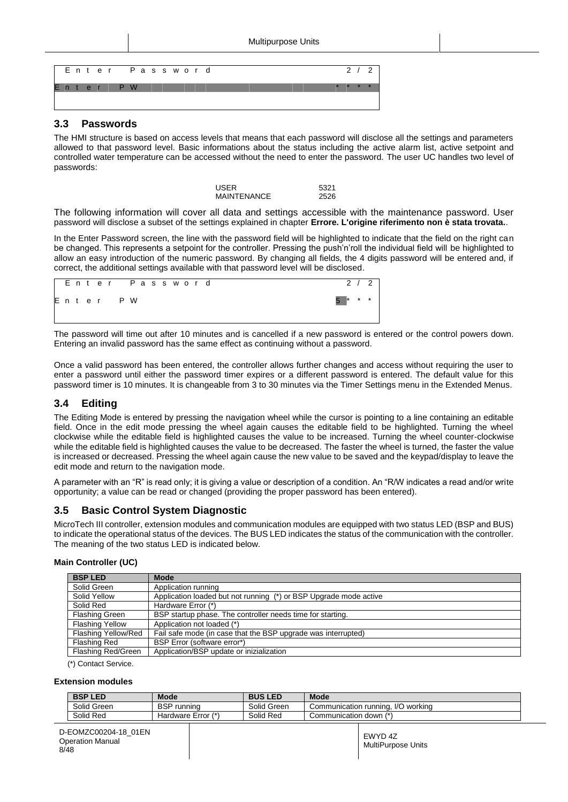

#### <span id="page-7-0"></span>**3.3 Passwords**

The HMI structure is based on access levels that means that each password will disclose all the settings and parameters allowed to that password level. Basic informations about the status including the active alarm list, active setpoint and controlled water temperature can be accessed without the need to enter the password. The user UC handles two level of passwords:

| USER               | 5321 |
|--------------------|------|
| <b>MAINTENANCE</b> | 2526 |

The following information will cover all data and settings accessible with the maintenance password. User password will disclose a subset of the settings explained in chapter **Errore. L'origine riferimento non è stata trovata.**.

In the Enter Password screen, the line with the password field will be highlighted to indicate that the field on the right can be changed. This represents a setpoint for the controller. Pressing the push'n'roll the individual field will be highlighted to allow an easy introduction of the numeric password. By changing all fields, the 4 digits password will be entered and, if correct, the additional settings available with that password level will be disclosed.

|  |  |          |  |  | Enter Password |  | 2 / 2     |  |
|--|--|----------|--|--|----------------|--|-----------|--|
|  |  | Enter PW |  |  |                |  | $5$ * * * |  |
|  |  |          |  |  |                |  |           |  |

The password will time out after 10 minutes and is cancelled if a new password is entered or the control powers down. Entering an invalid password has the same effect as continuing without a password.

Once a valid password has been entered, the controller allows further changes and access without requiring the user to enter a password until either the password timer expires or a different password is entered. The default value for this password timer is 10 minutes. It is changeable from 3 to 30 minutes via the Timer Settings menu in the Extended Menus.

## <span id="page-7-1"></span>**3.4 Editing**

The Editing Mode is entered by pressing the navigation wheel while the cursor is pointing to a line containing an editable field. Once in the edit mode pressing the wheel again causes the editable field to be highlighted. Turning the wheel clockwise while the editable field is highlighted causes the value to be increased. Turning the wheel counter-clockwise while the editable field is highlighted causes the value to be decreased. The faster the wheel is turned, the faster the value is increased or decreased. Pressing the wheel again cause the new value to be saved and the keypad/display to leave the edit mode and return to the navigation mode.

A parameter with an "R" is read only; it is giving a value or description of a condition. An "R/W indicates a read and/or write opportunity; a value can be read or changed (providing the proper password has been entered).

## <span id="page-7-2"></span>**3.5 Basic Control System Diagnostic**

MicroTech III controller, extension modules and communication modules are equipped with two status LED (BSP and BUS) to indicate the operational status of the devices. The BUS LED indicates the status of the communication with the controller. The meaning of the two status LED is indicated below.

#### **Main Controller (UC)**

| <b>BSP LED</b>         | <b>Mode</b>                                                       |
|------------------------|-------------------------------------------------------------------|
| Solid Green            | Application running                                               |
| Solid Yellow           | Application loaded but not running (*) or BSP Upgrade mode active |
| Solid Red              | Hardware Error (*)                                                |
| <b>Flashing Green</b>  | BSP startup phase. The controller needs time for starting.        |
| <b>Flashing Yellow</b> | Application not loaded (*)                                        |
| Flashing Yellow/Red    | Fail safe mode (in case that the BSP upgrade was interrupted)     |
| <b>Flashing Red</b>    | BSP Error (software error*)                                       |
| Flashing Red/Green     | Application/BSP update or inizialization                          |

(\*) Contact Service.

#### **Extension modules**

| <b>BSPI</b><br><b>LED</b> | <b>Mode</b>           | <b>BUS LED</b> | <b>Mode</b>                        |
|---------------------------|-----------------------|----------------|------------------------------------|
| Solid Green               | <b>BSP</b><br>running | Solid Green    | Communication running, I/O working |
| Solid Red                 | Hardware Error (*)    | Solid Red      | down (*`<br>Communication          |
|                           |                       |                |                                    |

| D-EOMZC00204-18 01EN<br><b>Operation Manual</b><br>8/48 |  | EWYD 4Z<br>MultiPurpose Units |
|---------------------------------------------------------|--|-------------------------------|
|---------------------------------------------------------|--|-------------------------------|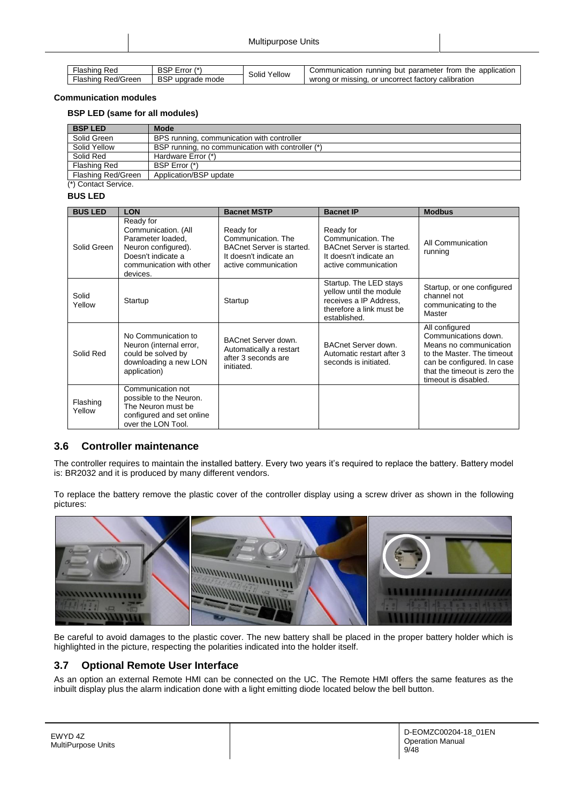| Flashing Red       | BSP Error (*)    | Solid Yellow | Communication running but parameter from the application |
|--------------------|------------------|--------------|----------------------------------------------------------|
| Flashing Red/Green | BSP upgrade mode |              | wrong or missing, or uncorrect factory calibration       |

#### **Communication modules**

#### **BSP LED (same for all modules)**

| <b>BSP LED</b>            | <b>Mode</b>                                       |
|---------------------------|---------------------------------------------------|
| Solid Green               | BPS running, communication with controller        |
| Solid Yellow              | BSP running, no communication with controller (*) |
| Solid Red                 | Hardware Error (*)                                |
| Flashing Red              | BSP Error (*)                                     |
| <b>Flashing Red/Green</b> | Application/BSP update                            |
| (*) Contact Service.      |                                                   |

#### **BUS LED**

| <b>BUS LED</b>     | <b>LON</b>                                                                                                                                 | <b>Bacnet MSTP</b>                                                                                                    | <b>Bacnet IP</b>                                                                                                        | <b>Modbus</b>                                                                                                                                                                        |
|--------------------|--------------------------------------------------------------------------------------------------------------------------------------------|-----------------------------------------------------------------------------------------------------------------------|-------------------------------------------------------------------------------------------------------------------------|--------------------------------------------------------------------------------------------------------------------------------------------------------------------------------------|
| Solid Green        | Ready for<br>Communication. (All<br>Parameter loaded.<br>Neuron configured).<br>Doesn't indicate a<br>communication with other<br>devices. | Ready for<br>Communication. The<br><b>BACnet Server is started.</b><br>It doesn't indicate an<br>active communication | Ready for<br>Communication. The<br><b>BACnet Server is started.</b><br>It doesn't indicate an<br>active communication   | All Communication<br>running                                                                                                                                                         |
| Solid<br>Yellow    | Startup                                                                                                                                    | Startup                                                                                                               | Startup. The LED stays<br>yellow until the module<br>receives a IP Address,<br>therefore a link must be<br>established. | Startup, or one configured<br>channel not<br>communicating to the<br>Master                                                                                                          |
| Solid Red          | No Communication to<br>Neuron (internal error,<br>could be solved by<br>downloading a new LON<br>application)                              | BACnet Server down.<br>Automatically a restart<br>after 3 seconds are<br>initiated.                                   | BACnet Server down.<br>Automatic restart after 3<br>seconds is initiated.                                               | All configured<br>Communications down.<br>Means no communication<br>to the Master. The timeout<br>can be configured. In case<br>that the timeout is zero the<br>timeout is disabled. |
| Flashing<br>Yellow | Communication not<br>possible to the Neuron.<br>The Neuron must be<br>configured and set online<br>over the LON Tool.                      |                                                                                                                       |                                                                                                                         |                                                                                                                                                                                      |

## <span id="page-8-0"></span>**3.6 Controller maintenance**

The controller requires to maintain the installed battery. Every two years it's required to replace the battery. Battery model is: BR2032 and it is produced by many different vendors.

To replace the battery remove the plastic cover of the controller display using a screw driver as shown in the following pictures:



Be careful to avoid damages to the plastic cover. The new battery shall be placed in the proper battery holder which is highlighted in the picture, respecting the polarities indicated into the holder itself.

## <span id="page-8-1"></span>**3.7 Optional Remote User Interface**

As an option an external Remote HMI can be connected on the UC. The Remote HMI offers the same features as the inbuilt display plus the alarm indication done with a light emitting diode located below the bell button.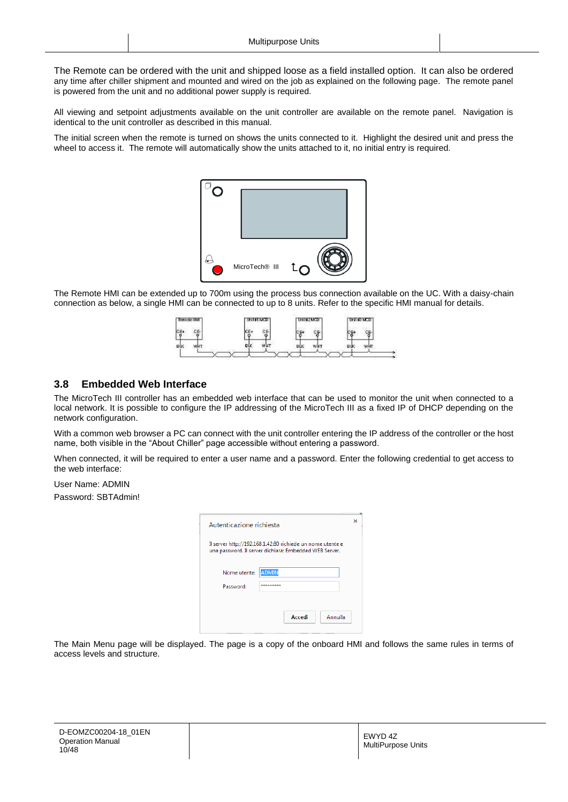The Remote can be ordered with the unit and shipped loose as a field installed option. It can also be ordered any time after chiller shipment and mounted and wired on the job as explained on the following page. The remote panel is powered from the unit and no additional power supply is required.

All viewing and setpoint adjustments available on the unit controller are available on the remote panel. Navigation is identical to the unit controller as described in this manual.

The initial screen when the remote is turned on shows the units connected to it. Highlight the desired unit and press the wheel to access it. The remote will automatically show the units attached to it, no initial entry is required.



The Remote HMI can be extended up to 700m using the process bus connection available on the UC. With a daisy-chain connection as below, a single HMI can be connected to up to 8 units. Refer to the specific HMI manual for details.



#### <span id="page-9-0"></span>**3.8 Embedded Web Interface**

The MicroTech III controller has an embedded web interface that can be used to monitor the unit when connected to a local network. It is possible to configure the IP addressing of the MicroTech III as a fixed IP of DHCP depending on the network configuration.

With a common web browser a PC can connect with the unit controller entering the IP address of the controller or the host name, both visible in the "About Chiller" page accessible without entering a password.

When connected, it will be required to enter a user name and a password. Enter the following credential to get access to the web interface:

User Name: ADMIN

Password: SBTAdmin!

| Autenticazione richiesta                                                                                             |                   |  |  |  |  |  |
|----------------------------------------------------------------------------------------------------------------------|-------------------|--|--|--|--|--|
| Il server http://192.168.1.42:80 richiede un nome utente e<br>una password. Il server dichiara: Embedded WEB Server. |                   |  |  |  |  |  |
| Nome utente:                                                                                                         | <b>ADMIN</b>      |  |  |  |  |  |
| Password:<br>*********                                                                                               |                   |  |  |  |  |  |
|                                                                                                                      |                   |  |  |  |  |  |
|                                                                                                                      | Accedi<br>Annulla |  |  |  |  |  |
|                                                                                                                      |                   |  |  |  |  |  |

The Main Menu page will be displayed. The page is a copy of the onboard HMI and follows the same rules in terms of access levels and structure.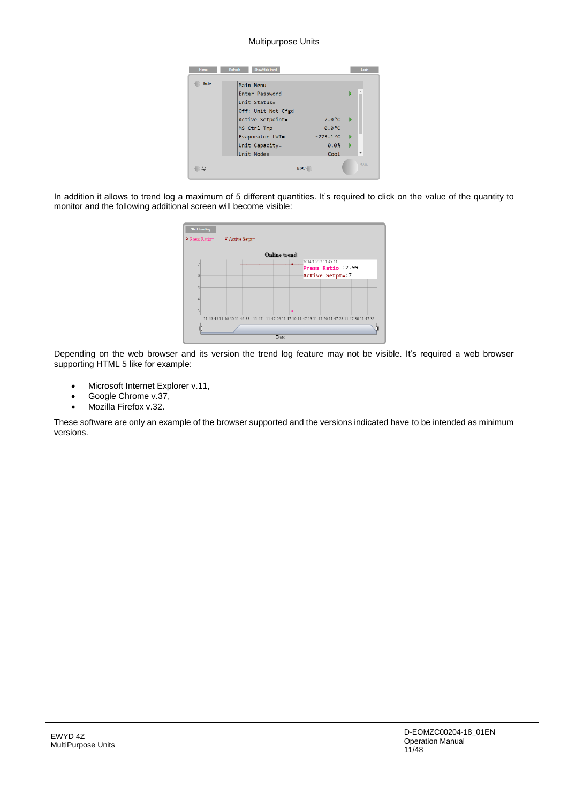| Home | <b>Refresh</b><br>Show/Hide trend |                   | Login                    |
|------|-----------------------------------|-------------------|--------------------------|
| Info | Main Menu                         |                   |                          |
|      | Enter Password                    |                   |                          |
|      | Unit Status=                      |                   |                          |
|      | Off: Unit Not Cfgd                |                   |                          |
|      | Active Setpoint=                  | $7.0^{\circ}$ C   |                          |
|      | MS Ctrl Tmp=                      | $0.0^{\circ}C$    |                          |
|      | Evaporator LWT=                   | $-273.1$ °C       |                          |
|      | Unit Capacity=                    | 0.0%              |                          |
|      | Unit Mode=                        | C <sub>00</sub> 1 | $\overline{\phantom{a}}$ |
|      |                                   | <b>ESC</b>        | OK                       |

In addition it allows to trend log a maximum of 5 different quantities. It's required to click on the value of the quantity to monitor and the following additional screen will become visible:

| $\times$ Press Ratio= | $\times$ Active Setpt= |                     |                                                                                                 |  |
|-----------------------|------------------------|---------------------|-------------------------------------------------------------------------------------------------|--|
|                       |                        | <b>Online</b> trend |                                                                                                 |  |
| $\overline{7}$        |                        |                     | 2014/10/17 11:47:11:                                                                            |  |
|                       |                        |                     | Press Ratio=: 2.99                                                                              |  |
| 6                     |                        |                     | Active Setpt=:7                                                                                 |  |
| 5                     |                        |                     |                                                                                                 |  |
| 4                     |                        |                     |                                                                                                 |  |
| $\overline{3}$        |                        |                     |                                                                                                 |  |
|                       |                        |                     | 11:46:45 11:46:50 11:46:55 11:47 11:47:05 11:47:10 11:47:15 11:47:20 11:47:25 11:47:30 11:47:35 |  |
| ſī                    |                        |                     |                                                                                                 |  |

Depending on the web browser and its version the trend log feature may not be visible. It's required a web browser supporting HTML 5 like for example:

- Microsoft Internet Explorer v.11,
- Google Chrome v.37,
- Mozilla Firefox v.32.

These software are only an example of the browser supported and the versions indicated have to be intended as minimum versions.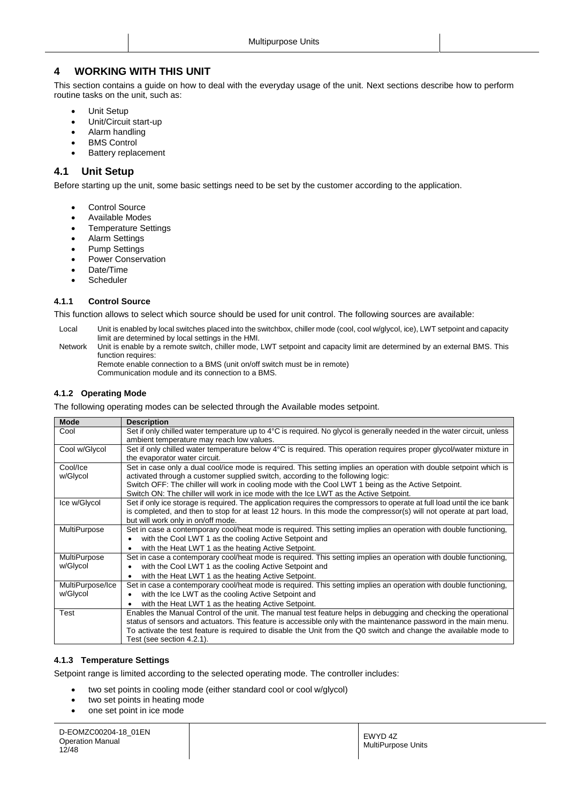## <span id="page-11-0"></span>**4 WORKING WITH THIS UNIT**

This section contains a guide on how to deal with the everyday usage of the unit. Next sections describe how to perform routine tasks on the unit, such as:

- Unit Setup
- Unit/Circuit start-up
- Alarm handling
- BMS Control
- Battery replacement

## <span id="page-11-1"></span>**4.1 Unit Setup**

Before starting up the unit, some basic settings need to be set by the customer according to the application.

- Control Source
- Available Modes
- Temperature Settings
- Alarm Settings
- Pump Settings
- Power Conservation
- Date/Time
- <span id="page-11-2"></span>**Scheduler**

#### **4.1.1 Control Source**

This function allows to select which source should be used for unit control. The following sources are available:

- Local Unit is enabled by local switches placed into the switchbox, chiller mode (cool, cool w/glycol, ice), LWT setpoint and capacity limit are determined by local settings in the HMI.
- Network Unit is enable by a remote switch, chiller mode, LWT setpoint and capacity limit are determined by an external BMS. This function requires:

Remote enable connection to a BMS (unit on/off switch must be in remote) Communication module and its connection to a BMS.

#### <span id="page-11-3"></span>**4.1.2 Operating Mode**

The following operating modes can be selected through the Available modes setpoint.

| <b>Mode</b>         | <b>Description</b>                                                                                                       |
|---------------------|--------------------------------------------------------------------------------------------------------------------------|
| Cool                | Set if only chilled water temperature up to 4°C is required. No glycol is generally needed in the water circuit, unless  |
|                     | ambient temperature may reach low values.                                                                                |
| Cool w/Glycol       | Set if only chilled water temperature below 4°C is required. This operation requires proper glycol/water mixture in      |
|                     | the evaporator water circuit.                                                                                            |
| Cool/Ice            | Set in case only a dual cool/ice mode is required. This setting implies an operation with double setpoint which is       |
| w/Glycol            | activated through a customer supplied switch, according to the following logic:                                          |
|                     | Switch OFF: The chiller will work in cooling mode with the Cool LWT 1 being as the Active Setpoint.                      |
|                     | Switch ON: The chiller will work in ice mode with the Ice LWT as the Active Setpoint.                                    |
| Ice w/Glycol        | Set if only ice storage is required. The application requires the compressors to operate at full load until the ice bank |
|                     | is completed, and then to stop for at least 12 hours. In this mode the compressor(s) will not operate at part load,      |
|                     | but will work only in on/off mode.                                                                                       |
| <b>MultiPurpose</b> | Set in case a contemporary cool/heat mode is required. This setting implies an operation with double functioning,        |
|                     | with the Cool LWT 1 as the cooling Active Setpoint and<br>$\bullet$                                                      |
|                     | with the Heat LWT 1 as the heating Active Setpoint.<br>٠                                                                 |
| <b>MultiPurpose</b> | Set in case a contemporary cool/heat mode is required. This setting implies an operation with double functioning,        |
| w/Glycol            | with the Cool LWT 1 as the cooling Active Setpoint and                                                                   |
|                     | with the Heat LWT 1 as the heating Active Setpoint.<br>$\bullet$                                                         |
| MultiPurpose/Ice    | Set in case a contemporary cool/heat mode is required. This setting implies an operation with double functioning,        |
| w/Glycol            | with the Ice LWT as the cooling Active Setpoint and                                                                      |
|                     | with the Heat LWT 1 as the heating Active Setpoint.<br>$\bullet$                                                         |
| Test                | Enables the Manual Control of the unit. The manual test feature helps in debugging and checking the operational          |
|                     | status of sensors and actuators. This feature is accessible only with the maintenance password in the main menu.         |
|                     | To activate the test feature is required to disable the Unit from the Q0 switch and change the available mode to         |
|                     | Test (see section 4.2.1).                                                                                                |

#### <span id="page-11-4"></span>**4.1.3 Temperature Settings**

Setpoint range is limited according to the selected operating mode. The controller includes:

- two set points in cooling mode (either standard cool or cool w/glycol)
- two set points in heating mode
- one set point in ice mode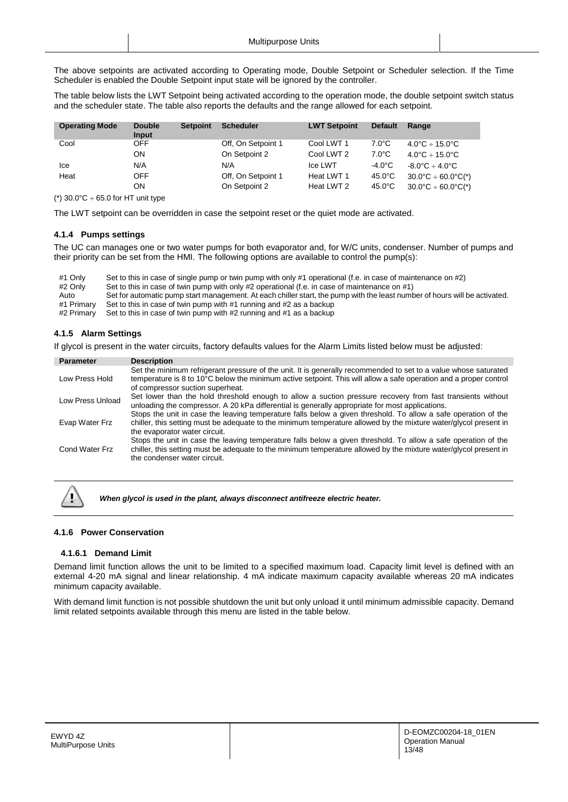The above setpoints are activated according to Operating mode, Double Setpoint or Scheduler selection. If the Time Scheduler is enabled the Double Setpoint input state will be ignored by the controller.

The table below lists the LWT Setpoint being activated according to the operation mode, the double setpoint switch status and the scheduler state. The table also reports the defaults and the range allowed for each setpoint.

| <b>Operating Mode</b> | <b>Double</b><br>Input | <b>Setpoint</b> | <b>Scheduler</b>   | <b>LWT Setpoint</b> | <b>Default</b>   | Range                                    |
|-----------------------|------------------------|-----------------|--------------------|---------------------|------------------|------------------------------------------|
| Cool                  | OFF.                   |                 | Off, On Setpoint 1 | Cool LWT 1          | $7.0^{\circ}$ C  | $4.0^{\circ}$ C ÷ 15.0 $^{\circ}$ C      |
|                       | ON                     |                 | On Setpoint 2      | Cool LWT 2          | $7.0^{\circ}$ C  | $4.0^{\circ}$ C ÷ 15.0°C                 |
| lce                   | N/A                    |                 | N/A                | Ice LWT             | -4.0°C           | $-8.0^{\circ}$ C $\div$ 4.0 $^{\circ}$ C |
| Heat                  | <b>OFF</b>             |                 | Off, On Setpoint 1 | Heat LWT 1          | $45.0^{\circ}$ C | $30.0^{\circ}$ C ÷ 60.0°C(*)             |
|                       | OΝ                     |                 | On Setpoint 2      | Heat LWT 2          | $45.0^{\circ}$ C | $30.0^{\circ}$ C ÷ 60.0°C(*)             |

(\*)  $30.0^{\circ}$ C ÷ 65.0 for HT unit type

The LWT setpoint can be overridden in case the setpoint reset or the quiet mode are activated.

#### <span id="page-12-0"></span>**4.1.4 Pumps settings**

The UC can manages one or two water pumps for both evaporator and, for W/C units, condenser. Number of pumps and their priority can be set from the HMI. The following options are available to control the pump(s):

| #1 Only    | Set to this in case of single pump or twin pump with only #1 operational (f.e. in case of maintenance on #2)               |
|------------|----------------------------------------------------------------------------------------------------------------------------|
| #2 Only    | Set to this in case of twin pump with only #2 operational (f.e. in case of maintenance on #1)                              |
| Auto       | Set for automatic pump start management. At each chiller start, the pump with the least number of hours will be activated. |
| #1 Primarv | Set to this in case of twin pump with #1 running and #2 as a backup                                                        |
| #2 Primarv | Set to this in case of twin pump with #2 running and #1 as a backup                                                        |

#### <span id="page-12-1"></span>**4.1.5 Alarm Settings**

If glycol is present in the water circuits, factory defaults values for the Alarm Limits listed below must be adjusted:

| <b>Parameter</b> | <b>Description</b>                                                                                                                                                                                                                                                                                                              |
|------------------|---------------------------------------------------------------------------------------------------------------------------------------------------------------------------------------------------------------------------------------------------------------------------------------------------------------------------------|
| Low Press Hold   | Set the minimum refrigerant pressure of the unit. It is generally recommended to set to a value whose saturated<br>temperature is 8 to 10°C below the minimum active setpoint. This will allow a safe operation and a proper control<br>of compressor suction superheat.                                                        |
| Low Press Unload | Set lower than the hold threshold enough to allow a suction pressure recovery from fast transients without<br>unloading the compressor. A 20 kPa differential is generally appropriate for most applications.<br>Stops the unit in case the leaving temperature falls below a given threshold. To allow a safe operation of the |
| Evap Water Frz   | chiller, this setting must be adequate to the minimum temperature allowed by the mixture water/glycol present in<br>the evaporator water circuit.<br>Stops the unit in case the leaving temperature falls below a given threshold. To allow a safe operation of the                                                             |
| Cond Water Frz   | chiller, this setting must be adequate to the minimum temperature allowed by the mixture water/glycol present in<br>the condenser water circuit.                                                                                                                                                                                |



*When glycol is used in the plant, always disconnect antifreeze electric heater.*

#### <span id="page-12-3"></span><span id="page-12-2"></span>**4.1.6 Power Conservation**

#### **4.1.6.1 Demand Limit**

Demand limit function allows the unit to be limited to a specified maximum load. Capacity limit level is defined with an external 4-20 mA signal and linear relationship. 4 mA indicate maximum capacity available whereas 20 mA indicates minimum capacity available.

With demand limit function is not possible shutdown the unit but only unload it until minimum admissible capacity. Demand limit related setpoints available through this menu are listed in the table below.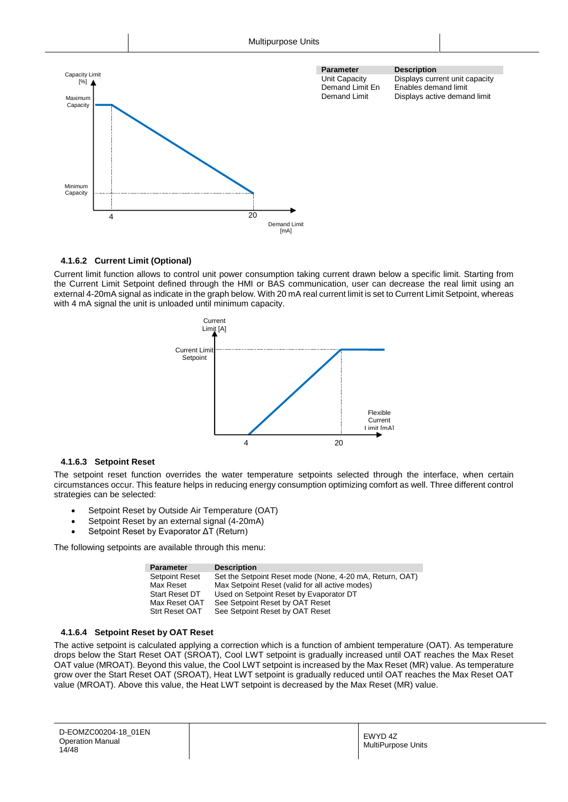

#### <span id="page-13-0"></span>**4.1.6.2 Current Limit (Optional)**

Current limit function allows to control unit power consumption taking current drawn below a specific limit. Starting from the Current Limit Setpoint defined through the HMI or BAS communication, user can decrease the real limit using an external 4-20mA signal as indicate in the graph below. With 20 mA real current limit is set to Current Limit Setpoint, whereas with 4 mA signal the unit is unloaded until minimum capacity.



#### <span id="page-13-1"></span>**4.1.6.3 Setpoint Reset**

The setpoint reset function overrides the water temperature setpoints selected through the interface, when certain circumstances occur. This feature helps in reducing energy consumption optimizing comfort as well. Three different control strategies can be selected:

- Setpoint Reset by Outside Air Temperature (OAT)
- Setpoint Reset by an external signal (4-20mA)
- Setpoint Reset by Evaporator ΔT (Return)

The following setpoints are available through this menu:

| <b>Parameter</b>      | <b>Description</b>                                       |
|-----------------------|----------------------------------------------------------|
| <b>Setpoint Reset</b> | Set the Setpoint Reset mode (None, 4-20 mA, Return, OAT) |
| Max Reset             | Max Setpoint Reset (valid for all active modes)          |
| <b>Start Reset DT</b> | Used on Setpoint Reset by Evaporator DT                  |
| Max Reset OAT         | See Setpoint Reset by OAT Reset                          |
| Strt Reset OAT        | See Setpoint Reset by OAT Reset                          |

#### <span id="page-13-2"></span>**4.1.6.4 Setpoint Reset by OAT Reset**

The active setpoint is calculated applying a correction which is a function of ambient temperature (OAT). As temperature drops below the Start Reset OAT (SROAT), Cool LWT setpoint is gradually increased until OAT reaches the Max Reset OAT value (MROAT). Beyond this value, the Cool LWT setpoint is increased by the Max Reset (MR) value. As temperature grow over the Start Reset OAT (SROAT), Heat LWT setpoint is gradually reduced until OAT reaches the Max Reset OAT value (MROAT). Above this value, the Heat LWT setpoint is decreased by the Max Reset (MR) value.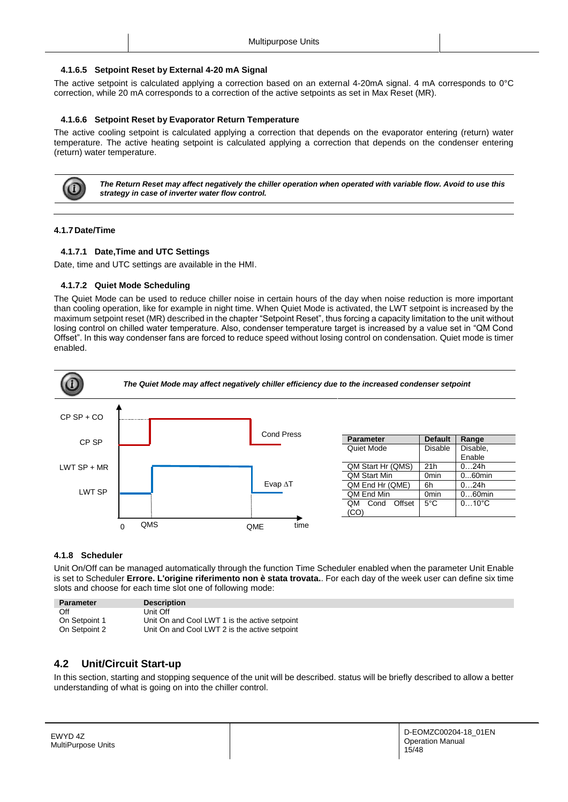#### <span id="page-14-0"></span>**4.1.6.5 Setpoint Reset by External 4-20 mA Signal**

The active setpoint is calculated applying a correction based on an external 4-20mA signal. 4 mA corresponds to 0°C correction, while 20 mA corresponds to a correction of the active setpoints as set in Max Reset (MR).

#### <span id="page-14-1"></span>**4.1.6.6 Setpoint Reset by Evaporator Return Temperature**

The active cooling setpoint is calculated applying a correction that depends on the evaporator entering (return) water temperature. The active heating setpoint is calculated applying a correction that depends on the condenser entering (return) water temperature.



*The Return Reset may affect negatively the chiller operation when operated with variable flow. Avoid to use this strategy in case of inverter water flow control.*

#### <span id="page-14-3"></span><span id="page-14-2"></span>**4.1.7Date/Time**

#### **4.1.7.1 Date,Time and UTC Settings**

Date, time and UTC settings are available in the HMI.

#### <span id="page-14-4"></span>**4.1.7.2 Quiet Mode Scheduling**

The Quiet Mode can be used to reduce chiller noise in certain hours of the day when noise reduction is more important than cooling operation, like for example in night time. When Quiet Mode is activated, the LWT setpoint is increased by the maximum setpoint reset (MR) described in the chapter "Setpoint Reset", thus forcing a capacity limitation to the unit without losing control on chilled water temperature. Also, condenser temperature target is increased by a value set in "QM Cond Offset". In this way condenser fans are forced to reduce speed without losing control on condensation. Quiet mode is timer enabled.



#### <span id="page-14-5"></span>**4.1.8 Scheduler**

Unit On/Off can be managed automatically through the function Time Scheduler enabled when the parameter Unit Enable is set to Scheduler **Errore. L'origine riferimento non è stata trovata.**. For each day of the week user can define six time slots and choose for each time slot one of following mode:

| <b>Parameter</b> | <b>Description</b>                            |
|------------------|-----------------------------------------------|
| Off              | Unit Off                                      |
| On Setpoint 1    | Unit On and Cool LWT 1 is the active setpoint |
| On Setpoint 2    | Unit On and Cool LWT 2 is the active setpoint |

## <span id="page-14-6"></span>**4.2 Unit/Circuit Start-up**

In this section, starting and stopping sequence of the unit will be described. status will be briefly described to allow a better understanding of what is going on into the chiller control.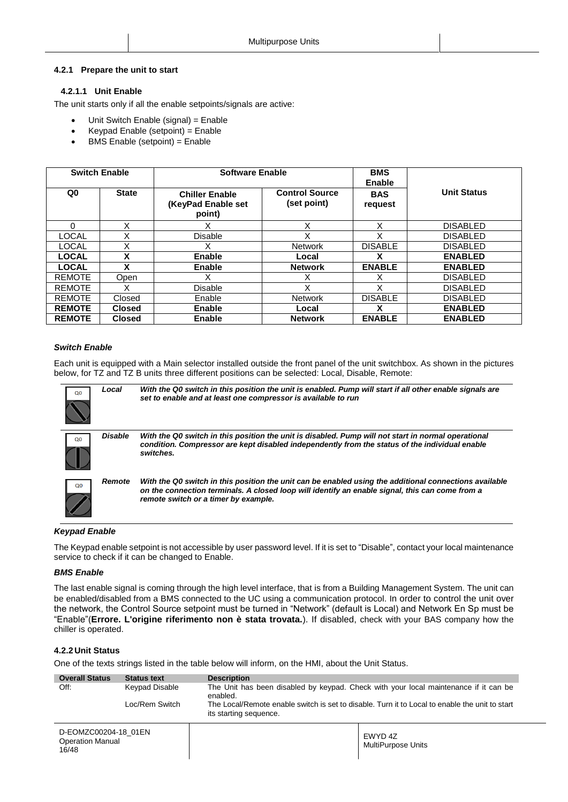#### <span id="page-15-1"></span><span id="page-15-0"></span>**4.2.1 Prepare the unit to start**

#### **4.2.1.1 Unit Enable**

The unit starts only if all the enable setpoints/signals are active:

- Unit Switch Enable (signal) = Enable
- Keypad Enable (setpoint) = Enable
- BMS Enable (setpoint) = Enable

|               | <b>Switch Enable</b> | <b>Software Enable</b>                                |                                      | <b>BMS</b><br>Enable  |                    |
|---------------|----------------------|-------------------------------------------------------|--------------------------------------|-----------------------|--------------------|
| Q0            | <b>State</b>         | <b>Chiller Enable</b><br>(KeyPad Enable set<br>point) | <b>Control Source</b><br>(set point) | <b>BAS</b><br>request | <b>Unit Status</b> |
| $\Omega$      | X                    | Χ                                                     | X                                    | X                     | <b>DISABLED</b>    |
| LOCAL         | X                    | Disable                                               | X                                    | Χ                     | <b>DISABLED</b>    |
| <b>LOCAL</b>  | X                    | Χ                                                     | <b>Network</b>                       | <b>DISABLE</b>        | <b>DISABLED</b>    |
| <b>LOCAL</b>  | X                    | Enable                                                | Local                                | х                     | <b>ENABLED</b>     |
| <b>LOCAL</b>  | X                    | Enable                                                | <b>Network</b>                       | <b>ENABLE</b>         | <b>ENABLED</b>     |
| <b>REMOTE</b> | Open                 |                                                       |                                      | х                     | <b>DISABLED</b>    |
| <b>REMOTE</b> | X                    | <b>Disable</b>                                        | Χ                                    | X                     | <b>DISABLED</b>    |
| <b>REMOTE</b> | Closed               | Enable                                                | <b>Network</b>                       | <b>DISABLE</b>        | <b>DISABLED</b>    |
| <b>REMOTE</b> | <b>Closed</b>        | <b>Enable</b>                                         | Local                                | x                     | <b>ENABLED</b>     |
| <b>REMOTE</b> | <b>Closed</b>        | Enable                                                | <b>Network</b>                       | <b>ENABLE</b>         | <b>ENABLED</b>     |

#### *Switch Enable*

Each unit is equipped with a Main selector installed outside the front panel of the unit switchbox. As shown in the pictures below, for TZ and TZ B units three different positions can be selected: Local, Disable, Remote:



#### *Keypad Enable*

The Keypad enable setpoint is not accessible by user password level. If it is set to "Disable", contact your local maintenance service to check if it can be changed to Enable.

#### *BMS Enable*

The last enable signal is coming through the high level interface, that is from a Building Management System. The unit can be enabled/disabled from a BMS connected to the UC using a communication protocol. In order to control the unit over the network, the Control Source setpoint must be turned in "Network" (default is Local) and Network En Sp must be "Enable"(**Errore. L'origine riferimento non è stata trovata.**). If disabled, check with your BAS company how the chiller is operated.

#### <span id="page-15-2"></span>**4.2.2Unit Status**

One of the texts strings listed in the table below will inform, on the HMI, about the Unit Status.

| <b>Overall Status</b>                                    | <b>Status text</b> | <b>Description</b>                                                                               |                                                                                                |
|----------------------------------------------------------|--------------------|--------------------------------------------------------------------------------------------------|------------------------------------------------------------------------------------------------|
| Off:                                                     | Keypad Disable     | The Unit has been disabled by keypad. Check with your local maintenance if it can be<br>enabled. |                                                                                                |
|                                                          | Loc/Rem Switch     | its starting sequence.                                                                           | The Local/Remote enable switch is set to disable. Turn it to Local to enable the unit to start |
| D-EOMZC00204-18 01EN<br><b>Operation Manual</b><br>16/48 |                    |                                                                                                  | EWYD 4Z<br><b>MultiPurpose Units</b>                                                           |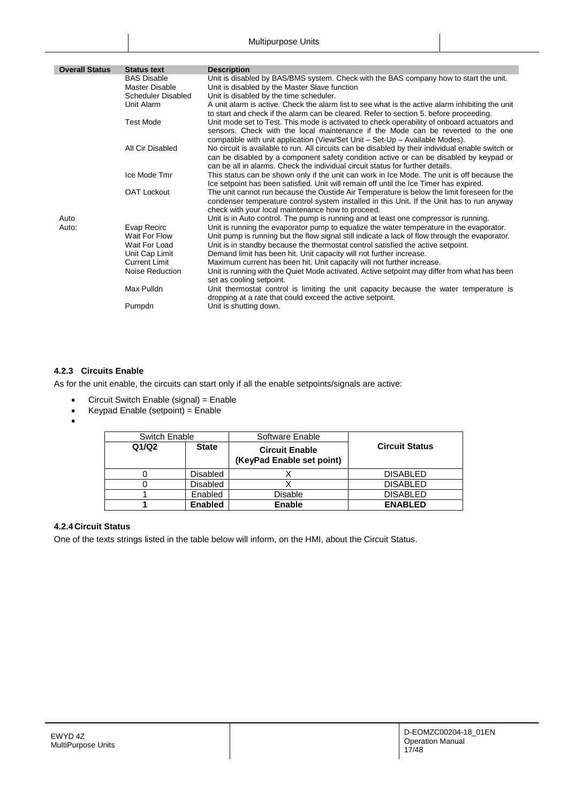| <b>Overall Status</b> | <b>Status text</b>                            | <b>Description</b>                                                                                                                                                                                                                                                             |
|-----------------------|-----------------------------------------------|--------------------------------------------------------------------------------------------------------------------------------------------------------------------------------------------------------------------------------------------------------------------------------|
|                       | <b>BAS Disable</b>                            | Unit is disabled by BAS/BMS system. Check with the BAS company how to start the unit.                                                                                                                                                                                          |
|                       | Master Disable                                | Unit is disabled by the Master Slave function                                                                                                                                                                                                                                  |
|                       | <b>Scheduler Disabled</b>                     | Unit is disabled by the time scheduler.                                                                                                                                                                                                                                        |
|                       | Unit Alarm                                    | A unit alarm is active. Check the alarm list to see what is the active alarm inhibiting the unit<br>to start and check if the alarm can be cleared. Refer to section 5. before proceeding.                                                                                     |
|                       | <b>Test Mode</b>                              | Unit mode set to Test. This mode is activated to check operability of onboard actuators and<br>sensors. Check with the local maintenance if the Mode can be reverted to the one<br>compatible with unit application (View/Set Unit – Set-Up – Available Modes).                |
|                       | All Cir Disabled                              | No circuit is available to run. All circuits can be disabled by their individual enable switch or<br>can be disabled by a component safety condition active or can be disabled by keypad or<br>can be all in alarms. Check the individual circuit status for further details.  |
|                       | Ice Mode Tmr                                  | This status can be shown only if the unit can work in Ice Mode. The unit is off because the<br>Ice setpoint has been satisfied. Unit will remain off until the Ice Timer has expired.                                                                                          |
|                       | <b>OAT Lockout</b>                            | The unit cannot run because the Oustide Air Temperature is below the limit foreseen for the<br>condenser temperature control system installed in this Unit. If the Unit has to run anyway<br>check with your local maintenance how to proceed.                                 |
| Auto                  |                                               | Unit is in Auto control. The pump is running and at least one compressor is running.                                                                                                                                                                                           |
| Auto:                 | Evap Recirc<br>Wait For Flow<br>Wait For Load | Unit is running the evaporator pump to equalize the water temperature in the evaporator.<br>Unit pump is running but the flow signal still indicate a lack of flow through the evaporator.<br>Unit is in standby because the thermostat control satisfied the active setpoint. |
|                       | Unit Cap Limit                                | Demand limit has been hit. Unit capacity will not further increase.                                                                                                                                                                                                            |
|                       | <b>Current Limit</b>                          | Maximum current has been hit. Unit capacity will not further increase.                                                                                                                                                                                                         |
|                       | Noise Reduction                               | Unit is running with the Quiet Mode activated. Active setpoint may differ from what has been<br>set as cooling setpoint.                                                                                                                                                       |
|                       | Max Pulldn                                    | Unit thermostat control is limiting the unit capacity because the water temperature is<br>dropping at a rate that could exceed the active setpoint.                                                                                                                            |
|                       | Pumpdn                                        | Unit is shutting down.                                                                                                                                                                                                                                                         |

## <span id="page-16-0"></span>**4.2.3 Circuits Enable**

As for the unit enable, the circuits can start only if all the enable setpoints/signals are active:

- Circuit Switch Enable (signal) = Enable
- $\bullet$  Keypad Enable (setpoint) = Enable
- $\bullet$

| Switch Enable |                 | Software Enable                                    |                       |
|---------------|-----------------|----------------------------------------------------|-----------------------|
| Q1/Q2         | <b>State</b>    | <b>Circuit Enable</b><br>(KeyPad Enable set point) | <b>Circuit Status</b> |
|               | <b>Disabled</b> |                                                    | <b>DISABLED</b>       |
|               | <b>Disabled</b> |                                                    | <b>DISABLED</b>       |
|               | Enabled         | <b>Disable</b>                                     | <b>DISABLED</b>       |
|               | <b>Enabled</b>  | Enable                                             | <b>ENABLED</b>        |

## <span id="page-16-1"></span>**4.2.4Circuit Status**

One of the texts strings listed in the table below will inform, on the HMI, about the Circuit Status.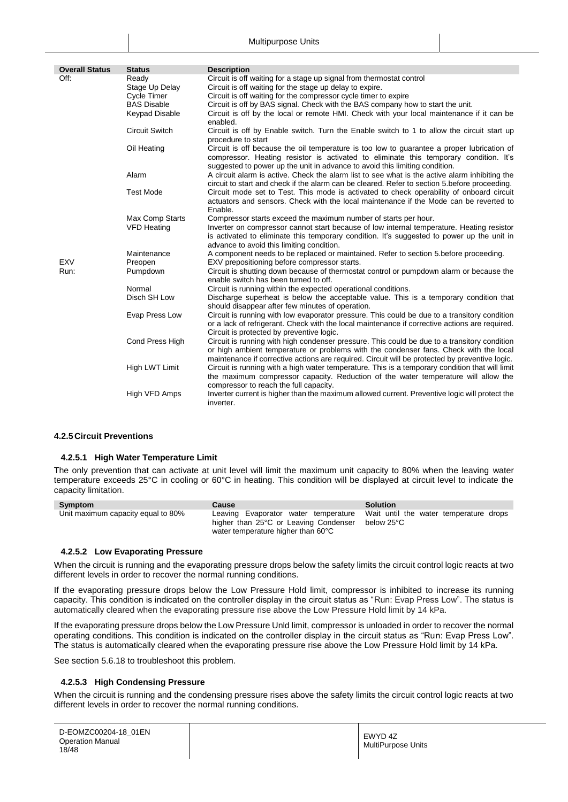| <b>Overall Status</b> | <b>Status</b>                                                                         | <b>Description</b>                                                                                                                                                                                                                                                                                                                                                                              |
|-----------------------|---------------------------------------------------------------------------------------|-------------------------------------------------------------------------------------------------------------------------------------------------------------------------------------------------------------------------------------------------------------------------------------------------------------------------------------------------------------------------------------------------|
| Off:                  | Ready<br>Stage Up Delay<br>Cycle Timer<br><b>BAS Disable</b><br><b>Keypad Disable</b> | Circuit is off waiting for a stage up signal from thermostat control<br>Circuit is off waiting for the stage up delay to expire.<br>Circuit is off waiting for the compressor cycle timer to expire<br>Circuit is off by BAS signal. Check with the BAS company how to start the unit.<br>Circuit is off by the local or remote HMI. Check with your local maintenance if it can be<br>enabled. |
|                       | <b>Circuit Switch</b>                                                                 | Circuit is off by Enable switch. Turn the Enable switch to 1 to allow the circuit start up<br>procedure to start                                                                                                                                                                                                                                                                                |
|                       | Oil Heating                                                                           | Circuit is off because the oil temperature is too low to guarantee a proper lubrication of<br>compressor. Heating resistor is activated to eliminate this temporary condition. It's<br>suggested to power up the unit in advance to avoid this limiting condition.                                                                                                                              |
|                       | Alarm                                                                                 | A circuit alarm is active. Check the alarm list to see what is the active alarm inhibiting the<br>circuit to start and check if the alarm can be cleared. Refer to section 5.before proceeding.                                                                                                                                                                                                 |
|                       | <b>Test Mode</b>                                                                      | Circuit mode set to Test. This mode is activated to check operability of onboard circuit<br>actuators and sensors. Check with the local maintenance if the Mode can be reverted to<br>Enable.                                                                                                                                                                                                   |
|                       | Max Comp Starts<br><b>VFD Heating</b>                                                 | Compressor starts exceed the maximum number of starts per hour.<br>Inverter on compressor cannot start because of low internal temperature. Heating resistor<br>is activated to eliminate this temporary condition. It's suggested to power up the unit in<br>advance to avoid this limiting condition.                                                                                         |
| <b>EXV</b>            | Maintenance<br>Preopen                                                                | A component needs to be replaced or maintained. Refer to section 5.before proceeding.<br>EXV prepositioning before compressor starts.                                                                                                                                                                                                                                                           |
| Run:                  | Pumpdown                                                                              | Circuit is shutting down because of thermostat control or pumpdown alarm or because the<br>enable switch has been turned to off.                                                                                                                                                                                                                                                                |
|                       | Normal                                                                                | Circuit is running within the expected operational conditions.                                                                                                                                                                                                                                                                                                                                  |
|                       | Disch SH Low                                                                          | Discharge superheat is below the acceptable value. This is a temporary condition that<br>should disappear after few minutes of operation.                                                                                                                                                                                                                                                       |
|                       | Evap Press Low                                                                        | Circuit is running with low evaporator pressure. This could be due to a transitory condition<br>or a lack of refrigerant. Check with the local maintenance if corrective actions are required.<br>Circuit is protected by preventive logic.                                                                                                                                                     |
|                       | Cond Press High                                                                       | Circuit is running with high condenser pressure. This could be due to a transitory condition<br>or high ambient temperature or problems with the condenser fans. Check with the local<br>maintenance if corrective actions are required. Circuit will be protected by preventive logic.                                                                                                         |
|                       | High LWT Limit                                                                        | Circuit is running with a high water temperature. This is a temporary condition that will limit<br>the maximum compressor capacity. Reduction of the water temperature will allow the<br>compressor to reach the full capacity.                                                                                                                                                                 |
|                       | High VFD Amps                                                                         | Inverter current is higher than the maximum allowed current. Preventive logic will protect the<br>inverter.                                                                                                                                                                                                                                                                                     |

#### <span id="page-17-1"></span><span id="page-17-0"></span>**4.2.5Circuit Preventions**

#### **4.2.5.1 High Water Temperature Limit**

The only prevention that can activate at unit level will limit the maximum unit capacity to 80% when the leaving water temperature exceeds 25°C in cooling or 60°C in heating. This condition will be displayed at circuit level to indicate the capacity limitation.

| Symptom                            | Cause                                                                       | <b>Solution</b>                                                                           |
|------------------------------------|-----------------------------------------------------------------------------|-------------------------------------------------------------------------------------------|
| Unit maximum capacity equal to 80% | higher than 25°C or Leaving Condenser<br>water temperature higher than 60°C | Leaving Evaporator water temperature Wait until the water temperature drops<br>below 25°C |

#### <span id="page-17-2"></span>**4.2.5.2 Low Evaporating Pressure**

When the circuit is running and the evaporating pressure drops below the safety limits the circuit control logic reacts at two different levels in order to recover the normal running conditions.

If the evaporating pressure drops below the Low Pressure Hold limit, compressor is inhibited to increase its running capacity. This condition is indicated on the controller display in the circuit status as "Run: Evap Press Low". The status is automatically cleared when the evaporating pressure rise above the Low Pressure Hold limit by 14 kPa.

If the evaporating pressure drops below the Low Pressure Unld limit, compressor is unloaded in order to recover the normal operating conditions. This condition is indicated on the controller display in the circuit status as "Run: Evap Press Low". The status is automatically cleared when the evaporating pressure rise above the Low Pressure Hold limit by 14 kPa.

See section [5.6.18](#page-41-0) to troubleshoot this problem.

#### <span id="page-17-3"></span>**4.2.5.3 High Condensing Pressure**

When the circuit is running and the condensing pressure rises above the safety limits the circuit control logic reacts at two different levels in order to recover the normal running conditions.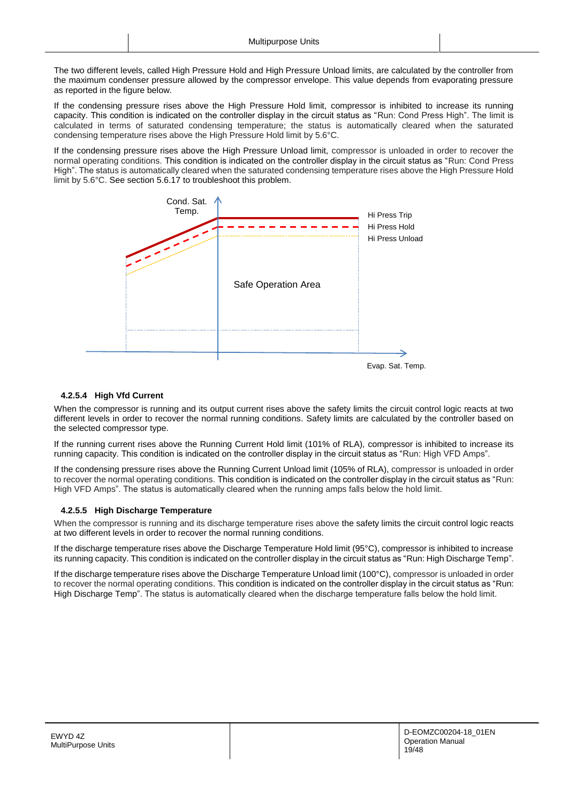The two different levels, called High Pressure Hold and High Pressure Unload limits, are calculated by the controller from the maximum condenser pressure allowed by the compressor envelope. This value depends from evaporating pressure as reported in the figure below.

If the condensing pressure rises above the High Pressure Hold limit, compressor is inhibited to increase its running capacity. This condition is indicated on the controller display in the circuit status as "Run: Cond Press High". The limit is calculated in terms of saturated condensing temperature; the status is automatically cleared when the saturated condensing temperature rises above the High Pressure Hold limit by 5.6°C.

If the condensing pressure rises above the High Pressure Unload limit, compressor is unloaded in order to recover the normal operating conditions. This condition is indicated on the controller display in the circuit status as "Run: Cond Press High". The status is automatically cleared when the saturated condensing temperature rises above the High Pressure Hold limit by 5.6°C. See section [5.6.17](#page-40-2) to troubleshoot this problem.



#### <span id="page-18-0"></span>**4.2.5.4 High Vfd Current**

When the compressor is running and its output current rises above the safety limits the circuit control logic reacts at two different levels in order to recover the normal running conditions. Safety limits are calculated by the controller based on the selected compressor type.

If the running current rises above the Running Current Hold limit (101% of RLA), compressor is inhibited to increase its running capacity. This condition is indicated on the controller display in the circuit status as "Run: High VFD Amps".

If the condensing pressure rises above the Running Current Unload limit (105% of RLA), compressor is unloaded in order to recover the normal operating conditions. This condition is indicated on the controller display in the circuit status as "Run: High VFD Amps". The status is automatically cleared when the running amps falls below the hold limit.

#### <span id="page-18-1"></span>**4.2.5.5 High Discharge Temperature**

When the compressor is running and its discharge temperature rises above the safety limits the circuit control logic reacts at two different levels in order to recover the normal running conditions.

If the discharge temperature rises above the Discharge Temperature Hold limit (95°C), compressor is inhibited to increase its running capacity. This condition is indicated on the controller display in the circuit status as "Run: High Discharge Temp".

If the discharge temperature rises above the Discharge Temperature Unload limit (100°C), compressor is unloaded in order to recover the normal operating conditions. This condition is indicated on the controller display in the circuit status as "Run: High Discharge Temp". The status is automatically cleared when the discharge temperature falls below the hold limit.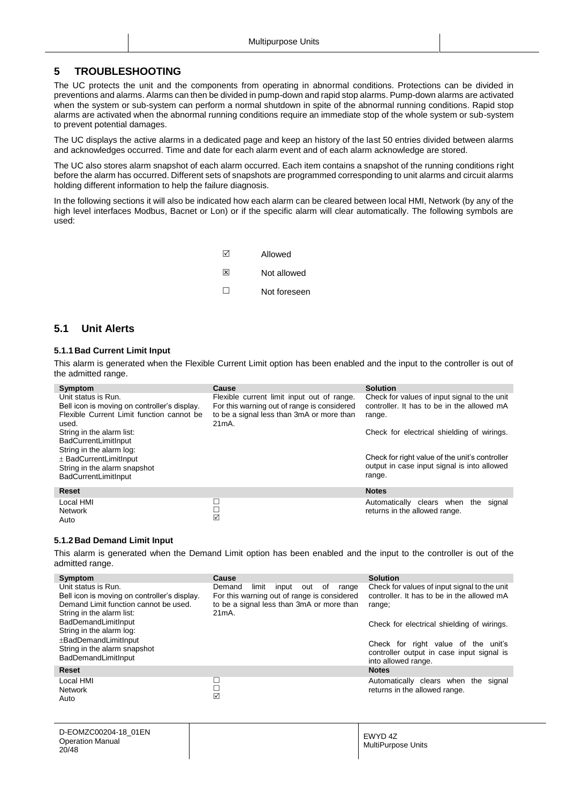## <span id="page-19-0"></span>**5 TROUBLESHOOTING**

The UC protects the unit and the components from operating in abnormal conditions. Protections can be divided in preventions and alarms. Alarms can then be divided in pump-down and rapid stop alarms. Pump-down alarms are activated when the system or sub-system can perform a normal shutdown in spite of the abnormal running conditions. Rapid stop alarms are activated when the abnormal running conditions require an immediate stop of the whole system or sub-system to prevent potential damages.

The UC displays the active alarms in a dedicated page and keep an history of the last 50 entries divided between alarms and acknowledges occurred. Time and date for each alarm event and of each alarm acknowledge are stored.

The UC also stores alarm snapshot of each alarm occurred. Each item contains a snapshot of the running conditions right before the alarm has occurred. Different sets of snapshots are programmed corresponding to unit alarms and circuit alarms holding different information to help the failure diagnosis.

In the following sections it will also be indicated how each alarm can be cleared between local HMI, Network (by any of the high level interfaces Modbus, Bacnet or Lon) or if the specific alarm will clear automatically. The following symbols are used:

| ☑      | Allowed      |
|--------|--------------|
| ⊠      | Not allowed  |
| $\Box$ | Not foreseen |

## <span id="page-19-1"></span>**5.1 Unit Alerts**

#### <span id="page-19-2"></span>**5.1.1Bad Current Limit Input**

This alarm is generated when the Flexible Current Limit option has been enabled and the input to the controller is out of the admitted range.

| Symptom                                                                                                                                                                               | Cause                                                                                                                                              | <b>Solution</b>                                                                                                                                    |
|---------------------------------------------------------------------------------------------------------------------------------------------------------------------------------------|----------------------------------------------------------------------------------------------------------------------------------------------------|----------------------------------------------------------------------------------------------------------------------------------------------------|
| Unit status is Run.<br>Bell icon is moving on controller's display.<br>Flexible Current Limit function cannot be<br>used.<br>String in the alarm list:<br><b>BadCurrentLimitInput</b> | Flexible current limit input out of range.<br>For this warning out of range is considered<br>to be a signal less than 3mA or more than<br>$21mA$ . | Check for values of input signal to the unit<br>controller. It has to be in the allowed mA<br>range.<br>Check for electrical shielding of wirings. |
| String in the alarm log:<br>$\pm$ BadCurrentLimitInput<br>String in the alarm snapshot<br><b>BadCurrentLimitInput</b>                                                                 |                                                                                                                                                    | Check for right value of the unit's controller<br>output in case input signal is into allowed<br>range.                                            |
| <b>Reset</b>                                                                                                                                                                          |                                                                                                                                                    | <b>Notes</b>                                                                                                                                       |
| Local HMI<br><b>Network</b><br>Auto                                                                                                                                                   | □<br>□<br>☑                                                                                                                                        | Automatically clears<br>when<br>the<br>signal<br>returns in the allowed range.                                                                     |

#### <span id="page-19-3"></span>**5.1.2Bad Demand Limit Input**

This alarm is generated when the Demand Limit option has been enabled and the input to the controller is out of the admitted range.

| Symptom                                                                                                                                                                                                                          | Cause                                                                                                                                                  | <b>Solution</b>                                                                                                                                    |
|----------------------------------------------------------------------------------------------------------------------------------------------------------------------------------------------------------------------------------|--------------------------------------------------------------------------------------------------------------------------------------------------------|----------------------------------------------------------------------------------------------------------------------------------------------------|
| Unit status is Run.<br>Bell icon is moving on controller's display.<br>Demand Limit function cannot be used.<br>String in the alarm list:<br><b>BadDemandLimitInput</b><br>String in the alarm log:<br>$\pm$ BadDemandLimitInput | Demand<br>limit<br>of<br>input<br>out<br>range<br>For this warning out of range is considered<br>to be a signal less than 3mA or more than<br>$21mA$ . | Check for values of input signal to the unit<br>controller. It has to be in the allowed mA<br>range;<br>Check for electrical shielding of wirings. |
| String in the alarm snapshot<br><b>BadDemandLimitInput</b>                                                                                                                                                                       |                                                                                                                                                        | Check for right value of the unit's<br>controller output in case input signal is<br>into allowed range.                                            |
| <b>Reset</b>                                                                                                                                                                                                                     |                                                                                                                                                        | <b>Notes</b>                                                                                                                                       |
| Local HMI<br><b>Network</b><br>Auto                                                                                                                                                                                              | ☑                                                                                                                                                      | Automatically clears when<br>the<br>signal<br>returns in the allowed range.                                                                        |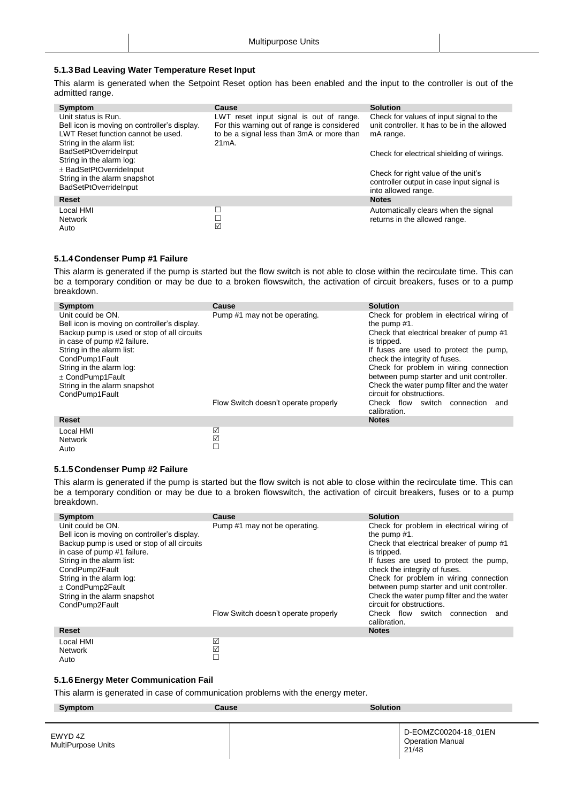#### <span id="page-20-0"></span>**5.1.3Bad Leaving Water Temperature Reset Input**

This alarm is generated when the Setpoint Reset option has been enabled and the input to the controller is out of the admitted range.

| Symptom<br>Unit status is Run.<br>Bell icon is moving on controller's display.<br>LWT Reset function cannot be used. | Cause<br>LWT reset input signal is out of range.<br>For this warning out of range is considered<br>to be a signal less than 3mA or more than | <b>Solution</b><br>Check for values of input signal to the<br>unit controller. It has to be in the allowed |
|----------------------------------------------------------------------------------------------------------------------|----------------------------------------------------------------------------------------------------------------------------------------------|------------------------------------------------------------------------------------------------------------|
| String in the alarm list:<br><b>BadSetPtOverrideInput</b><br>String in the alarm log:                                | $21mA$ .                                                                                                                                     | mA range.<br>Check for electrical shielding of wirings.                                                    |
| $\pm$ BadSetPtOverrideInput<br>String in the alarm snapshot<br><b>BadSetPtOverrideInput</b>                          |                                                                                                                                              | Check for right value of the unit's<br>controller output in case input signal is<br>into allowed range.    |
| <b>Reset</b>                                                                                                         |                                                                                                                                              | <b>Notes</b>                                                                                               |
| Local HMI<br><b>Network</b><br>Auto                                                                                  | ⊑<br>$\Box$<br>☑                                                                                                                             | Automatically clears when the signal<br>returns in the allowed range.                                      |

#### <span id="page-20-1"></span>**5.1.4Condenser Pump #1 Failure**

This alarm is generated if the pump is started but the flow switch is not able to close within the recirculate time. This can be a temporary condition or may be due to a broken flowswitch, the activation of circuit breakers, fuses or to a pump breakdown.

| Symptom                                      | Cause                                | <b>Solution</b>                                        |
|----------------------------------------------|--------------------------------------|--------------------------------------------------------|
| Unit could be ON.                            | Pump #1 may not be operating.        | Check for problem in electrical wiring of              |
| Bell icon is moving on controller's display. |                                      | the pump #1.                                           |
| Backup pump is used or stop of all circuits  |                                      | Check that electrical breaker of pump #1               |
| in case of pump #2 failure.                  |                                      | is tripped.                                            |
| String in the alarm list:                    |                                      | If fuses are used to protect the pump,                 |
| CondPump1Fault                               |                                      | check the integrity of fuses.                          |
| String in the alarm log:                     |                                      | Check for problem in wiring connection                 |
| $\pm$ CondPump1Fault                         |                                      | between pump starter and unit controller.              |
| String in the alarm snapshot                 |                                      | Check the water pump filter and the water              |
| CondPump1Fault                               |                                      | circuit for obstructions.                              |
|                                              | Flow Switch doesn't operate properly | Check flow switch<br>connection<br>and<br>calibration. |
| <b>Reset</b>                                 |                                      | <b>Notes</b>                                           |
| Local HMI                                    | ☑                                    |                                                        |
| <b>Network</b>                               | ☑                                    |                                                        |

Network Auto

Network Auto

#### <span id="page-20-2"></span>**5.1.5Condenser Pump #2 Failure**

This alarm is generated if the pump is started but the flow switch is not able to close within the recirculate time. This can be a temporary condition or may be due to a broken flowswitch, the activation of circuit breakers, fuses or to a pump breakdown.

| Symptom                                                                                                                                                                                                                                                                                              | Cause                                | <b>Solution</b>                                                                                                                                                                                                                                                                                                                                                     |
|------------------------------------------------------------------------------------------------------------------------------------------------------------------------------------------------------------------------------------------------------------------------------------------------------|--------------------------------------|---------------------------------------------------------------------------------------------------------------------------------------------------------------------------------------------------------------------------------------------------------------------------------------------------------------------------------------------------------------------|
| Unit could be ON.<br>Bell icon is moving on controller's display.<br>Backup pump is used or stop of all circuits<br>in case of pump #1 failure.<br>String in the alarm list:<br>CondPump2Fault<br>String in the alarm log:<br>$\pm$ CondPump2Fault<br>String in the alarm snapshot<br>CondPump2Fault | Pump #1 may not be operating.        | Check for problem in electrical wiring of<br>the pump $#1$ .<br>Check that electrical breaker of pump #1<br>is tripped.<br>If fuses are used to protect the pump,<br>check the integrity of fuses.<br>Check for problem in wiring connection<br>between pump starter and unit controller.<br>Check the water pump filter and the water<br>circuit for obstructions. |
|                                                                                                                                                                                                                                                                                                      | Flow Switch doesn't operate properly | Check flow switch connection<br>and<br>calibration.                                                                                                                                                                                                                                                                                                                 |
| <b>Reset</b>                                                                                                                                                                                                                                                                                         |                                      | <b>Notes</b>                                                                                                                                                                                                                                                                                                                                                        |
| Local HMI                                                                                                                                                                                                                                                                                            | ☑                                    |                                                                                                                                                                                                                                                                                                                                                                     |

#### <span id="page-20-3"></span>**5.1.6Energy Meter Communication Fail**

This alarm is generated in case of communication problems with the energy meter.

☑  $\Box$ 

 $\Box$ 

| Symptom                       | Cause | <b>Solution</b>                                          |
|-------------------------------|-------|----------------------------------------------------------|
| EWYD 4Z<br>MultiPurpose Units |       | D-EOMZC00204-18_01EN<br><b>Operation Manual</b><br>21/48 |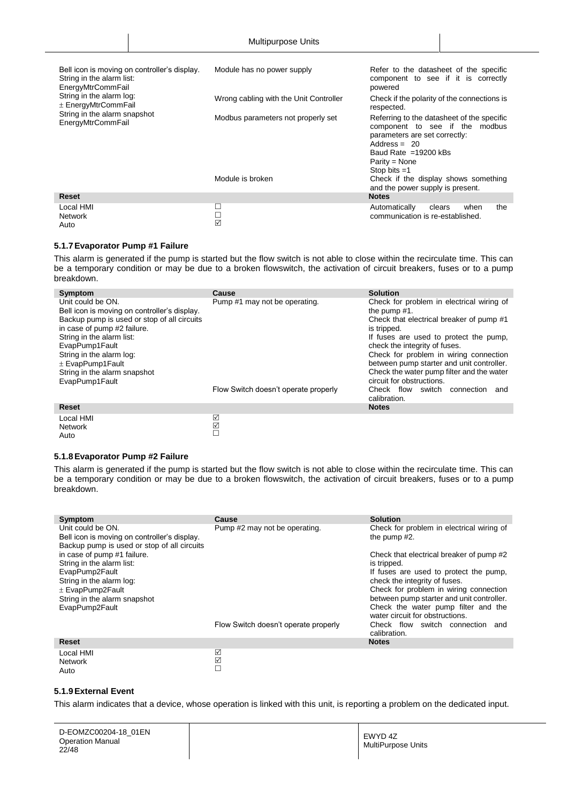| Bell icon is moving on controller's display.<br>String in the alarm list:<br>EnergyMtrCommFail | Module has no power supply             | Refer to the datasheet of the specific<br>component to see if it is correctly<br>powered                                                                                                          |
|------------------------------------------------------------------------------------------------|----------------------------------------|---------------------------------------------------------------------------------------------------------------------------------------------------------------------------------------------------|
| String in the alarm log:<br>$\pm$ EnergyMtrCommFail                                            | Wrong cabling with the Unit Controller | Check if the polarity of the connections is<br>respected.                                                                                                                                         |
| String in the alarm snapshot<br>EnergyMtrCommFail                                              | Modbus parameters not properly set     | Referring to the datasheet of the specific<br>component to see if the<br>modbus<br>parameters are set correctly:<br>Address = $20$<br>Baud Rate $=19200$ kBs<br>$Parity = None$<br>Stop bits $=1$ |
|                                                                                                | Module is broken                       | Check if the display shows something<br>and the power supply is present.                                                                                                                          |
| <b>Reset</b>                                                                                   |                                        | <b>Notes</b>                                                                                                                                                                                      |
| Local HMI<br><b>Network</b><br>Auto                                                            | ☑                                      | the<br>Automatically<br>when<br>clears<br>communication is re-established.                                                                                                                        |

#### <span id="page-21-0"></span>**5.1.7Evaporator Pump #1 Failure**

This alarm is generated if the pump is started but the flow switch is not able to close within the recirculate time. This can be a temporary condition or may be due to a broken flowswitch, the activation of circuit breakers, fuses or to a pump breakdown.

| Symptom                                                                                                                                                                                                                                                                                              | Cause                                | <b>Solution</b>                                                                                                                                                                                                                                                                                                                                                     |
|------------------------------------------------------------------------------------------------------------------------------------------------------------------------------------------------------------------------------------------------------------------------------------------------------|--------------------------------------|---------------------------------------------------------------------------------------------------------------------------------------------------------------------------------------------------------------------------------------------------------------------------------------------------------------------------------------------------------------------|
| Unit could be ON.<br>Bell icon is moving on controller's display.<br>Backup pump is used or stop of all circuits<br>in case of pump #2 failure.<br>String in the alarm list:<br>EvapPump1Fault<br>String in the alarm log:<br>$\pm$ EvapPump1Fault<br>String in the alarm snapshot<br>EvapPump1Fault | Pump #1 may not be operating.        | Check for problem in electrical wiring of<br>the pump $#1$ .<br>Check that electrical breaker of pump #1<br>is tripped.<br>If fuses are used to protect the pump,<br>check the integrity of fuses.<br>Check for problem in wiring connection<br>between pump starter and unit controller.<br>Check the water pump filter and the water<br>circuit for obstructions. |
|                                                                                                                                                                                                                                                                                                      | Flow Switch doesn't operate properly | Check flow switch connection and<br>calibration.                                                                                                                                                                                                                                                                                                                    |
| Reset                                                                                                                                                                                                                                                                                                |                                      | <b>Notes</b>                                                                                                                                                                                                                                                                                                                                                        |
| Local HMI<br><b>Network</b>                                                                                                                                                                                                                                                                          | ☑<br>$\boxed{\checkmark}$            |                                                                                                                                                                                                                                                                                                                                                                     |

#### <span id="page-21-1"></span>**5.1.8Evaporator Pump #2 Failure**

Auto

This alarm is generated if the pump is started but the flow switch is not able to close within the recirculate time. This can be a temporary condition or may be due to a broken flowswitch, the activation of circuit breakers, fuses or to a pump breakdown.

 $\Box$ 

| Symptom                                                                                                          | Cause                                | <b>Solution</b>                                                         |
|------------------------------------------------------------------------------------------------------------------|--------------------------------------|-------------------------------------------------------------------------|
| Unit could be ON.<br>Bell icon is moving on controller's display.<br>Backup pump is used or stop of all circuits | Pump #2 may not be operating.        | Check for problem in electrical wiring of<br>the pump #2.               |
| in case of pump #1 failure.<br>String in the alarm list:                                                         |                                      | Check that electrical breaker of pump #2<br>is tripped.                 |
| EvapPump2Fault<br>String in the alarm log:                                                                       |                                      | If fuses are used to protect the pump,<br>check the integrity of fuses. |
| $\pm$ EvapPump2Fault                                                                                             |                                      | Check for problem in wiring connection                                  |
| String in the alarm snapshot                                                                                     |                                      | between pump starter and unit controller.                               |
| EvapPump2Fault                                                                                                   |                                      | Check the water pump filter and the<br>water circuit for obstructions.  |
|                                                                                                                  | Flow Switch doesn't operate properly | Check flow switch connection<br>and<br>calibration.                     |
| <b>Reset</b>                                                                                                     |                                      | <b>Notes</b>                                                            |
| Local HMI<br><b>Network</b><br>Auto                                                                              | ☑<br>☑<br>Е                          |                                                                         |

#### <span id="page-21-2"></span>**5.1.9External Event**

This alarm indicates that a device, whose operation is linked with this unit, is reporting a problem on the dedicated input.

D-EOMZC00204-18\_01EN Operation Manual 22/48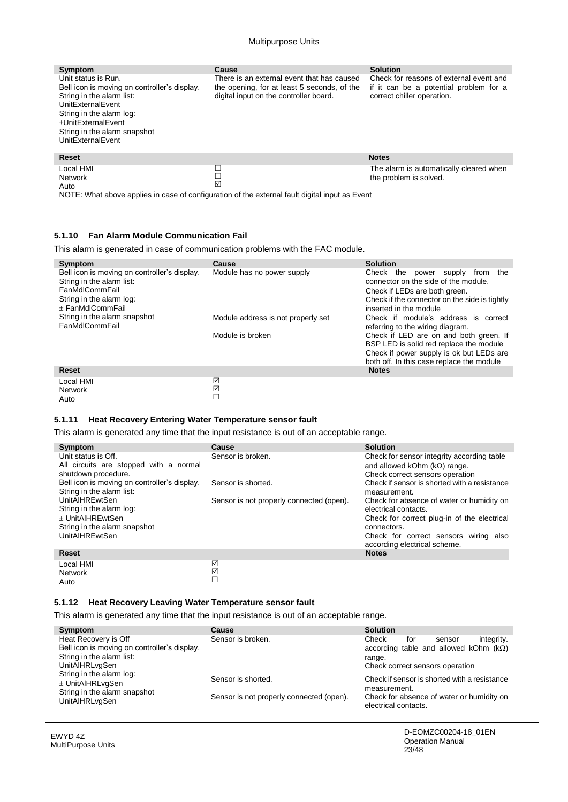| Symptom<br>Unit status is Run.<br>Bell icon is moving on controller's display.<br>String in the alarm list:<br>UnitExternalEvent<br>String in the alarm log:<br>+UnitExternalEvent<br>String in the alarm snapshot<br>UnitExternalEvent | Cause<br>There is an external event that has caused<br>the opening, for at least 5 seconds, of the<br>digital input on the controller board. | <b>Solution</b><br>Check for reasons of external event and<br>if it can be a potential problem for a<br>correct chiller operation. |
|-----------------------------------------------------------------------------------------------------------------------------------------------------------------------------------------------------------------------------------------|----------------------------------------------------------------------------------------------------------------------------------------------|------------------------------------------------------------------------------------------------------------------------------------|
| <b>Reset</b>                                                                                                                                                                                                                            |                                                                                                                                              | <b>Notes</b>                                                                                                                       |
| Local HMI<br><b>Network</b><br>Auto                                                                                                                                                                                                     | □<br>☑                                                                                                                                       | The alarm is automatically cleared when<br>the problem is solved.                                                                  |

NOTE: What above applies in case of configuration of the external fault digital input as Event

## <span id="page-22-0"></span>**5.1.10 Fan Alarm Module Communication Fail**

This alarm is generated in case of communication problems with the FAC module.

| Symptom                                                                                                                                     | Cause                              | <b>Solution</b>                                                                                                                                                                                    |
|---------------------------------------------------------------------------------------------------------------------------------------------|------------------------------------|----------------------------------------------------------------------------------------------------------------------------------------------------------------------------------------------------|
| Bell icon is moving on controller's display.<br>String in the alarm list:<br>FanMdlCommFail<br>String in the alarm log:<br>+ FanMdlCommFail | Module has no power supply         | Check<br>the<br>the<br>supply<br>from<br>power<br>connector on the side of the module.<br>Check if LEDs are both green.<br>Check if the connector on the side is tightly<br>inserted in the module |
| String in the alarm snapshot<br>FanMdlCommFail                                                                                              | Module address is not properly set | Check if module's address is correct<br>referring to the wiring diagram.                                                                                                                           |
|                                                                                                                                             | Module is broken                   | Check if LED are on and both green. If<br>BSP LED is solid red replace the module<br>Check if power supply is ok but LEDs are<br>both off. In this case replace the module                         |
| <b>Reset</b>                                                                                                                                |                                    | <b>Notes</b>                                                                                                                                                                                       |
| Local HMI<br><b>Network</b>                                                                                                                 | ☑<br>☑                             |                                                                                                                                                                                                    |

#### **5.1.11 Heat Recovery Entering Water Temperature sensor fault**

This alarm is generated any time that the input resistance is out of an acceptable range.

 $\Box$ 

| Symptom                                      | Cause                                    | <b>Solution</b>                              |
|----------------------------------------------|------------------------------------------|----------------------------------------------|
| Unit status is Off.                          | Sensor is broken.                        | Check for sensor integrity according table   |
| All circuits are stopped with a normal       |                                          | and allowed kOhm ( $k\Omega$ ) range.        |
| shutdown procedure.                          |                                          | Check correct sensors operation              |
| Bell icon is moving on controller's display. | Sensor is shorted.                       | Check if sensor is shorted with a resistance |
| String in the alarm list:                    |                                          | measurement.                                 |
| <b>UnitAIHREwtSen</b>                        | Sensor is not properly connected (open). | Check for absence of water or humidity on    |
| String in the alarm log:                     |                                          | electrical contacts.                         |
| + UnitAIHREwtSen                             |                                          | Check for correct plug-in of the electrical  |
| String in the alarm snapshot                 |                                          | connectors.                                  |
| <b>UnitAIHREwtSen</b>                        |                                          | Check for correct sensors wiring also        |
|                                              |                                          | according electrical scheme.                 |
| <b>Reset</b>                                 |                                          | <b>Notes</b>                                 |
| Local HMI                                    | ☑                                        |                                              |
| <b>Network</b>                               | $\overline{\mathsf{M}}$                  |                                              |

#### **5.1.12 Heat Recovery Leaving Water Temperature sensor fault**

EWYD 4Z MultiPurpose Units

<span id="page-22-2"></span>Auto

<span id="page-22-1"></span>Auto

This alarm is generated any time that the input resistance is out of an acceptable range.

 $\Box$ 

| Symptom                                                                   | Cause                                    | <b>Solution</b>                                                   |
|---------------------------------------------------------------------------|------------------------------------------|-------------------------------------------------------------------|
| Heat Recovery is Off                                                      | Sensor is broken.                        | integrity.<br>Check<br>for<br>sensor                              |
| Bell icon is moving on controller's display.<br>String in the alarm list: |                                          | according table and allowed kOhm ( $k\Omega$ )<br>range.          |
| <b>UnitAlHRLvgSen</b>                                                     |                                          | Check correct sensors operation                                   |
| String in the alarm log:                                                  | Sensor is shorted.                       | Check if sensor is shorted with a resistance                      |
| $\pm$ UnitAlHRLvgSen                                                      |                                          | measurement.                                                      |
| String in the alarm snapshot<br><b>UnitAlHRLvgSen</b>                     | Sensor is not properly connected (open). | Check for absence of water or humidity on<br>electrical contacts. |
|                                                                           |                                          |                                                                   |

D-EOMZC00204-18\_01EN Operation Manual 23/48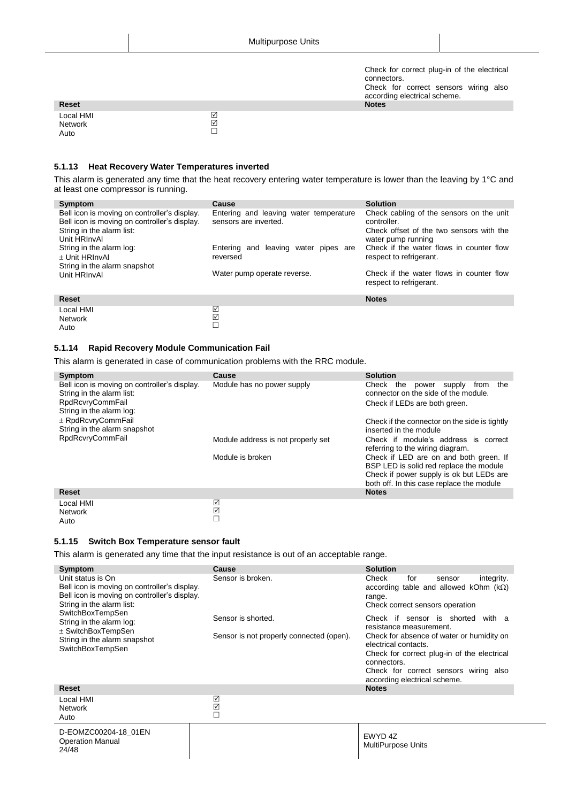Check for correct plug-in of the electrical connectors. Check for correct sensors wiring also according electrical scheme.

| Reset                        |             | <b>Notes</b> |
|------------------------------|-------------|--------------|
| Local HMI<br>Network<br>Auto | ⊻<br>☑<br>╾ |              |

#### <span id="page-23-0"></span>**5.1.13 Heat Recovery Water Temperatures inverted**

This alarm is generated any time that the heat recovery entering water temperature is lower than the leaving by 1°C and at least one compressor is running.

| Symptom<br>Bell icon is moving on controller's display.<br>Bell icon is moving on controller's display.<br>String in the alarm list:<br>Unit HRInvAl<br>String in the alarm log:<br>+ Unit HRInvAl<br>String in the alarm snapshot<br>Unit HRInvAI | Cause<br>Entering and leaving water temperature<br>sensors are inverted.<br>Entering and leaving water pipes are<br>reversed<br>Water pump operate reverse. | <b>Solution</b><br>Check cabling of the sensors on the unit<br>controller.<br>Check offset of the two sensors with the<br>water pump running<br>Check if the water flows in counter flow<br>respect to refrigerant.<br>Check if the water flows in counter flow<br>respect to refrigerant. |
|----------------------------------------------------------------------------------------------------------------------------------------------------------------------------------------------------------------------------------------------------|-------------------------------------------------------------------------------------------------------------------------------------------------------------|--------------------------------------------------------------------------------------------------------------------------------------------------------------------------------------------------------------------------------------------------------------------------------------------|
| <b>Reset</b>                                                                                                                                                                                                                                       |                                                                                                                                                             | <b>Notes</b>                                                                                                                                                                                                                                                                               |
| Local HMI<br><b>Network</b>                                                                                                                                                                                                                        | ☑<br>☑                                                                                                                                                      |                                                                                                                                                                                                                                                                                            |

#### <span id="page-23-1"></span>**5.1.14 Rapid Recovery Module Communication Fail**

Auto

<span id="page-23-2"></span>Auto

This alarm is generated in case of communication problems with the RRC module.

 $\Box$ 

| Symptom                                                                                                                          | Cause                              | <b>Solution</b>                                                                                                                                                            |
|----------------------------------------------------------------------------------------------------------------------------------|------------------------------------|----------------------------------------------------------------------------------------------------------------------------------------------------------------------------|
| Bell icon is moving on controller's display.<br>String in the alarm list:<br><b>RpdRcvryCommFail</b><br>String in the alarm log: | Module has no power supply         | Check<br>the<br>supply<br>the<br>from<br>power<br>connector on the side of the module.<br>Check if LEDs are both green.                                                    |
| ± RpdRcvryCommFail<br>String in the alarm snapshot                                                                               |                                    | Check if the connector on the side is tightly<br>inserted in the module                                                                                                    |
| <b>RpdRcvryCommFail</b>                                                                                                          | Module address is not properly set | Check if module's address is correct<br>referring to the wiring diagram.                                                                                                   |
|                                                                                                                                  | Module is broken                   | Check if LED are on and both green. If<br>BSP LED is solid red replace the module<br>Check if power supply is ok but LEDs are<br>both off. In this case replace the module |
| <b>Reset</b>                                                                                                                     |                                    | <b>Notes</b>                                                                                                                                                               |
| Local HMI<br><b>Network</b>                                                                                                      | ☑<br>$\overline{\mathsf{M}}$       |                                                                                                                                                                            |

#### **5.1.15 Switch Box Temperature sensor fault**

This alarm is generated any time that the input resistance is out of an acceptable range.

 $\Box$ 

| Symptom                                                                                                                                        | Cause                                                          | <b>Solution</b>                                                                                                                     |
|------------------------------------------------------------------------------------------------------------------------------------------------|----------------------------------------------------------------|-------------------------------------------------------------------------------------------------------------------------------------|
| Unit status is On<br>Bell icon is moving on controller's display.<br>Bell icon is moving on controller's display.<br>String in the alarm list: | Sensor is broken.                                              | Check<br>for<br>integrity.<br>sensor<br>according table and allowed kOhm $(k\Omega)$<br>range.<br>Check correct sensors operation   |
| SwitchBoxTempSen<br>String in the alarm log:<br>$±$ SwitchBoxTempSen<br>String in the alarm snapshot<br>SwitchBoxTempSen                       | Sensor is shorted.<br>Sensor is not properly connected (open). | Check if sensor is shorted with a<br>resistance measurement.<br>Check for absence of water or humidity on<br>electrical contacts.   |
|                                                                                                                                                |                                                                | Check for correct plug-in of the electrical<br>connectors.<br>Check for correct sensors wiring also<br>according electrical scheme. |
| <b>Reset</b>                                                                                                                                   |                                                                | <b>Notes</b>                                                                                                                        |
| Local HMI<br><b>Network</b><br>Auto                                                                                                            | ☑<br>☑<br>$\Box$                                               |                                                                                                                                     |
| D-EOMZC00204-18 01EN<br><b>Operation Manual</b><br>24/48                                                                                       |                                                                | EWYD 4Z<br>MultiPurpose Units                                                                                                       |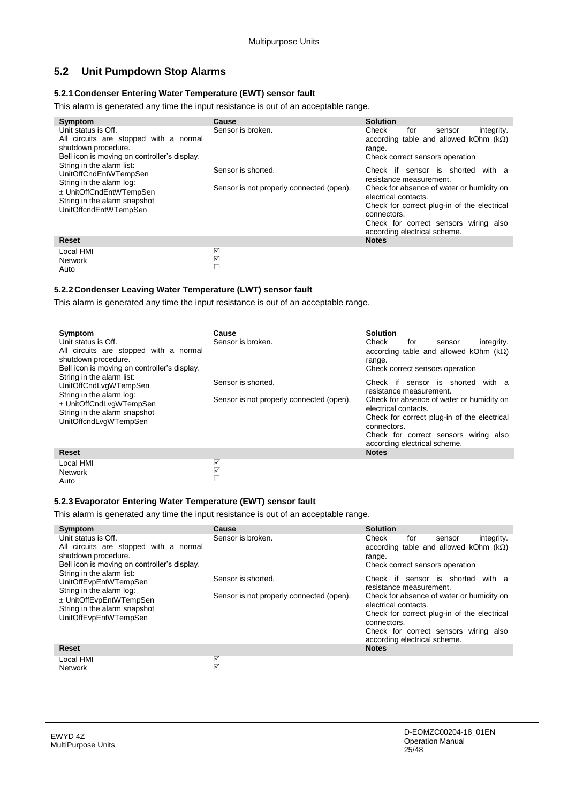## <span id="page-24-0"></span>**5.2 Unit Pumpdown Stop Alarms**

#### <span id="page-24-1"></span>**5.2.1Condenser Entering Water Temperature (EWT) sensor fault**

This alarm is generated any time the input resistance is out of an acceptable range.

| Symptom                                                                                                                                                                                                                                                                                                    | <b>Cause</b>                                                                        | <b>Solution</b>                                                                                                                                                                                                                                                                                                                                                                  |
|------------------------------------------------------------------------------------------------------------------------------------------------------------------------------------------------------------------------------------------------------------------------------------------------------------|-------------------------------------------------------------------------------------|----------------------------------------------------------------------------------------------------------------------------------------------------------------------------------------------------------------------------------------------------------------------------------------------------------------------------------------------------------------------------------|
| Unit status is Off.<br>All circuits are stopped with a normal<br>shutdown procedure.<br>Bell icon is moving on controller's display.<br>String in the alarm list:<br>UnitOffCndEntWTempSen<br>String in the alarm log:<br>± UnitOffCndEntWTempSen<br>String in the alarm snapshot<br>UnitOffcndEntWTempSen | Sensor is broken.<br>Sensor is shorted.<br>Sensor is not properly connected (open). | Check<br>integrity.<br>for<br>sensor<br>according table and allowed kOhm $(k\Omega)$<br>range.<br>Check correct sensors operation<br>Check if sensor is shorted<br>with a<br>resistance measurement.<br>Check for absence of water or humidity on<br>electrical contacts.<br>Check for correct plug-in of the electrical<br>connectors.<br>Check for correct sensors wiring also |
| <b>Reset</b>                                                                                                                                                                                                                                                                                               |                                                                                     | according electrical scheme.<br><b>Notes</b>                                                                                                                                                                                                                                                                                                                                     |
|                                                                                                                                                                                                                                                                                                            |                                                                                     |                                                                                                                                                                                                                                                                                                                                                                                  |
| Local HMI                                                                                                                                                                                                                                                                                                  | ☑                                                                                   |                                                                                                                                                                                                                                                                                                                                                                                  |
| <b>Network</b>                                                                                                                                                                                                                                                                                             | ☑                                                                                   |                                                                                                                                                                                                                                                                                                                                                                                  |

#### <span id="page-24-2"></span>**5.2.2Condenser Leaving Water Temperature (LWT) sensor fault**

This alarm is generated any time the input resistance is out of an acceptable range.

 $\Box$ 

| Symptom<br>Unit status is Off.<br>All circuits are stopped with a normal<br>shutdown procedure.<br>Bell icon is moving on controller's display.<br>String in the alarm list:<br>UnitOffCndLvgWTempSen<br>String in the alarm log:<br>± UnitOffCndLvqWTempSen<br>String in the alarm snapshot<br>UnitOffcndLvgWTempSen | Cause<br>Sensor is broken.<br>Sensor is shorted.<br>Sensor is not properly connected (open). | <b>Solution</b><br>Check<br>integrity.<br>for<br>sensor<br>according table and allowed kOhm $(k\Omega)$<br>range.<br>Check correct sensors operation<br>Check if sensor is shorted<br>with a<br>resistance measurement.<br>Check for absence of water or humidity on<br>electrical contacts.<br>Check for correct plug-in of the electrical<br>connectors.<br>Check for correct sensors wiring also |
|-----------------------------------------------------------------------------------------------------------------------------------------------------------------------------------------------------------------------------------------------------------------------------------------------------------------------|----------------------------------------------------------------------------------------------|-----------------------------------------------------------------------------------------------------------------------------------------------------------------------------------------------------------------------------------------------------------------------------------------------------------------------------------------------------------------------------------------------------|
|                                                                                                                                                                                                                                                                                                                       |                                                                                              | according electrical scheme.                                                                                                                                                                                                                                                                                                                                                                        |
| <b>Reset</b>                                                                                                                                                                                                                                                                                                          |                                                                                              | <b>Notes</b>                                                                                                                                                                                                                                                                                                                                                                                        |
| Local HMI<br><b>Network</b>                                                                                                                                                                                                                                                                                           | ☑<br>☑                                                                                       |                                                                                                                                                                                                                                                                                                                                                                                                     |

#### **5.2.3Evaporator Entering Water Temperature (EWT) sensor fault**

This alarm is generated any time the input resistance is out of an acceptable range.

 $\Box$ 

| Symptom                                                                                                                                   | Cause                                                          | <b>Solution</b>                                                                                                                                                                     |
|-------------------------------------------------------------------------------------------------------------------------------------------|----------------------------------------------------------------|-------------------------------------------------------------------------------------------------------------------------------------------------------------------------------------|
| Unit status is Off.<br>All circuits are stopped with a normal<br>shutdown procedure.<br>Bell icon is moving on controller's display.      | Sensor is broken.                                              | Check<br>integrity.<br>for<br>sensor<br>according table and allowed kOhm $(k\Omega)$<br>range.<br>Check correct sensors operation                                                   |
| String in the alarm list:<br>UnitOffEvpEntWTempSen<br>String in the alarm log:<br>± UnitOffEvpEntWTempSen<br>String in the alarm snapshot | Sensor is shorted.<br>Sensor is not properly connected (open). | Check if sensor is shorted<br>with a<br>resistance measurement.<br>Check for absence of water or humidity on<br>electrical contacts.<br>Check for correct plug-in of the electrical |
| UnitOffEvpEntWTempSen                                                                                                                     |                                                                | connectors.<br>Check for correct sensors wiring also<br>according electrical scheme.                                                                                                |
| <b>Reset</b>                                                                                                                              |                                                                | <b>Notes</b>                                                                                                                                                                        |
| Local HMI                                                                                                                                 | ☑                                                              |                                                                                                                                                                                     |

<span id="page-24-3"></span>Auto

Auto

EWYD 4Z MultiPurpose Units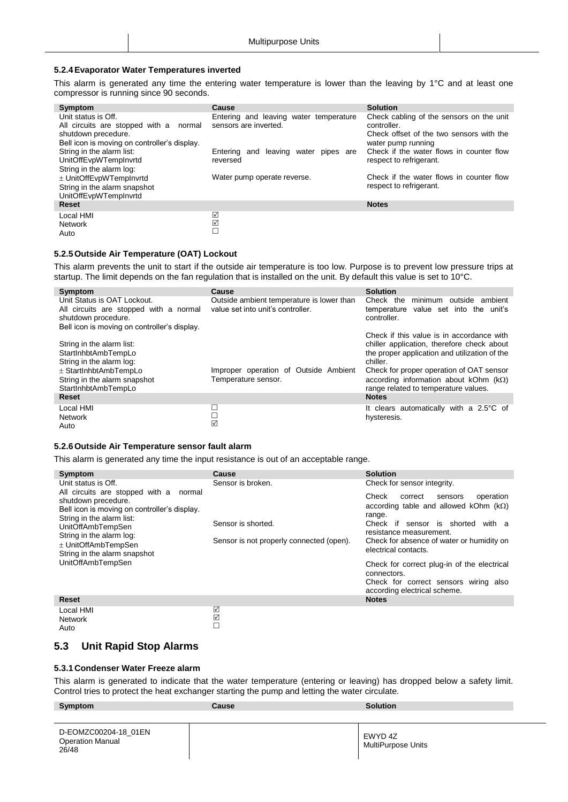#### <span id="page-25-0"></span>**5.2.4Evaporator Water Temperatures inverted**

This alarm is generated any time the entering water temperature is lower than the leaving by 1°C and at least one compressor is running since 90 seconds.

| Symptom                                      | Cause                                  | <b>Solution</b>                          |
|----------------------------------------------|----------------------------------------|------------------------------------------|
| Unit status is Off.                          | Entering and leaving water temperature | Check cabling of the sensors on the unit |
| All circuits are stopped with a normal       | sensors are inverted.                  | controller.                              |
| shutdown precedure.                          |                                        | Check offset of the two sensors with the |
| Bell icon is moving on controller's display. |                                        | water pump running                       |
| String in the alarm list:                    | Entering and leaving water pipes are   | Check if the water flows in counter flow |
| UnitOffEvpWTempInvrtd                        | reversed                               | respect to refrigerant.                  |
| String in the alarm log:                     |                                        |                                          |
| ± UnitOffEvpWTempInvrtd                      | Water pump operate reverse.            | Check if the water flows in counter flow |
| String in the alarm snapshot                 |                                        | respect to refrigerant.                  |
| UnitOffEvpWTempInvrtd                        |                                        |                                          |
| Reset                                        |                                        | <b>Notes</b>                             |
| Local HMI                                    | ☑                                      |                                          |
| <b>Network</b>                               | ☑                                      |                                          |
| Auto                                         |                                        |                                          |

#### <span id="page-25-1"></span>**5.2.5Outside Air Temperature (OAT) Lockout**

This alarm prevents the unit to start if the outside air temperature is too low. Purpose is to prevent low pressure trips at startup. The limit depends on the fan regulation that is installed on the unit. By default this value is set to 10°C.

| Symptom                                                                                                                                                          | Cause                                                                          | <b>Solution</b>                                                                                                                                                                                                                                                                          |
|------------------------------------------------------------------------------------------------------------------------------------------------------------------|--------------------------------------------------------------------------------|------------------------------------------------------------------------------------------------------------------------------------------------------------------------------------------------------------------------------------------------------------------------------------------|
| Unit Status is OAT Lockout.<br>All circuits are stopped with a normal<br>shutdown procedure.<br>Bell icon is moving on controller's display.                     | Outside ambient temperature is lower than<br>value set into unit's controller. | minimum outside<br>Check the<br>ambient<br>temperature value set into the unit's<br>controller.                                                                                                                                                                                          |
| String in the alarm list:<br>StartInhbtAmbTempLo<br>String in the alarm log:<br>$\pm$ StartInhbtAmbTempLo<br>String in the alarm snapshot<br>StartInhbtAmbTempLo | Improper operation of Outside Ambient<br>Temperature sensor.                   | Check if this value is in accordance with<br>chiller application, therefore check about<br>the proper application and utilization of the<br>chiller.<br>Check for proper operation of OAT sensor<br>according information about kOhm $(k\Omega)$<br>range related to temperature values. |
| Reset                                                                                                                                                            |                                                                                | <b>Notes</b>                                                                                                                                                                                                                                                                             |
| Local HMI<br><b>Network</b><br>Auto                                                                                                                              | L<br>$\Box$<br>☑                                                               | It clears automatically with a 2.5°C of<br>hysteresis.                                                                                                                                                                                                                                   |

#### <span id="page-25-2"></span>**5.2.6Outside Air Temperature sensor fault alarm**

This alarm is generated any time the input resistance is out of an acceptable range.

| Symptom                                                                                                                                                                                                                                                                 | Cause                                                          | <b>Solution</b>                                                                                                                                                                                                                                                                                                                                                                   |
|-------------------------------------------------------------------------------------------------------------------------------------------------------------------------------------------------------------------------------------------------------------------------|----------------------------------------------------------------|-----------------------------------------------------------------------------------------------------------------------------------------------------------------------------------------------------------------------------------------------------------------------------------------------------------------------------------------------------------------------------------|
| Unit status is Off.                                                                                                                                                                                                                                                     | Sensor is broken.                                              | Check for sensor integrity.                                                                                                                                                                                                                                                                                                                                                       |
| All circuits are stopped with a normal<br>shutdown precedure.<br>Bell icon is moving on controller's display.<br>String in the alarm list:<br>UnitOffAmbTempSen<br>String in the alarm log:<br>± UnitOffAmbTempSen<br>String in the alarm snapshot<br>UnitOffAmbTempSen | Sensor is shorted.<br>Sensor is not properly connected (open). | Check<br>operation<br>correct<br>sensors<br>according table and allowed kOhm $(k\Omega)$<br>range.<br>Check if sensor is shorted<br>with a<br>resistance measurement.<br>Check for absence of water or humidity on<br>electrical contacts.<br>Check for correct plug-in of the electrical<br>connectors.<br>Check for correct sensors wiring also<br>according electrical scheme. |
| <b>Reset</b>                                                                                                                                                                                                                                                            |                                                                | <b>Notes</b>                                                                                                                                                                                                                                                                                                                                                                      |
| Local HMI<br><b>Network</b><br>Auto                                                                                                                                                                                                                                     | ☑<br>☑<br>П                                                    |                                                                                                                                                                                                                                                                                                                                                                                   |

#### <span id="page-25-4"></span><span id="page-25-3"></span>**5.3 Unit Rapid Stop Alarms**

#### **5.3.1Condenser Water Freeze alarm**

This alarm is generated to indicate that the water temperature (entering or leaving) has dropped below a safety limit. Control tries to protect the heat exchanger starting the pump and letting the water circulate.

| Symptom                                                  | Cause | <b>Solution</b>               |
|----------------------------------------------------------|-------|-------------------------------|
| D-EOMZC00204-18 01EN<br><b>Operation Manual</b><br>26/48 |       | EWYD 4Z<br>MultiPurpose Units |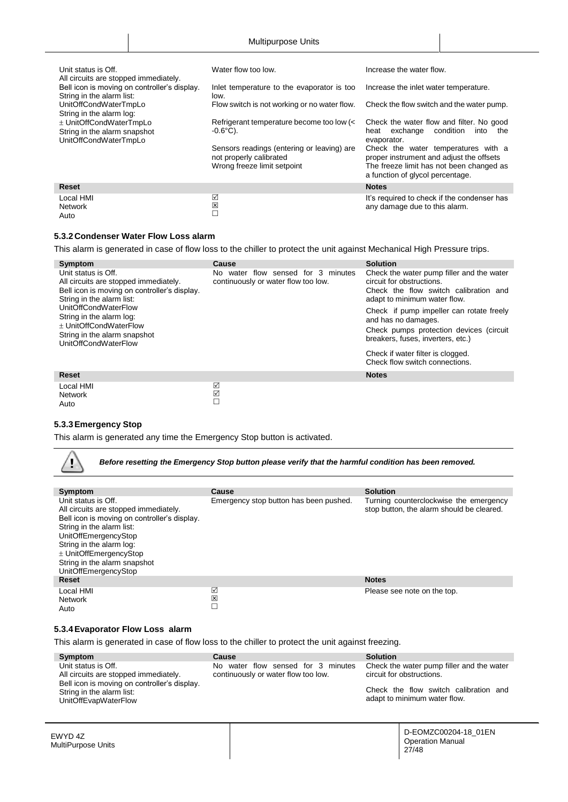| Unit status is Off.<br>All circuits are stopped immediately.                     | Water flow too low.                                                                                  | Increase the water flow.                                                                                                                                        |
|----------------------------------------------------------------------------------|------------------------------------------------------------------------------------------------------|-----------------------------------------------------------------------------------------------------------------------------------------------------------------|
| Bell icon is moving on controller's display.<br>String in the alarm list:        | Inlet temperature to the evaporator is too<br>low.                                                   | Increase the inlet water temperature.                                                                                                                           |
| UnitOffCondWaterTmpLo<br>String in the alarm log:                                | Flow switch is not working or no water flow.                                                         | Check the flow switch and the water pump.                                                                                                                       |
| ± UnitOffCondWaterTmpLo<br>String in the alarm snapshot<br>UnitOffCondWaterTmpLo | Refrigerant temperature become too low (<<br>$-0.6^{\circ}$ C).                                      | Check the water flow and filter. No good<br>condition<br>exchange<br>into<br>the<br>heat<br>evaporator.                                                         |
|                                                                                  | Sensors readings (entering or leaving) are<br>not properly calibrated<br>Wrong freeze limit setpoint | Check the water temperatures with a<br>proper instrument and adjust the offsets<br>The freeze limit has not been changed as<br>a function of glycol percentage. |
| <b>Reset</b>                                                                     |                                                                                                      | <b>Notes</b>                                                                                                                                                    |
| Local HMI<br><b>Network</b><br>Auto                                              | ☑<br>図<br>П                                                                                          | It's required to check if the condenser has<br>any damage due to this alarm.                                                                                    |

#### <span id="page-26-0"></span>**5.3.2Condenser Water Flow Loss alarm**

This alarm is generated in case of flow loss to the chiller to protect the unit against Mechanical High Pressure trips.

| Symptom                                                                                                                                   | <b>Cause</b>                                                                  | <b>Solution</b>                                                                                                                                 |
|-------------------------------------------------------------------------------------------------------------------------------------------|-------------------------------------------------------------------------------|-------------------------------------------------------------------------------------------------------------------------------------------------|
| Unit status is Off.<br>All circuits are stopped immediately.<br>Bell icon is moving on controller's display.<br>String in the alarm list: | water flow sensed for 3 minutes<br>No.<br>continuously or water flow too low. | Check the water pump filler and the water<br>circuit for obstructions.<br>Check the flow switch calibration and<br>adapt to minimum water flow. |
| UnitOffCondWaterFlow<br>String in the alarm log:<br>+ UnitOffCondWaterFlow                                                                |                                                                               | Check if pump impeller can rotate freely<br>and has no damages.                                                                                 |
| String in the alarm snapshot<br>UnitOffCondWaterFlow                                                                                      |                                                                               | Check pumps protection devices (circuit<br>breakers, fuses, inverters, etc.)                                                                    |
|                                                                                                                                           |                                                                               | Check if water filter is clogged.<br>Check flow switch connections.                                                                             |
| <b>Reset</b>                                                                                                                              |                                                                               | <b>Notes</b>                                                                                                                                    |
| Local HMI                                                                                                                                 | ☑                                                                             |                                                                                                                                                 |
| Network                                                                                                                                   | ☑                                                                             |                                                                                                                                                 |
| Auto                                                                                                                                      | П                                                                             |                                                                                                                                                 |

#### <span id="page-26-1"></span>**5.3.3Emergency Stop**

 $\mathbf{r}$ 

This alarm is generated any time the Emergency Stop button is activated.

*Before resetting the Emergency Stop button please verify that the harmful condition has been removed.*

| Symptom                                                                                                                                                                                                                                                                             | Cause                                  | <b>Solution</b>                                                                     |
|-------------------------------------------------------------------------------------------------------------------------------------------------------------------------------------------------------------------------------------------------------------------------------------|----------------------------------------|-------------------------------------------------------------------------------------|
| Unit status is Off.<br>All circuits are stopped immediately.<br>Bell icon is moving on controller's display.<br>String in the alarm list:<br>UnitOffEmergencyStop<br>String in the alarm log:<br>$\pm$ UnitOffEmergencyStop<br>String in the alarm snapshot<br>UnitOffEmergencyStop | Emergency stop button has been pushed. | Turning counterclockwise the emergency<br>stop button, the alarm should be cleared. |
| <b>Reset</b>                                                                                                                                                                                                                                                                        |                                        | <b>Notes</b>                                                                        |
| Local HMI<br><b>Network</b><br>Auto                                                                                                                                                                                                                                                 | ☑<br>⊠<br>П                            | Please see note on the top.                                                         |

#### <span id="page-26-2"></span>**5.3.4Evaporator Flow Loss alarm**

This alarm is generated in case of flow loss to the chiller to protect the unit against freezing.

| Symptom                                                                                                                                                           | Cause                                                                         | <b>Solution</b>                                                                                                                                 |
|-------------------------------------------------------------------------------------------------------------------------------------------------------------------|-------------------------------------------------------------------------------|-------------------------------------------------------------------------------------------------------------------------------------------------|
| Unit status is Off.<br>All circuits are stopped immediately.<br>Bell icon is moving on controller's display.<br>String in the alarm list:<br>UnitOffEvapWaterFlow | water flow sensed for 3 minutes<br>No.<br>continuously or water flow too low. | Check the water pump filler and the water<br>circuit for obstructions.<br>Check the flow switch calibration and<br>adapt to minimum water flow. |

| EWYD 4Z<br>MultiPurpose Units |  | D-EOMZC00204-18 01EN<br><b>Operation Manual</b><br>27/48 |
|-------------------------------|--|----------------------------------------------------------|
|-------------------------------|--|----------------------------------------------------------|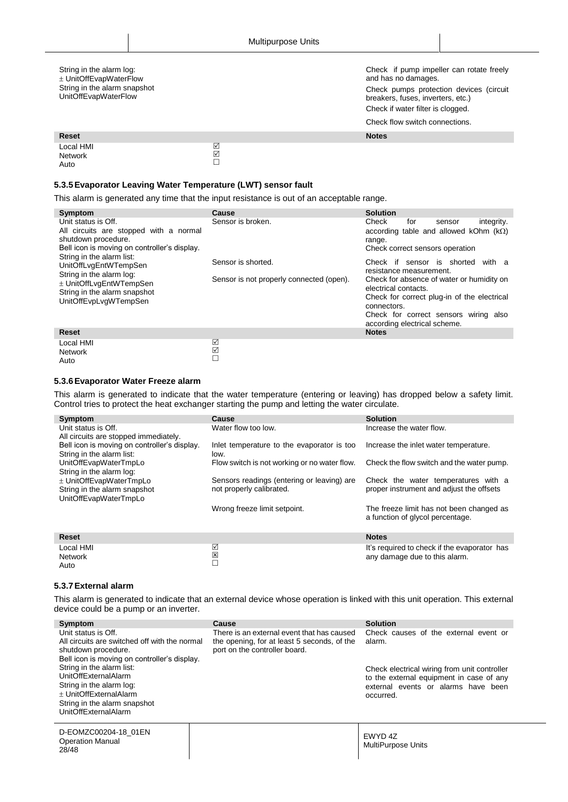#### String in the alarm log: UnitOffEvapWaterFlow String in the alarm snapshot UnitOffEvapWaterFlow

Check if pump impeller can rotate freely and has no damages. Check pumps protection devices (circuit breakers, fuses, inverters, etc.)

Check if water filter is clogged.

Check flow switch connections.

| <b>Reset</b>                 |        | <b>Notes</b> |
|------------------------------|--------|--------------|
| Local HMI<br>Network<br>Auto | ⊻<br>⊽ |              |

#### <span id="page-27-0"></span>**5.3.5Evaporator Leaving Water Temperature (LWT) sensor fault**

This alarm is generated any time that the input resistance is out of an acceptable range.

| Symptom                                                                                                                                                            | Cause                                                          | <b>Solution</b>                                                                                                                                                                                                                                                             |
|--------------------------------------------------------------------------------------------------------------------------------------------------------------------|----------------------------------------------------------------|-----------------------------------------------------------------------------------------------------------------------------------------------------------------------------------------------------------------------------------------------------------------------------|
| Unit status is Off.<br>All circuits are stopped with a normal<br>shutdown procedure.<br>Bell icon is moving on controller's display.                               | Sensor is broken.                                              | Check<br>integrity.<br>for<br>sensor<br>according table and allowed kOhm $(k\Omega)$<br>range.<br>Check correct sensors operation                                                                                                                                           |
| String in the alarm list:<br>UnitOffLvgEntWTempSen<br>String in the alarm log:<br>± UnitOffLvgEntWTempSen<br>String in the alarm snapshot<br>UnitOffEvpLvgWTempSen | Sensor is shorted.<br>Sensor is not properly connected (open). | Check if sensor is shorted<br>with a<br>resistance measurement.<br>Check for absence of water or humidity on<br>electrical contacts.<br>Check for correct plug-in of the electrical<br>connectors.<br>Check for correct sensors wiring also<br>according electrical scheme. |
| Reset                                                                                                                                                              |                                                                | <b>Notes</b>                                                                                                                                                                                                                                                                |
| Local HMI<br><b>Network</b><br>Auto                                                                                                                                | ☑<br>☑<br>$\Box$                                               |                                                                                                                                                                                                                                                                             |

#### <span id="page-27-1"></span>**5.3.6Evaporator Water Freeze alarm**

This alarm is generated to indicate that the water temperature (entering or leaving) has dropped below a safety limit. Control tries to protect the heat exchanger starting the pump and letting the water circulate.

| Symptom                                      | Cause                                        | <b>Solution</b>                              |
|----------------------------------------------|----------------------------------------------|----------------------------------------------|
| Unit status is Off.                          | Water flow too low.                          | Increase the water flow.                     |
| All circuits are stopped immediately.        |                                              |                                              |
| Bell icon is moving on controller's display. | Inlet temperature to the evaporator is too   | Increase the inlet water temperature.        |
| String in the alarm list:                    | low.                                         |                                              |
| UnitOffEvapWaterTmpLo                        | Flow switch is not working or no water flow. | Check the flow switch and the water pump.    |
| String in the alarm log:                     |                                              |                                              |
| ± UnitOffEvapWaterTmpLo                      | Sensors readings (entering or leaving) are   | Check the water temperatures with a          |
| String in the alarm snapshot                 | not properly calibrated.                     | proper instrument and adjust the offsets     |
| UnitOffEvapWaterTmpLo                        |                                              |                                              |
|                                              | Wrong freeze limit setpoint.                 | The freeze limit has not been changed as     |
|                                              |                                              | a function of glycol percentage.             |
|                                              |                                              |                                              |
| <b>Reset</b>                                 |                                              | <b>Notes</b>                                 |
| Local HMI                                    | ☑                                            | It's required to check if the evaporator has |
| <b>Network</b>                               | 図                                            | any damage due to this alarm.                |
| Auto                                         | П                                            |                                              |

#### <span id="page-27-2"></span>**5.3.7External alarm**

This alarm is generated to indicate that an external device whose operation is linked with this unit operation. This external device could be a pump or an inverter.

| Symptom                                                                                                                                                         | Cause                                                                                                                      | <b>Solution</b>                                                                                                                              |
|-----------------------------------------------------------------------------------------------------------------------------------------------------------------|----------------------------------------------------------------------------------------------------------------------------|----------------------------------------------------------------------------------------------------------------------------------------------|
| Unit status is Off.<br>All circuits are switched off with the normal<br>shutdown procedure.<br>Bell icon is moving on controller's display.                     | There is an external event that has caused<br>the opening, for at least 5 seconds, of the<br>port on the controller board. | Check causes of the external event or<br>alarm.                                                                                              |
| String in the alarm list:<br>UnitOffExternalAlarm<br>String in the alarm log:<br>± UnitOffExternalAlarm<br>String in the alarm snapshot<br>UnitOffExternalAlarm |                                                                                                                            | Check electrical wiring from unit controller<br>to the external equipment in case of any<br>external events or alarms have been<br>occurred. |
| D-EOMZC00204-18 01EN<br><b>Operation Manual</b><br>28/48                                                                                                        |                                                                                                                            | EWYD 4Z<br><b>MultiPurpose Units</b>                                                                                                         |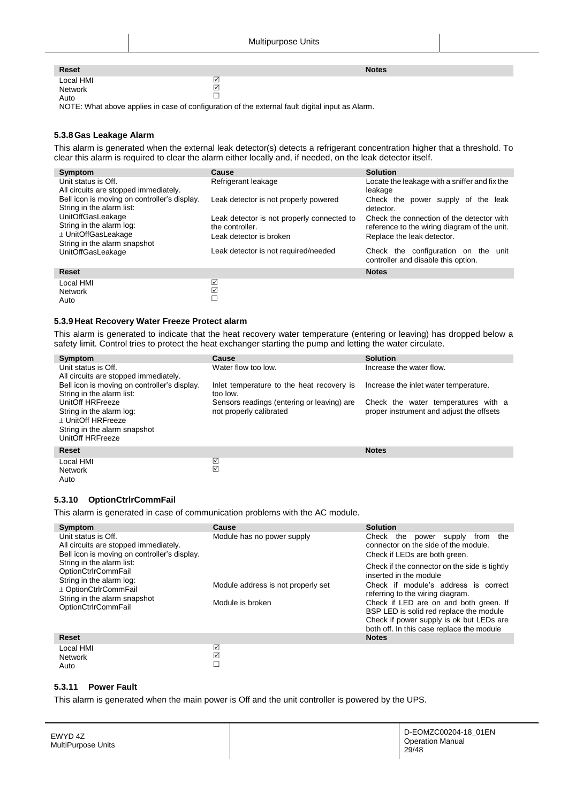| <b>Reset</b>                 |                  | <b>Notes</b> |
|------------------------------|------------------|--------------|
| Local HMI<br>Network<br>Auto | ⊽<br>_<br>☑<br>─ |              |

NOTE: What above applies in case of configuration of the external fault digital input as Alarm.

## <span id="page-28-0"></span>**5.3.8Gas Leakage Alarm**

This alarm is generated when the external leak detector(s) detects a refrigerant concentration higher that a threshold. To clear this alarm is required to clear the alarm either locally and, if needed, on the leak detector itself.

| Symptom                                                                                              | Cause                                                                                    | <b>Solution</b>                                                                                                         |
|------------------------------------------------------------------------------------------------------|------------------------------------------------------------------------------------------|-------------------------------------------------------------------------------------------------------------------------|
| Unit status is Off.<br>All circuits are stopped immediately.                                         | Refrigerant leakage                                                                      | Locate the leakage with a sniffer and fix the<br>leakage                                                                |
| Bell icon is moving on controller's display.<br>String in the alarm list:                            | Leak detector is not properly powered                                                    | Check the power supply of the leak<br>detector.                                                                         |
| UnitOffGasLeakage<br>String in the alarm log:<br>± UnitOffGasLeakage<br>String in the alarm snapshot | Leak detector is not properly connected to<br>the controller.<br>Leak detector is broken | Check the connection of the detector with<br>reference to the wiring diagram of the unit.<br>Replace the leak detector. |
| <b>UnitOffGasLeakage</b>                                                                             | Leak detector is not required/needed                                                     | Check the configuration on the<br>unit<br>controller and disable this option.                                           |
| <b>Reset</b>                                                                                         |                                                                                          | <b>Notes</b>                                                                                                            |
| Local HMI<br><b>Network</b><br>Auto                                                                  | ☑<br>☑<br>$\Box$                                                                         |                                                                                                                         |

#### <span id="page-28-1"></span>**5.3.9Heat Recovery Water Freeze Protect alarm**

This alarm is generated to indicate that the heat recovery water temperature (entering or leaving) has dropped below a safety limit. Control tries to protect the heat exchanger starting the pump and letting the water circulate.

| Symptom                                                                                                                | <b>Cause</b>                                                          | <b>Solution</b>                                                                 |
|------------------------------------------------------------------------------------------------------------------------|-----------------------------------------------------------------------|---------------------------------------------------------------------------------|
| Unit status is Off.<br>All circuits are stopped immediately.                                                           | Water flow too low.                                                   | Increase the water flow.                                                        |
| Bell icon is moving on controller's display.<br>String in the alarm list:                                              | Inlet temperature to the heat recovery is<br>too low.                 | Increase the inlet water temperature.                                           |
| UnitOff HRFreeze<br>String in the alarm log:<br>+ UnitOff HRFreeze<br>String in the alarm snapshot<br>UnitOff HRFreeze | Sensors readings (entering or leaving) are<br>not properly calibrated | Check the water temperatures with a<br>proper instrument and adjust the offsets |
| <b>Reset</b>                                                                                                           |                                                                       | <b>Notes</b>                                                                    |
| Local HMI<br><b>Network</b><br>Auto                                                                                    | ☑<br>☑                                                                |                                                                                 |

#### <span id="page-28-2"></span>**5.3.10 OptionCtrlrCommFail**

This alarm is generated in case of communication problems with the AC module.

| Symptom                                                                                                      | Cause                              | <b>Solution</b>                                                                                                               |
|--------------------------------------------------------------------------------------------------------------|------------------------------------|-------------------------------------------------------------------------------------------------------------------------------|
| Unit status is Off.<br>All circuits are stopped immediately.<br>Bell icon is moving on controller's display. | Module has no power supply         | Check<br>the<br>the<br>power<br>supply<br>from<br>connector on the side of the module.<br>Check if LEDs are both green.       |
| String in the alarm list:<br>OptionCtrlrCommFail                                                             |                                    | Check if the connector on the side is tightly<br>inserted in the module                                                       |
| String in the alarm log:<br>± OptionCtrlrCommFail                                                            | Module address is not properly set | Check if module's address is correct<br>referring to the wiring diagram.                                                      |
| String in the alarm snapshot<br><b>OptionCtrlrCommFail</b>                                                   | Module is broken                   | Check if LED are on and both green. If<br>BSP LED is solid red replace the module<br>Check if power supply is ok but LEDs are |
|                                                                                                              |                                    | both off. In this case replace the module                                                                                     |
| <b>Reset</b>                                                                                                 |                                    | <b>Notes</b>                                                                                                                  |
| Local HMI<br><b>Network</b><br>Auto                                                                          | ☑<br>☑<br>$\Box$                   |                                                                                                                               |

#### <span id="page-28-3"></span>Auto

#### **5.3.11 Power Fault**

This alarm is generated when the main power is Off and the unit controller is powered by the UPS.

| EWYD 4Z<br>MultiPurpose Units |  | D-EOMZC00204-18 01EN<br><b>Operation Manual</b><br>29/48 |
|-------------------------------|--|----------------------------------------------------------|
|-------------------------------|--|----------------------------------------------------------|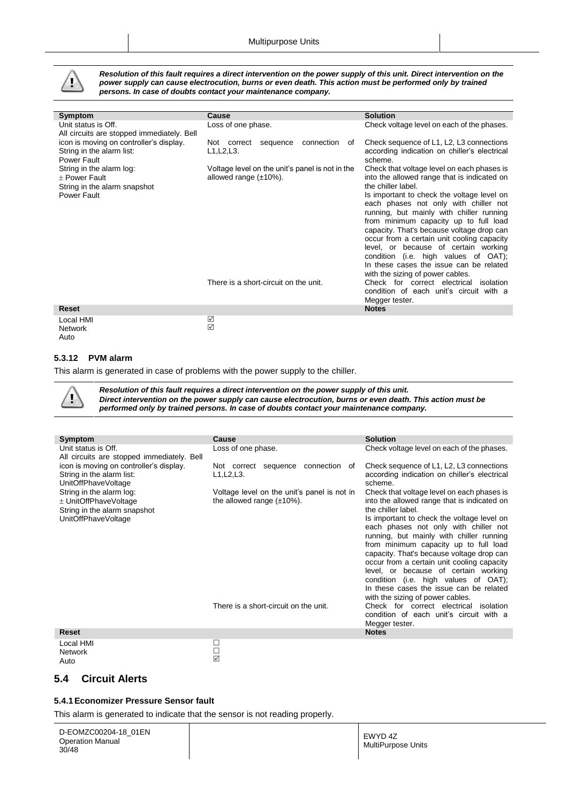

*Resolution of this fault requires a direct intervention on the power supply of this unit. Direct intervention on the power supply can cause electrocution, burns or even death. This action must be performed only by trained persons. In case of doubts contact your maintenance company.*

| Symptom                                                                                  | Cause                                                                           | <b>Solution</b>                                                                                                                                                                                                                                                                                                                          |
|------------------------------------------------------------------------------------------|---------------------------------------------------------------------------------|------------------------------------------------------------------------------------------------------------------------------------------------------------------------------------------------------------------------------------------------------------------------------------------------------------------------------------------|
| Unit status is Off.<br>All circuits are stopped immediately. Bell                        | Loss of one phase.                                                              | Check voltage level on each of the phases.                                                                                                                                                                                                                                                                                               |
| icon is moving on controller's display.<br>String in the alarm list:<br>Power Fault      | connection<br>Not correct<br>sequence<br>0f<br>L1, L2, L3.                      | Check sequence of L1, L2, L3 connections<br>according indication on chiller's electrical<br>scheme.                                                                                                                                                                                                                                      |
| String in the alarm log:<br>+ Power Fault<br>String in the alarm snapshot<br>Power Fault | Voltage level on the unit's panel is not in the<br>allowed range $(\pm 10\%)$ . | Check that voltage level on each phases is<br>into the allowed range that is indicated on<br>the chiller label.<br>Is important to check the voltage level on<br>each phases not only with chiller not<br>running, but mainly with chiller running<br>from minimum capacity up to full load<br>capacity. That's because voltage drop can |
|                                                                                          |                                                                                 | occur from a certain unit cooling capacity<br>level, or because of certain working<br>condition (i.e. high values of OAT);<br>In these cases the issue can be related<br>with the sizing of power cables.                                                                                                                                |
|                                                                                          | There is a short-circuit on the unit.                                           | Check for correct electrical<br>isolation<br>condition of each unit's circuit with a<br>Megger tester.                                                                                                                                                                                                                                   |
| <b>Reset</b>                                                                             |                                                                                 | <b>Notes</b>                                                                                                                                                                                                                                                                                                                             |
| Local HMI<br><b>Network</b>                                                              | ☑<br>☑                                                                          |                                                                                                                                                                                                                                                                                                                                          |

#### **5.3.12 PVM alarm**

This alarm is generated in case of problems with the power supply to the chiller.

Ţ

<span id="page-29-0"></span>Auto

*Resolution of this fault requires a direct intervention on the power supply of this unit. Direct intervention on the power supply can cause electrocution, burns or even death. This action must be performed only by trained persons. In case of doubts contact your maintenance company.*

| Symptom                                                                                                                                                                                                 | Cause                                                                                                                                                                               | <b>Solution</b>                                                                                                                                                                                                                                                                                                                                                                                                                                                                                                                                                                                                                                                                                           |
|---------------------------------------------------------------------------------------------------------------------------------------------------------------------------------------------------------|-------------------------------------------------------------------------------------------------------------------------------------------------------------------------------------|-----------------------------------------------------------------------------------------------------------------------------------------------------------------------------------------------------------------------------------------------------------------------------------------------------------------------------------------------------------------------------------------------------------------------------------------------------------------------------------------------------------------------------------------------------------------------------------------------------------------------------------------------------------------------------------------------------------|
| Unit status is Off.<br>All circuits are stopped immediately. Bell                                                                                                                                       | Loss of one phase.                                                                                                                                                                  | Check voltage level on each of the phases.                                                                                                                                                                                                                                                                                                                                                                                                                                                                                                                                                                                                                                                                |
| icon is moving on controller's display.<br>String in the alarm list:<br>UnitOffPhaveVoltage<br>String in the alarm log:<br>± UnitOffPhaveVoltage<br>String in the alarm snapshot<br>UnitOffPhaveVoltage | connection<br>Not correct sequence<br>0f<br>L1, L2, L3.<br>Voltage level on the unit's panel is not in<br>the allowed range $(\pm 10\%)$ .<br>There is a short-circuit on the unit. | Check sequence of L1, L2, L3 connections<br>according indication on chiller's electrical<br>scheme.<br>Check that voltage level on each phases is<br>into the allowed range that is indicated on<br>the chiller label.<br>Is important to check the voltage level on<br>each phases not only with chiller not<br>running, but mainly with chiller running<br>from minimum capacity up to full load<br>capacity. That's because voltage drop can<br>occur from a certain unit cooling capacity<br>level, or because of certain working<br>condition (i.e. high values of OAT);<br>In these cases the issue can be related<br>with the sizing of power cables.<br>Check for correct electrical<br>isolation |
|                                                                                                                                                                                                         |                                                                                                                                                                                     | condition of each unit's circuit with a<br>Megger tester.                                                                                                                                                                                                                                                                                                                                                                                                                                                                                                                                                                                                                                                 |
| <b>Reset</b>                                                                                                                                                                                            |                                                                                                                                                                                     | <b>Notes</b>                                                                                                                                                                                                                                                                                                                                                                                                                                                                                                                                                                                                                                                                                              |
| Local HMI                                                                                                                                                                                               | □                                                                                                                                                                                   |                                                                                                                                                                                                                                                                                                                                                                                                                                                                                                                                                                                                                                                                                                           |

| LUCAL FINIL    |  |  |
|----------------|--|--|
| <b>Network</b> |  |  |
| Auto           |  |  |
|                |  |  |

## <span id="page-29-2"></span><span id="page-29-1"></span>**5.4 Circuit Alerts**

#### **5.4.1Economizer Pressure Sensor fault**

This alarm is generated to indicate that the sensor is not reading properly.

 $\Box$ ☑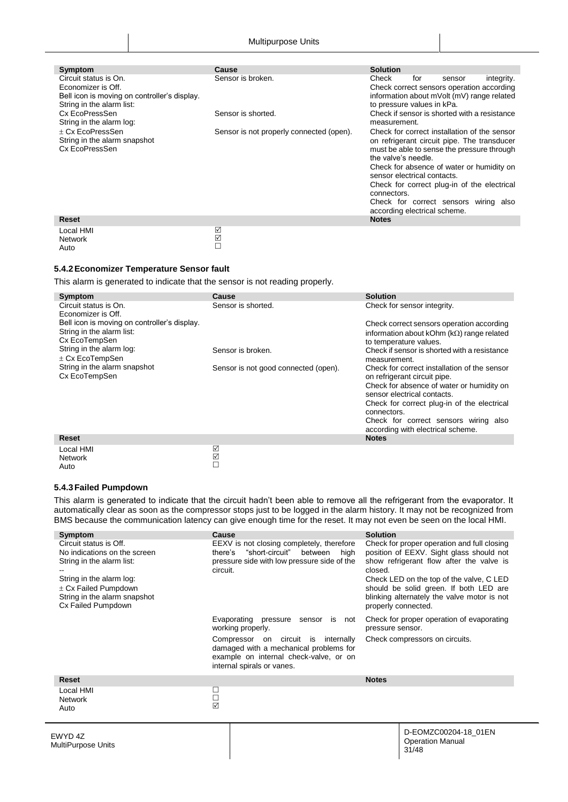| Symptom                                      | Cause                                    | <b>Solution</b>                              |
|----------------------------------------------|------------------------------------------|----------------------------------------------|
| Circuit status is On.                        | Sensor is broken.                        | Check<br>for<br>integrity.<br>sensor         |
| Economizer is Off.                           |                                          | Check correct sensors operation according    |
| Bell icon is moving on controller's display. |                                          | information about mVolt (mV) range related   |
| String in the alarm list:                    |                                          | to pressure values in kPa.                   |
| Cx EcoPressSen                               | Sensor is shorted.                       | Check if sensor is shorted with a resistance |
| String in the alarm log:                     |                                          | measurement.                                 |
| + Cx EcoPressSen                             | Sensor is not properly connected (open). | Check for correct installation of the sensor |
| String in the alarm snapshot                 |                                          | on refrigerant circuit pipe. The transducer  |
| Cx EcoPressSen                               |                                          | must be able to sense the pressure through   |
|                                              |                                          | the valve's needle.                          |
|                                              |                                          | Check for absence of water or humidity on    |
|                                              |                                          | sensor electrical contacts.                  |
|                                              |                                          | Check for correct plug-in of the electrical  |
|                                              |                                          | connectors.                                  |
|                                              |                                          | Check for correct sensors wiring also        |
|                                              |                                          | according electrical scheme.                 |
| <b>Reset</b>                                 |                                          | <b>Notes</b>                                 |
| Local HMI                                    | ☑                                        |                                              |
|                                              | ☑                                        |                                              |

#### **5.4.2Economizer Temperature Sensor fault**

<span id="page-30-0"></span>Auto

This alarm is generated to indicate that the sensor is not reading properly.

 $\Box$ 

 $\Box$ 

| Symptom                                                                                    | Cause                                | <b>Solution</b>                                                                                                           |
|--------------------------------------------------------------------------------------------|--------------------------------------|---------------------------------------------------------------------------------------------------------------------------|
| Circuit status is On.<br>Economizer is Off.                                                | Sensor is shorted.                   | Check for sensor integrity.                                                                                               |
| Bell icon is moving on controller's display.<br>String in the alarm list:<br>Cx EcoTempSen |                                      | Check correct sensors operation according<br>information about kOhm ( $k\Omega$ ) range related<br>to temperature values. |
| String in the alarm log:<br>$\pm$ Cx EcoTempSen                                            | Sensor is broken.                    | Check if sensor is shorted with a resistance<br>measurement.                                                              |
| String in the alarm snapshot<br>Cx EcoTempSen                                              | Sensor is not good connected (open). | Check for correct installation of the sensor<br>on refrigerant circuit pipe.                                              |
|                                                                                            |                                      | Check for absence of water or humidity on<br>sensor electrical contacts.                                                  |
|                                                                                            |                                      | Check for correct plug-in of the electrical<br>connectors.                                                                |
|                                                                                            |                                      | Check for correct sensors wiring also<br>according with electrical scheme.                                                |
| Reset                                                                                      |                                      | <b>Notes</b>                                                                                                              |
| Local HMI<br><b>Network</b>                                                                | ☑<br>☑                               |                                                                                                                           |

#### **5.4.3Failed Pumpdown**

<span id="page-30-1"></span>Auto

This alarm is generated to indicate that the circuit hadn't been able to remove all the refrigerant from the evaporator. It automatically clear as soon as the compressor stops just to be logged in the alarm history. It may not be recognized from BMS because the communication latency can give enough time for the reset. It may not even be seen on the local HMI.

| Symptom<br>Circuit status is Off.<br>No indications on the screen<br>String in the alarm list:<br>String in the alarm log:<br>$\pm$ Cx Failed Pumpdown<br>String in the alarm snapshot<br>Cx Failed Pumpdown | Cause<br>EEXV is not closing completely, therefore<br>"short-circuit" between high<br>there's<br>pressure side with low pressure side of the<br>circuit.<br>Evaporating pressure sensor is not<br>working properly.<br>Compressor on circuit is internally<br>damaged with a mechanical problems for<br>example on internal check-valve, or on<br>internal spirals or vanes. | <b>Solution</b><br>Check for proper operation and full closing<br>position of EEXV. Sight glass should not<br>show refrigerant flow after the valve is<br>closed.<br>Check LED on the top of the valve, C LED<br>should be solid green. If both LED are<br>blinking alternately the valve motor is not<br>properly connected.<br>Check for proper operation of evaporating<br>pressure sensor.<br>Check compressors on circuits. |
|--------------------------------------------------------------------------------------------------------------------------------------------------------------------------------------------------------------|------------------------------------------------------------------------------------------------------------------------------------------------------------------------------------------------------------------------------------------------------------------------------------------------------------------------------------------------------------------------------|----------------------------------------------------------------------------------------------------------------------------------------------------------------------------------------------------------------------------------------------------------------------------------------------------------------------------------------------------------------------------------------------------------------------------------|
| <b>Reset</b>                                                                                                                                                                                                 |                                                                                                                                                                                                                                                                                                                                                                              | <b>Notes</b>                                                                                                                                                                                                                                                                                                                                                                                                                     |
| Local HMI<br><b>Network</b><br>Auto                                                                                                                                                                          | □<br>$\overline{\mathbb{Z}}$                                                                                                                                                                                                                                                                                                                                                 |                                                                                                                                                                                                                                                                                                                                                                                                                                  |
| EWYD 4Z<br>MultiPurpose Units                                                                                                                                                                                |                                                                                                                                                                                                                                                                                                                                                                              | D-EOMZC00204-18 01EN<br><b>Operation Manual</b><br>31/48                                                                                                                                                                                                                                                                                                                                                                         |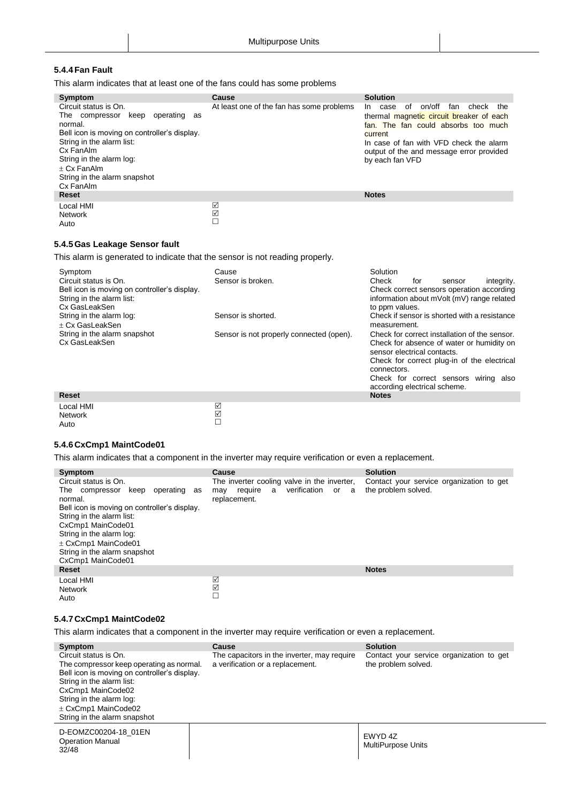### <span id="page-31-0"></span>**5.4.4Fan Fault**

This alarm indicates that at least one of the fans could has some problems

| Symptom                                                                                                                                                                                                                                  | Cause                                     | <b>Solution</b>                                                                                                                                                                                      |
|------------------------------------------------------------------------------------------------------------------------------------------------------------------------------------------------------------------------------------------|-------------------------------------------|------------------------------------------------------------------------------------------------------------------------------------------------------------------------------------------------------|
| Circuit status is On.                                                                                                                                                                                                                    | At least one of the fan has some problems | on/off<br>of<br>fan<br>check<br>the<br>case<br>In In                                                                                                                                                 |
| The compressor keep<br>operating<br>as<br>normal.<br>Bell icon is moving on controller's display.<br>String in the alarm list:<br>Cx FanAlm<br>String in the alarm log:<br>$+ Cx$ Fan $Alm$<br>String in the alarm snapshot<br>Cx FanAlm |                                           | thermal magnetic circuit breaker of each<br>fan. The fan could absorbs too much<br>current<br>In case of fan with VFD check the alarm<br>output of the and message error provided<br>by each fan VFD |
| <b>Reset</b>                                                                                                                                                                                                                             |                                           | <b>Notes</b>                                                                                                                                                                                         |
| Local HMI<br><b>Network</b><br>Auto                                                                                                                                                                                                      | ☑<br>☑                                    |                                                                                                                                                                                                      |

#### <span id="page-31-1"></span>**5.4.5Gas Leakage Sensor fault**

This alarm is generated to indicate that the sensor is not reading properly.

| Symptom<br>Circuit status is On.<br>Bell icon is moving on controller's display.<br>String in the alarm list:<br>Cx GasLeakSen | Cause<br>Sensor is broken.               | Solution<br>Check<br>integrity.<br>for<br>sensor<br>Check correct sensors operation according<br>information about mVolt (mV) range related<br>to ppm values.                                                                                                    |
|--------------------------------------------------------------------------------------------------------------------------------|------------------------------------------|------------------------------------------------------------------------------------------------------------------------------------------------------------------------------------------------------------------------------------------------------------------|
| String in the alarm log:<br>+ Cx GasLeakSen                                                                                    | Sensor is shorted.                       | Check if sensor is shorted with a resistance<br>measurement.                                                                                                                                                                                                     |
| String in the alarm snapshot<br>Cx GasLeakSen                                                                                  | Sensor is not properly connected (open). | Check for correct installation of the sensor.<br>Check for absence of water or humidity on<br>sensor electrical contacts.<br>Check for correct plug-in of the electrical<br>connectors.<br>Check for correct sensors wiring also<br>according electrical scheme. |
| <b>Reset</b>                                                                                                                   |                                          | <b>Notes</b>                                                                                                                                                                                                                                                     |
| Local HMI<br><b>Network</b>                                                                                                    | ☑<br>☑                                   |                                                                                                                                                                                                                                                                  |

#### **5.4.6CxCmp1 MaintCode01**

<span id="page-31-2"></span>Auto

This alarm indicates that a component in the inverter may require verification or even a replacement.

 $\Box$ 

| Symptom                                      | Cause                                       | <b>Solution</b>                          |
|----------------------------------------------|---------------------------------------------|------------------------------------------|
| Circuit status is On.                        | The inverter cooling valve in the inverter, | Contact your service organization to get |
| The compressor keep operating as             | require a verification<br>or a<br>may       | the problem solved.                      |
| normal.                                      | replacement.                                |                                          |
| Bell icon is moving on controller's display. |                                             |                                          |
| String in the alarm list:                    |                                             |                                          |
|                                              |                                             |                                          |
| CxCmp1 MainCode01                            |                                             |                                          |
| String in the alarm log:                     |                                             |                                          |
| $\pm$ CxCmp1 MainCode01                      |                                             |                                          |
| String in the alarm snapshot                 |                                             |                                          |
| CxCmp1 MainCode01                            |                                             |                                          |
| Reset                                        |                                             | <b>Notes</b>                             |
|                                              |                                             |                                          |
| Local HMI                                    | ☑                                           |                                          |
| <b>Network</b>                               | $\boxed{\checkmark}$                        |                                          |
| Auto                                         | $\Box$                                      |                                          |
|                                              |                                             |                                          |

#### <span id="page-31-3"></span>**5.4.7CxCmp1 MaintCode02**

This alarm indicates that a component in the inverter may require verification or even a replacement.

| Symptom                                                                                                                                                                                                                                                    | <b>Cause</b>                                                                    | <b>Solution</b>                                                 |
|------------------------------------------------------------------------------------------------------------------------------------------------------------------------------------------------------------------------------------------------------------|---------------------------------------------------------------------------------|-----------------------------------------------------------------|
| Circuit status is On.<br>The compressor keep operating as normal.<br>Bell icon is moving on controller's display.<br>String in the alarm list:<br>CxCmp1 MainCode02<br>String in the alarm log:<br>$\pm$ CxCmp1 MainCode02<br>String in the alarm snapshot | The capacitors in the inverter, may require<br>a verification or a replacement. | Contact your service organization to get<br>the problem solved. |
| D-EOMZC00204-18 01EN<br><b>Operation Manual</b><br>32/48                                                                                                                                                                                                   |                                                                                 | FWYD 47<br>MultiPurpose Units                                   |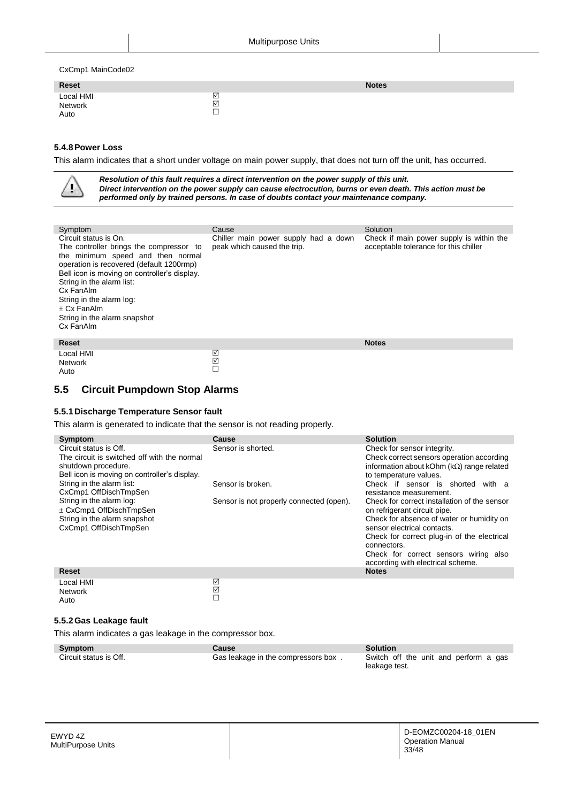CxCmp1 MainCode02

| Reset                        |        | <b>Notes</b> |
|------------------------------|--------|--------------|
| Local HMI<br>Network<br>Auto | ⊻<br>☑ |              |

#### <span id="page-32-0"></span>**5.4.8Power Loss**

This alarm indicates that a short under voltage on main power supply, that does not turn off the unit, has occurred.

|                                                                                                                                                                        |                                                                                                                                                                          | Resolution of this fault requires a direct intervention on the power supply of this unit.<br>performed only by trained persons. In case of doubts contact your maintenance company. | Direct intervention on the power supply can cause electrocution, burns or even death. This action must be |
|------------------------------------------------------------------------------------------------------------------------------------------------------------------------|--------------------------------------------------------------------------------------------------------------------------------------------------------------------------|-------------------------------------------------------------------------------------------------------------------------------------------------------------------------------------|-----------------------------------------------------------------------------------------------------------|
| Symptom<br>Circuit status is On.<br>String in the alarm list:<br>Cx FanAlm<br>String in the alarm log:<br>$\pm$ Cx FanAlm<br>String in the alarm snapshot<br>Cx FanAlm | The controller brings the compressor to<br>the minimum speed and then normal<br>operation is recovered (default 1200rmp)<br>Bell icon is moving on controller's display. | Cause<br>Chiller main power supply had a down<br>peak which caused the trip.                                                                                                        | Solution<br>Check if main power supply is within the<br>acceptable tolerance for this chiller             |
| <b>Reset</b>                                                                                                                                                           |                                                                                                                                                                          |                                                                                                                                                                                     | <b>Notes</b>                                                                                              |
| Local HMI<br><b>Network</b><br>Auto                                                                                                                                    |                                                                                                                                                                          | ☑<br>☑                                                                                                                                                                              |                                                                                                           |

## <span id="page-32-1"></span>**5.5 Circuit Pumpdown Stop Alarms**

#### <span id="page-32-2"></span>**5.5.1Discharge Temperature Sensor fault**

This alarm is generated to indicate that the sensor is not reading properly.

 $\Box$ 

| Symptom                                      | Cause                                    | <b>Solution</b>                                            |
|----------------------------------------------|------------------------------------------|------------------------------------------------------------|
| Circuit status is Off.                       | Sensor is shorted.                       | Check for sensor integrity.                                |
| The circuit is switched off with the normal  |                                          | Check correct sensors operation according                  |
| shutdown procedure.                          |                                          | information about kOhm ( $k\Omega$ ) range related         |
| Bell icon is moving on controller's display. |                                          | to temperature values.                                     |
| String in the alarm list:                    | Sensor is broken.                        | Check if sensor is shorted with a                          |
| CxCmp1 OffDischTmpSen                        |                                          | resistance measurement.                                    |
| String in the alarm log:                     | Sensor is not properly connected (open). | Check for correct installation of the sensor               |
| ± CxCmp1 OffDischTmpSen                      |                                          | on refrigerant circuit pipe.                               |
| String in the alarm snapshot                 |                                          | Check for absence of water or humidity on                  |
| CxCmp1 OffDischTmpSen                        |                                          | sensor electrical contacts.                                |
|                                              |                                          | Check for correct plug-in of the electrical<br>connectors. |
|                                              |                                          | Check for correct sensors wiring also                      |
|                                              |                                          | according with electrical scheme.                          |
| <b>Reset</b>                                 |                                          | <b>Notes</b>                                               |
| Local HMI                                    | ☑                                        |                                                            |
| <b>Network</b>                               | ☑                                        |                                                            |

#### <span id="page-32-3"></span>**5.5.2Gas Leakage fault**

Network Auto

This alarm indicates a gas leakage in the compressor box.

| Symptom                | Cause                               | <b>Solution</b>                                        |
|------------------------|-------------------------------------|--------------------------------------------------------|
| Circuit status is Off. | Gas leakage in the compressors box. | Switch off the unit and perform a gas<br>leakage test. |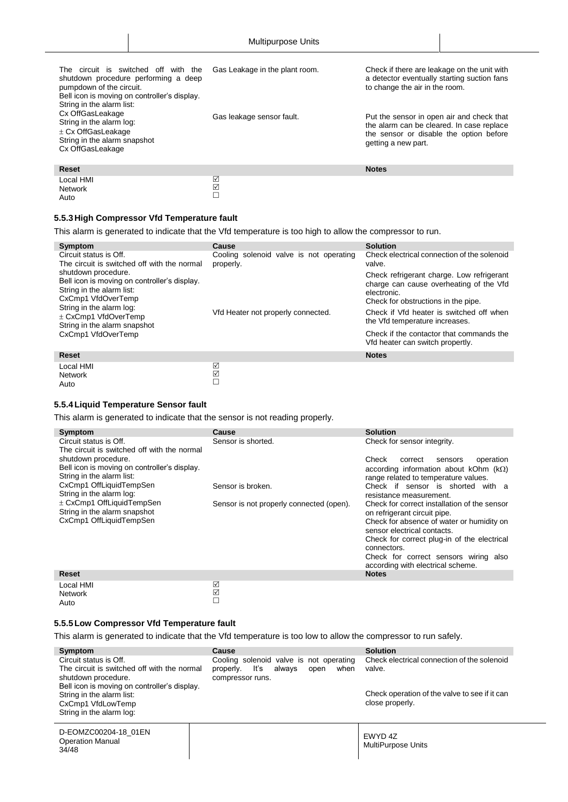| The circuit is switched off with the<br>shutdown procedure performing a deep<br>pumpdown of the circuit.<br>Bell icon is moving on controller's display.<br>String in the alarm list: | Gas Leakage in the plant room. | Check if there are leakage on the unit with<br>a detector eventually starting suction fans<br>to change the air in the room.                             |
|---------------------------------------------------------------------------------------------------------------------------------------------------------------------------------------|--------------------------------|----------------------------------------------------------------------------------------------------------------------------------------------------------|
| Cx OffGasLeakage<br>String in the alarm log:<br>$\pm$ Cx OffGasLeakage<br>String in the alarm snapshot<br>Cx OffGasLeakage                                                            | Gas leakage sensor fault.      | Put the sensor in open air and check that<br>the alarm can be cleared. In case replace<br>the sensor or disable the option before<br>getting a new part. |
| <b>Reset</b>                                                                                                                                                                          |                                | <b>Notes</b>                                                                                                                                             |
| Local HMI                                                                                                                                                                             | ☑                              |                                                                                                                                                          |

## <span id="page-33-0"></span>**5.5.3High Compressor Vfd Temperature fault**

Network Auto

This alarm is generated to indicate that the Vfd temperature is too high to allow the compressor to run.

☑  $\Box$ 

| Symptom                                                                                                                                                                                                                              | Cause                                                | <b>Solution</b>                                                                                                                                                                                                                                                      |
|--------------------------------------------------------------------------------------------------------------------------------------------------------------------------------------------------------------------------------------|------------------------------------------------------|----------------------------------------------------------------------------------------------------------------------------------------------------------------------------------------------------------------------------------------------------------------------|
| Circuit status is Off.<br>The circuit is switched off with the normal                                                                                                                                                                | Cooling solenoid valve is not operating<br>properly. | Check electrical connection of the solenoid<br>valve.                                                                                                                                                                                                                |
| shutdown procedure.<br>Bell icon is moving on controller's display.<br>String in the alarm list:<br>CxCmp1 VfdOverTemp<br>String in the alarm log:<br>$\pm$ CxCmp1 VfdOverTemp<br>String in the alarm snapshot<br>CxCmp1 VfdOverTemp | Vfd Heater not properly connected.                   | Check refrigerant charge. Low refrigerant<br>charge can cause overheating of the Vfd<br>electronic.<br>Check for obstructions in the pipe.<br>Check if Vfd heater is switched off when<br>the Vfd temperature increases.<br>Check if the contactor that commands the |
|                                                                                                                                                                                                                                      |                                                      | Vfd heater can switch propertly.                                                                                                                                                                                                                                     |
| <b>Reset</b>                                                                                                                                                                                                                         |                                                      | <b>Notes</b>                                                                                                                                                                                                                                                         |
| Local HMI<br><b>Network</b><br>Auto                                                                                                                                                                                                  | ☑<br>☑<br>П                                          |                                                                                                                                                                                                                                                                      |

#### <span id="page-33-1"></span>**5.5.4Liquid Temperature Sensor fault**

This alarm is generated to indicate that the sensor is not reading properly.

| <b>Symptom</b>                                                                                                                                                                                                                                                                                     | Cause                                                         | <b>Solution</b>                                                                                                                                                                                                                                                                                                                                                                                                                                                                                          |
|----------------------------------------------------------------------------------------------------------------------------------------------------------------------------------------------------------------------------------------------------------------------------------------------------|---------------------------------------------------------------|----------------------------------------------------------------------------------------------------------------------------------------------------------------------------------------------------------------------------------------------------------------------------------------------------------------------------------------------------------------------------------------------------------------------------------------------------------------------------------------------------------|
| Circuit status is Off.                                                                                                                                                                                                                                                                             | Sensor is shorted.                                            | Check for sensor integrity.                                                                                                                                                                                                                                                                                                                                                                                                                                                                              |
| The circuit is switched off with the normal<br>shutdown procedure.<br>Bell icon is moving on controller's display.<br>String in the alarm list:<br>CxCmp1 OffLiquidTempSen<br>String in the alarm log:<br>$\pm$ CxCmp1 OffLiquidTempSen<br>String in the alarm snapshot<br>CxCmp1 OffLiquidTempSen | Sensor is broken.<br>Sensor is not properly connected (open). | Check<br>operation<br>correct<br>sensors<br>according information about kOhm $(k\Omega)$<br>range related to temperature values.<br>Check if sensor is shorted with a<br>resistance measurement.<br>Check for correct installation of the sensor<br>on refrigerant circuit pipe.<br>Check for absence of water or humidity on<br>sensor electrical contacts.<br>Check for correct plug-in of the electrical<br>connectors.<br>Check for correct sensors wiring also<br>according with electrical scheme. |
| Reset                                                                                                                                                                                                                                                                                              |                                                               | <b>Notes</b>                                                                                                                                                                                                                                                                                                                                                                                                                                                                                             |
|                                                                                                                                                                                                                                                                                                    |                                                               |                                                                                                                                                                                                                                                                                                                                                                                                                                                                                                          |
| Local HMI                                                                                                                                                                                                                                                                                          | ☑                                                             |                                                                                                                                                                                                                                                                                                                                                                                                                                                                                                          |

#### <span id="page-33-2"></span>**5.5.5Low Compressor Vfd Temperature fault**

Network Auto

This alarm is generated to indicate that the Vfd temperature is too low to allow the compressor to run safely.

☑  $\Box$ 

| Symptom<br>Circuit status is Off.<br>The circuit is switched off with the normal<br>shutdown procedure.<br>Bell icon is moving on controller's display. | Cause<br>Cooling solenoid valve is not operating<br>lťs<br>alwavs<br>when<br>properly.<br>open<br>compressor runs. | <b>Solution</b><br>Check electrical connection of the solenoid<br>valve. |
|---------------------------------------------------------------------------------------------------------------------------------------------------------|--------------------------------------------------------------------------------------------------------------------|--------------------------------------------------------------------------|
| String in the alarm list:<br>CxCmp1 VfdLowTemp<br>String in the alarm log:                                                                              |                                                                                                                    | Check operation of the valve to see if it can<br>close properly.         |
| D-EOMZC00204-18 01EN<br><b>Operation Manual</b><br>34/48                                                                                                |                                                                                                                    | EWYD 4Z<br>MultiPurpose Units                                            |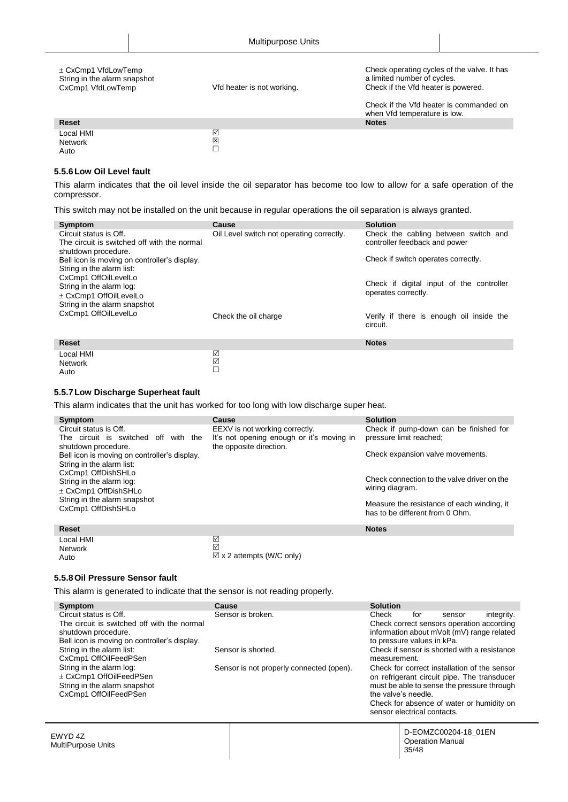| $\pm$ CxCmp1 VfdLowTemp<br>String in the alarm snapshot<br>CxCmp1 VfdLowTemp | Vfd heater is not working. | Check operating cycles of the valve. It has<br>a limited number of cycles.<br>Check if the Vfd heater is powered.<br>Check if the Vfd heater is commanded on |
|------------------------------------------------------------------------------|----------------------------|--------------------------------------------------------------------------------------------------------------------------------------------------------------|
|                                                                              |                            | when Vfd temperature is low.                                                                                                                                 |
| <b>Reset</b>                                                                 |                            | <b>Notes</b>                                                                                                                                                 |
| Local HMI<br><b>Network</b><br>Auto                                          | ☑<br>区                     |                                                                                                                                                              |

#### <span id="page-34-0"></span>**5.5.6Low Oil Level fault**

This alarm indicates that the oil level inside the oil separator has become too low to allow for a safe operation of the compressor.

This switch may not be installed on the unit because in regular operations the oil separation is always granted.

| Symptom                                                                   | <b>Cause</b>                              | <b>Solution</b>                          |
|---------------------------------------------------------------------------|-------------------------------------------|------------------------------------------|
| Circuit status is Off.                                                    | Oil Level switch not operating correctly. | Check the cabling between switch and     |
| The circuit is switched off with the normal                               |                                           | controller feedback and power            |
| shutdown procedure.                                                       |                                           | Check if switch operates correctly.      |
| Bell icon is moving on controller's display.<br>String in the alarm list: |                                           |                                          |
| CxCmp1 OffOilLevelLo                                                      |                                           |                                          |
| String in the alarm log:                                                  |                                           | Check if digital input of the controller |
| ± CxCmp1 OffOilLevelLo                                                    |                                           | operates correctly.                      |
| String in the alarm snapshot                                              |                                           |                                          |
| CxCmp1 OffOilLevelLo                                                      | Check the oil charge                      | Verify if there is enough oil inside the |
|                                                                           |                                           | circuit.                                 |
|                                                                           |                                           |                                          |
| <b>Reset</b>                                                              |                                           | <b>Notes</b>                             |
| Local HMI                                                                 | ☑                                         |                                          |
| <b>Network</b>                                                            | ☑<br>□                                    |                                          |
| Auto                                                                      |                                           |                                          |

#### <span id="page-34-1"></span>**5.5.7Low Discharge Superheat fault**

This alarm indicates that the unit has worked for too long with low discharge super heat.

| Symptom                                      | Cause                                     | <b>Solution</b>                                                               |
|----------------------------------------------|-------------------------------------------|-------------------------------------------------------------------------------|
| Circuit status is Off.                       | EEXV is not working correctly.            | Check if pump-down can be finished for                                        |
| The circuit is switched off with the         | It's not opening enough or it's moving in | pressure limit reached;                                                       |
| shutdown procedure.                          | the opposite direction.                   |                                                                               |
| Bell icon is moving on controller's display. |                                           | Check expansion valve movements.                                              |
| String in the alarm list:                    |                                           |                                                                               |
| CxCmp1 OffDishSHLo                           |                                           |                                                                               |
| String in the alarm log:                     |                                           | Check connection to the valve driver on the                                   |
| $\pm$ CxCmp1 OffDishSHLo                     |                                           | wiring diagram.                                                               |
| String in the alarm snapshot                 |                                           |                                                                               |
| CxCmp1 OffDishSHLo                           |                                           | Measure the resistance of each winding, it<br>has to be different from 0 Ohm. |
|                                              |                                           |                                                                               |
| <b>Reset</b>                                 |                                           | <b>Notes</b>                                                                  |
|                                              |                                           |                                                                               |
| Local HMI                                    | ☑                                         |                                                                               |
| Network                                      | ☑                                         |                                                                               |

 $\boxtimes$  x 2 attempts (W/C only)

#### <span id="page-34-2"></span>**5.5.8Oil Pressure Sensor fault**

Auto

This alarm is generated to indicate that the sensor is not reading properly.

| Symptom                                            | Cause                                    | <b>Solution</b> |                             |                                              |            |
|----------------------------------------------------|------------------------------------------|-----------------|-----------------------------|----------------------------------------------|------------|
| Circuit status is Off.                             | Sensor is broken.                        | Check           | for                         | sensor                                       | integrity. |
| The circuit is switched off with the normal        |                                          |                 |                             | Check correct sensors operation according    |            |
| shutdown procedure.                                |                                          |                 |                             | information about mVolt (mV) range related   |            |
| Bell icon is moving on controller's display.       |                                          |                 | to pressure values in kPa.  |                                              |            |
| String in the alarm list:<br>CxCmp1 OffOilFeedPSen | Sensor is shorted.                       | measurement.    |                             | Check if sensor is shorted with a resistance |            |
| String in the alarm log:                           | Sensor is not properly connected (open). |                 |                             | Check for correct installation of the sensor |            |
| ± CxCmp1 OffOilFeedPSen                            |                                          |                 |                             | on refrigerant circuit pipe. The transducer  |            |
| String in the alarm snapshot                       |                                          |                 |                             | must be able to sense the pressure through   |            |
| CxCmp1 OffOilFeedPSen                              |                                          |                 | the valve's needle.         |                                              |            |
|                                                    |                                          |                 |                             | Check for absence of water or humidity on    |            |
|                                                    |                                          |                 | sensor electrical contacts. |                                              |            |
| EWYD 4Z                                            |                                          |                 |                             | D-EOMZC00204-18 01EN                         |            |
| <b>MultiPurpose Units</b>                          |                                          |                 | 35/48                       | <b>Operation Manual</b>                      |            |
|                                                    |                                          |                 |                             |                                              |            |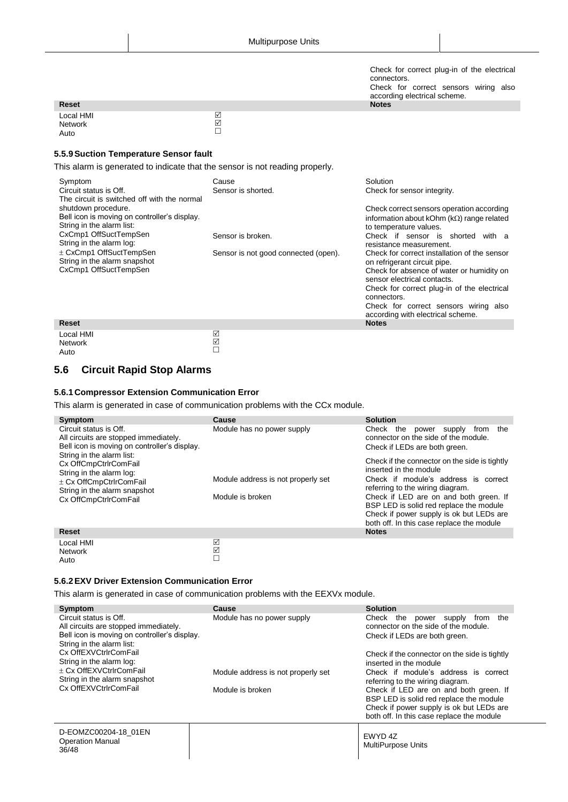Check for correct plug-in of the electrical connectors. Check for correct sensors wiring also according electrical scheme.<br>Notes

|                              | -----        |
|------------------------------|--------------|
| <b>Reset</b>                 | <b>Notes</b> |
| Local HMI<br>Network<br>Auto | ☑<br>☑       |

#### <span id="page-35-0"></span>**5.5.9Suction Temperature Sensor fault**

This alarm is generated to indicate that the sensor is not reading properly.

| Symptom<br>Circuit status is Off.<br>The circuit is switched off with the normal                 | Cause<br>Sensor is shorted.          | Solution<br>Check for sensor integrity.                                                                                   |
|--------------------------------------------------------------------------------------------------|--------------------------------------|---------------------------------------------------------------------------------------------------------------------------|
| shutdown procedure.<br>Bell icon is moving on controller's display.<br>String in the alarm list: |                                      | Check correct sensors operation according<br>information about kOhm ( $k\Omega$ ) range related<br>to temperature values. |
| CxCmp1 OffSuctTempSen<br>String in the alarm log:                                                | Sensor is broken.                    | Check if sensor is shorted<br>with a<br>resistance measurement.                                                           |
| ± CxCmp1 OffSuctTempSen<br>String in the alarm snapshot                                          | Sensor is not good connected (open). | Check for correct installation of the sensor<br>on refrigerant circuit pipe.                                              |
| CxCmp1 OffSuctTempSen                                                                            |                                      | Check for absence of water or humidity on<br>sensor electrical contacts.                                                  |
|                                                                                                  |                                      | Check for correct plug-in of the electrical<br>connectors.                                                                |
|                                                                                                  |                                      | Check for correct sensors wiring also<br>according with electrical scheme.                                                |
| <b>Reset</b>                                                                                     |                                      | <b>Notes</b>                                                                                                              |
| Local HMI                                                                                        | ☑                                    |                                                                                                                           |

Local HMI Network Auto

Network Auto

## <span id="page-35-1"></span>**5.6 Circuit Rapid Stop Alarms**

#### <span id="page-35-2"></span>**5.6.1Compressor Extension Communication Error**

This alarm is generated in case of communication problems with the CCx module.

☑  $\Box$ 

| Symptom                                                                   | Cause                              | <b>Solution</b>                                                                        |  |  |
|---------------------------------------------------------------------------|------------------------------------|----------------------------------------------------------------------------------------|--|--|
| Circuit status is Off.<br>All circuits are stopped immediately.           | Module has no power supply         | Check<br>the<br>the<br>power<br>supply<br>from<br>connector on the side of the module. |  |  |
| Bell icon is moving on controller's display.<br>String in the alarm list: |                                    | Check if LEDs are both green.                                                          |  |  |
| Cx OffCmpCtrlrComFail                                                     |                                    | Check if the connector on the side is tightly                                          |  |  |
| String in the alarm log:                                                  |                                    | inserted in the module                                                                 |  |  |
| ± Cx OffCmpCtrlrComFail                                                   | Module address is not properly set | Check if module's address is correct<br>referring to the wiring diagram.               |  |  |
| String in the alarm snapshot<br>Cx OffCmpCtrlrComFail                     | Module is broken                   | Check if LED are on and both green. If                                                 |  |  |
|                                                                           |                                    | BSP LED is solid red replace the module                                                |  |  |
|                                                                           |                                    | Check if power supply is ok but LEDs are                                               |  |  |
|                                                                           |                                    | both off. In this case replace the module                                              |  |  |
| <b>Reset</b>                                                              |                                    | <b>Notes</b>                                                                           |  |  |
| Local HMI                                                                 | ☑                                  |                                                                                        |  |  |

#### <span id="page-35-3"></span>**5.6.2EXV Driver Extension Communication Error**

This alarm is generated in case of communication problems with the EEXVx module.

☑  $\bar{\Box}$ 

| Symptom<br>Circuit status is Off.<br>All circuits are stopped immediately.<br>Bell icon is moving on controller's display.<br>String in the alarm list:<br>Cx OffEXVCtrlrComFail<br>String in the alarm log:<br>+ Cx OffEXVCtrlrComFail<br>String in the alarm snapshot<br>Cx OffEXVCtrlrComFail | Cause<br>Module has no power supply<br>Module address is not properly set<br>Module is broken | <b>Solution</b><br>Check<br>the<br>the<br>power<br>supply<br>from<br>connector on the side of the module.<br>Check if LEDs are both green.<br>Check if the connector on the side is tightly<br>inserted in the module<br>Check if module's address is correct<br>referring to the wiring diagram.<br>Check if LED are on and both green. If<br>BSP LED is solid red replace the module<br>Check if power supply is ok but LEDs are |
|--------------------------------------------------------------------------------------------------------------------------------------------------------------------------------------------------------------------------------------------------------------------------------------------------|-----------------------------------------------------------------------------------------------|------------------------------------------------------------------------------------------------------------------------------------------------------------------------------------------------------------------------------------------------------------------------------------------------------------------------------------------------------------------------------------------------------------------------------------|
|                                                                                                                                                                                                                                                                                                  |                                                                                               | both off. In this case replace the module                                                                                                                                                                                                                                                                                                                                                                                          |
| D-EOMZC00204-18_01EN<br><b>Operation Manual</b><br>36/48                                                                                                                                                                                                                                         |                                                                                               | EWYD 4Z<br><b>MultiPurpose Units</b>                                                                                                                                                                                                                                                                                                                                                                                               |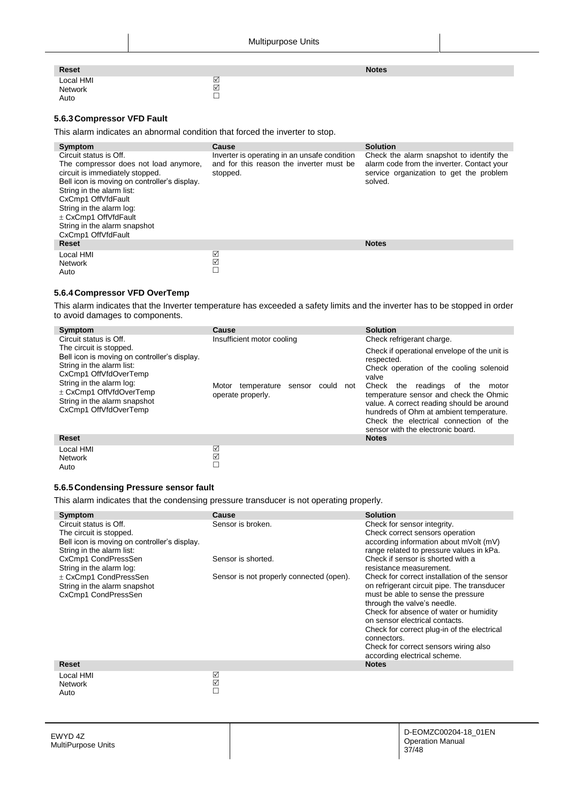| Reset                        |                | <b>Notes</b> |
|------------------------------|----------------|--------------|
| Local HMI<br>Network<br>Auto | $\overline{2}$ |              |

#### <span id="page-36-0"></span>**5.6.3Compressor VFD Fault**

This alarm indicates an abnormal condition that forced the inverter to stop.

| Symptom                                                                                                                                                                                                                                                                                                         | Cause                                                                                                | <b>Solution</b>                                                                                                                              |
|-----------------------------------------------------------------------------------------------------------------------------------------------------------------------------------------------------------------------------------------------------------------------------------------------------------------|------------------------------------------------------------------------------------------------------|----------------------------------------------------------------------------------------------------------------------------------------------|
| Circuit status is Off.<br>The compressor does not load anymore,<br>circuit is immediately stopped.<br>Bell icon is moving on controller's display.<br>String in the alarm list:<br>CxCmp1 OffVfdFault<br>String in the alarm log:<br>± CxCmp1 OffVfdFault<br>String in the alarm snapshot<br>CxCmp1 OffVfdFault | Inverter is operating in an unsafe condition<br>and for this reason the inverter must be<br>stopped. | Check the alarm snapshot to identify the<br>alarm code from the inverter. Contact your<br>service organization to get the problem<br>solved. |
| <b>Reset</b>                                                                                                                                                                                                                                                                                                    |                                                                                                      | <b>Notes</b>                                                                                                                                 |
| Local HMI                                                                                                                                                                                                                                                                                                       | ☑                                                                                                    |                                                                                                                                              |
| Network                                                                                                                                                                                                                                                                                                         | ☑                                                                                                    |                                                                                                                                              |
| Auto                                                                                                                                                                                                                                                                                                            |                                                                                                      |                                                                                                                                              |

#### <span id="page-36-1"></span>**5.6.4Compressor VFD OverTemp**

This alarm indicates that the Inverter temperature has exceeded a safety limits and the inverter has to be stopped in order to avoid damages to components.

| Symptom                                                                                                                                                                                                                                           | Cause                                                            | <b>Solution</b>                                                                                                                                                                                                                                                                                                                                                             |
|---------------------------------------------------------------------------------------------------------------------------------------------------------------------------------------------------------------------------------------------------|------------------------------------------------------------------|-----------------------------------------------------------------------------------------------------------------------------------------------------------------------------------------------------------------------------------------------------------------------------------------------------------------------------------------------------------------------------|
| Circuit status is Off.                                                                                                                                                                                                                            | Insufficient motor cooling                                       | Check refrigerant charge.                                                                                                                                                                                                                                                                                                                                                   |
| The circuit is stopped.<br>Bell icon is moving on controller's display.<br>String in the alarm list:<br>CxCmp1 OffVfdOverTemp<br>String in the alarm log:<br>$\pm$ CxCmp1 OffVfdOverTemp<br>String in the alarm snapshot<br>CxCmp1 OffVfdOverTemp | Motor temperature<br>sensor<br>could<br>not<br>operate properly. | Check if operational envelope of the unit is<br>respected.<br>Check operation of the cooling solenoid<br>valve<br>Check<br>the readings of<br>the<br>motor<br>temperature sensor and check the Ohmic<br>value. A correct reading should be around<br>hundreds of Ohm at ambient temperature.<br>Check the electrical connection of the<br>sensor with the electronic board. |
| <b>Reset</b>                                                                                                                                                                                                                                      |                                                                  | <b>Notes</b>                                                                                                                                                                                                                                                                                                                                                                |
| Local HMI<br><b>Network</b>                                                                                                                                                                                                                       | ☑<br>☑                                                           |                                                                                                                                                                                                                                                                                                                                                                             |

#### **5.6.5Condensing Pressure sensor fault**

<span id="page-36-2"></span>Auto

This alarm indicates that the condensing pressure transducer is not operating properly.

 $\Box$ 

| Symptom                                      | Cause                                    | <b>Solution</b>                                                          |
|----------------------------------------------|------------------------------------------|--------------------------------------------------------------------------|
| Circuit status is Off.                       | Sensor is broken.                        | Check for sensor integrity.                                              |
| The circuit is stopped.                      |                                          | Check correct sensors operation                                          |
| Bell icon is moving on controller's display. |                                          | according information about mVolt (mV)                                   |
| String in the alarm list:                    |                                          | range related to pressure values in kPa.                                 |
| CxCmp1 CondPressSen                          | Sensor is shorted.                       | Check if sensor is shorted with a                                        |
| String in the alarm log:                     |                                          | resistance measurement.                                                  |
| ± CxCmp1 CondPressSen                        | Sensor is not properly connected (open). | Check for correct installation of the sensor                             |
| String in the alarm snapshot                 |                                          | on refrigerant circuit pipe. The transducer                              |
| CxCmp1 CondPressSen                          |                                          | must be able to sense the pressure                                       |
|                                              |                                          | through the valve's needle.                                              |
|                                              |                                          | Check for absence of water or humidity<br>on sensor electrical contacts. |
|                                              |                                          | Check for correct plug-in of the electrical                              |
|                                              |                                          | connectors.                                                              |
|                                              |                                          | Check for correct sensors wiring also                                    |
|                                              |                                          | according electrical scheme.                                             |
| Reset                                        |                                          | <b>Notes</b>                                                             |
| Local HMI                                    | ☑                                        |                                                                          |
| <b>Network</b>                               | ☑                                        |                                                                          |
| Auto                                         | □                                        |                                                                          |
|                                              |                                          |                                                                          |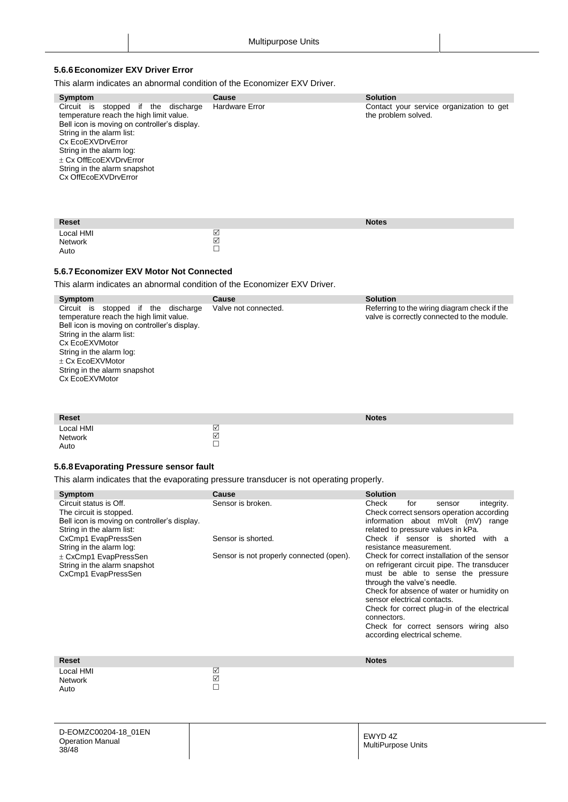#### <span id="page-37-0"></span>**5.6.6Economizer EXV Driver Error**

This alarm indicates an abnormal condition of the Economizer EXV Driver.

| Symptom                                                                                                                                                                                                                                                                                           | Cause                 | <b>Solution</b>                                                 |
|---------------------------------------------------------------------------------------------------------------------------------------------------------------------------------------------------------------------------------------------------------------------------------------------------|-----------------------|-----------------------------------------------------------------|
| stopped if the discharge<br>Circuit is<br>temperature reach the high limit value.<br>Bell icon is moving on controller's display.<br>String in the alarm list:<br>Cx EcoEXVDrvError<br>String in the alarm log:<br>+ Cx OffEcoEXVDrvError<br>String in the alarm snapshot<br>Cx OffEcoEXVDrvError | <b>Hardware Error</b> | Contact your service organization to get<br>the problem solved. |
| <b>Reset</b>                                                                                                                                                                                                                                                                                      |                       | <b>Notes</b>                                                    |
| Local HMI<br><b>Network</b>                                                                                                                                                                                                                                                                       | ☑<br>☑                |                                                                 |

#### <span id="page-37-1"></span>**5.6.7Economizer EXV Motor Not Connected**

Auto

This alarm indicates an abnormal condition of the Economizer EXV Driver.

 $\Box$ 

| Symptom                                                                                                                                                                                                                                                                                  | Cause                | <b>Solution</b>                                                                             |
|------------------------------------------------------------------------------------------------------------------------------------------------------------------------------------------------------------------------------------------------------------------------------------------|----------------------|---------------------------------------------------------------------------------------------|
| Circuit is<br>stopped if<br>discharge<br>the<br>temperature reach the high limit value.<br>Bell icon is moving on controller's display.<br>String in the alarm list:<br>Cx EcoEXVMotor<br>String in the alarm log:<br>+ Cx EcoEXVMotor<br>String in the alarm snapshot<br>Cx EcoEXVMotor | Valve not connected. | Referring to the wiring diagram check if the<br>valve is correctly connected to the module. |
|                                                                                                                                                                                                                                                                                          |                      |                                                                                             |

| Reset                        |             | <b>Notes</b> |
|------------------------------|-------------|--------------|
| Local HMI<br>Network<br>Auto | ☑<br>☑<br>– |              |

## <span id="page-37-2"></span>**5.6.8Evaporating Pressure sensor fault**

This alarm indicates that the evaporating pressure transducer is not operating properly.

| Symptom<br>Circuit status is Off.<br>The circuit is stopped.<br>Bell icon is moving on controller's display.<br>String in the alarm list:<br>CxCmp1 EvapPressSen<br>String in the alarm log:<br>$\pm$ CxCmp1 EvapPressSen<br>String in the alarm snapshot<br>CxCmp1 EvapPressSen | Cause<br>Sensor is broken.<br>Sensor is shorted.<br>Sensor is not properly connected (open). | <b>Solution</b><br>Check<br>for<br>integrity.<br>sensor<br>Check correct sensors operation according<br>information about mVolt (mV) range<br>related to pressure values in kPa.<br>Check if sensor is shorted with a<br>resistance measurement.<br>Check for correct installation of the sensor<br>on refrigerant circuit pipe. The transducer<br>must be able to sense the pressure<br>through the valve's needle.<br>Check for absence of water or humidity on<br>sensor electrical contacts.<br>Check for correct plug-in of the electrical<br>connectors.<br>Check for correct sensors wiring also<br>according electrical scheme. |
|----------------------------------------------------------------------------------------------------------------------------------------------------------------------------------------------------------------------------------------------------------------------------------|----------------------------------------------------------------------------------------------|-----------------------------------------------------------------------------------------------------------------------------------------------------------------------------------------------------------------------------------------------------------------------------------------------------------------------------------------------------------------------------------------------------------------------------------------------------------------------------------------------------------------------------------------------------------------------------------------------------------------------------------------|
| <b>Reset</b>                                                                                                                                                                                                                                                                     |                                                                                              | <b>Notes</b>                                                                                                                                                                                                                                                                                                                                                                                                                                                                                                                                                                                                                            |
| Local HMI<br><b>Network</b><br>Auto                                                                                                                                                                                                                                              | ☑<br>☑<br>П                                                                                  |                                                                                                                                                                                                                                                                                                                                                                                                                                                                                                                                                                                                                                         |
| <b>D. EOM/7000004 40 04EMI</b>                                                                                                                                                                                                                                                   |                                                                                              |                                                                                                                                                                                                                                                                                                                                                                                                                                                                                                                                                                                                                                         |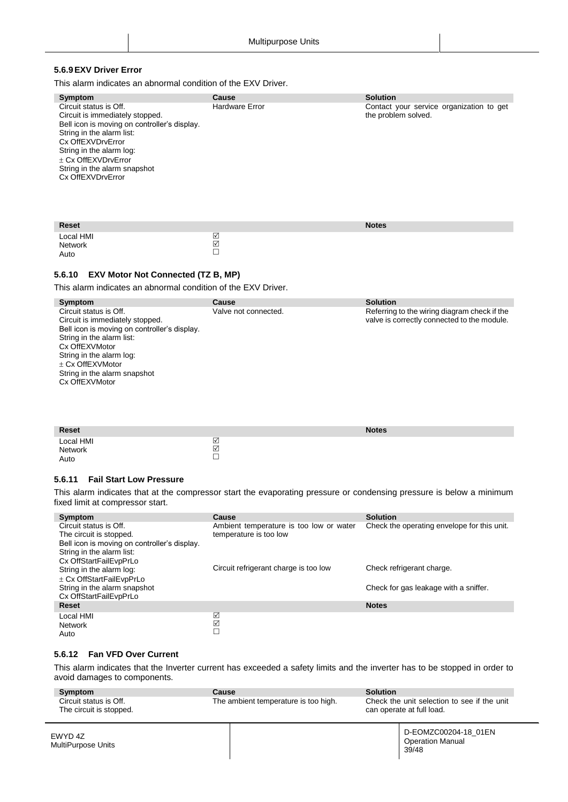## <span id="page-38-0"></span>**5.6.9EXV Driver Error**

This alarm indicates an abnormal condition of the EXV Driver.

| Symptom                                                                                                                                                                                                                                                             | Cause          | <b>Solution</b>                                                 |
|---------------------------------------------------------------------------------------------------------------------------------------------------------------------------------------------------------------------------------------------------------------------|----------------|-----------------------------------------------------------------|
| Circuit status is Off.<br>Circuit is immediately stopped.<br>Bell icon is moving on controller's display.<br>String in the alarm list:<br>Cx OffEXVDrvError<br>String in the alarm log:<br>+ Cx OffEXVDrvError<br>String in the alarm snapshot<br>Cx OffEXVDrvError | Hardware Error | Contact your service organization to get<br>the problem solved. |
| $\blacksquare$                                                                                                                                                                                                                                                      |                | $\cdots$                                                        |

| <b>Reset</b> |                                                      | <b>Notes</b> |
|--------------|------------------------------------------------------|--------------|
| Local HMI    | $\triangledown$                                      |              |
| Network      | $\boxed{\checkmark}$                                 |              |
| Auto         | $\overline{\phantom{0}}$<br>$\overline{\phantom{0}}$ |              |

#### <span id="page-38-1"></span>**5.6.10 EXV Motor Not Connected (TZ B, MP)**

This alarm indicates an abnormal condition of the EXV Driver.

| Symptom                                      | Cause                | <b>Solution</b>                              |
|----------------------------------------------|----------------------|----------------------------------------------|
| Circuit status is Off.                       | Valve not connected. | Referring to the wiring diagram check if the |
| Circuit is immediately stopped.              |                      | valve is correctly connected to the module.  |
| Bell icon is moving on controller's display. |                      |                                              |
| String in the alarm list:<br>Cx OffEXVMotor  |                      |                                              |
| String in the alarm log:                     |                      |                                              |
| $\pm$ Cx OffEXVMotor                         |                      |                                              |
| String in the alarm snapshot                 |                      |                                              |
| Cx OffEXVMotor                               |                      |                                              |
|                                              |                      |                                              |

| <b>Reset</b>                 |             | <b>Notes</b> |
|------------------------------|-------------|--------------|
| Local HMI<br>Network<br>Auto | ⊻<br>☑<br>– |              |

#### <span id="page-38-2"></span>**5.6.11 Fail Start Low Pressure**

This alarm indicates that at the compressor start the evaporating pressure or condensing pressure is below a minimum fixed limit at compressor start.

| Symptom                                                  | Cause                                   | <b>Solution</b>                             |
|----------------------------------------------------------|-----------------------------------------|---------------------------------------------|
| Circuit status is Off.                                   | Ambient temperature is too low or water | Check the operating envelope for this unit. |
| The circuit is stopped.                                  | temperature is too low                  |                                             |
| Bell icon is moving on controller's display.             |                                         |                                             |
| String in the alarm list:                                |                                         |                                             |
| Cx OffStartFailEvpPrLo                                   | Circuit refrigerant charge is too low   | Check refrigerant charge.                   |
| String in the alarm log:                                 |                                         |                                             |
| ± Cx OffStartFailEvpPrLo<br>String in the alarm snapshot |                                         | Check for gas leakage with a sniffer.       |
| Cx OffStartFailEvpPrLo                                   |                                         |                                             |
| <b>Reset</b>                                             |                                         | <b>Notes</b>                                |
| Local HMI                                                | ☑                                       |                                             |
| <b>Network</b>                                           | ☑                                       |                                             |
| Auto                                                     |                                         |                                             |

#### <span id="page-38-3"></span>**5.6.12 Fan VFD Over Current**

This alarm indicates that the Inverter current has exceeded a safety limits and the inverter has to be stopped in order to avoid damages to components.

| Symptom<br>Circuit status is Off.<br>The circuit is stopped. | Cause<br>The ambient temperature is too high. | <b>Solution</b> | Check the unit selection to see if the unit<br>can operate at full load. |
|--------------------------------------------------------------|-----------------------------------------------|-----------------|--------------------------------------------------------------------------|
| EWYD 4Z<br>MultiPurpose Units                                |                                               |                 | D-EOMZC00204-18 01EN<br><b>Operation Manual</b><br>39/48                 |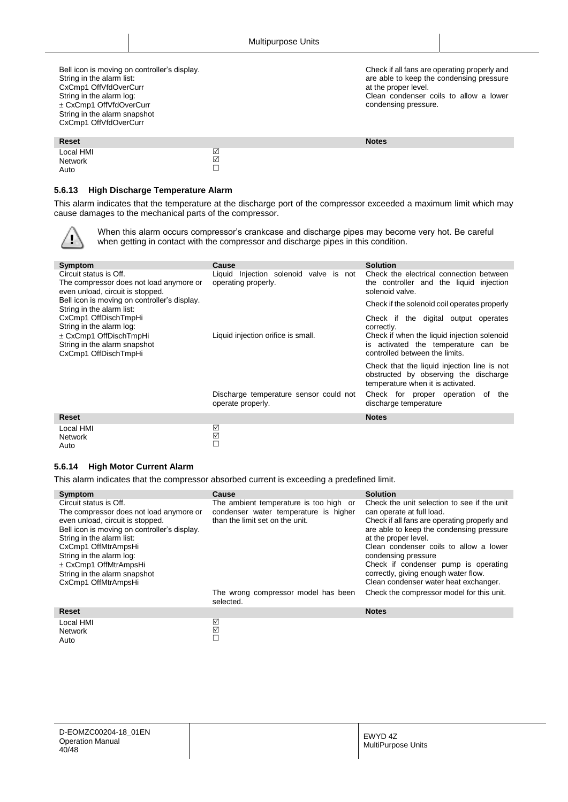Bell icon is moving on controller's display. String in the alarm list: CxCmp1 OffVfdOverCurr String in the alarm log: CxCmp1 OffVfdOverCurr String in the alarm snapshot CxCmp1 OffVfdOverCurr

Check if all fans are operating properly and are able to keep the condensing pressure at the proper level. Clean condenser coils to allow a lower condensing pressure.

| Reset                        |        | <b>Notes</b> |
|------------------------------|--------|--------------|
| Local HMI<br>Network<br>Auto | ⊻<br>☑ |              |

#### <span id="page-39-0"></span>**5.6.13 High Discharge Temperature Alarm**

This alarm indicates that the temperature at the discharge port of the compressor exceeded a maximum limit which may cause damages to the mechanical parts of the compressor.

When this alarm occurs compressor's crankcase and discharge pipes may become very hot. Be careful when getting in contact with the compressor and discharge pipes in this condition.

| Symptom                                                                          | <b>Cause</b>                           | <b>Solution</b>                              |
|----------------------------------------------------------------------------------|----------------------------------------|----------------------------------------------|
| Circuit status is Off.                                                           | Liquid Injection solenoid valve is not | Check the electrical connection between      |
| The compressor does not load anymore or                                          | operating properly.                    | the controller and the liquid<br>injection   |
| even unload, circuit is stopped.<br>Bell icon is moving on controller's display. |                                        | solenoid valve.                              |
| String in the alarm list:                                                        |                                        | Check if the solenoid coil operates properly |
| CxCmp1 OffDischTmpHi                                                             |                                        | Check if the digital output<br>operates      |
| String in the alarm log:                                                         |                                        | correctly.                                   |
| ± CxCmp1 OffDischTmpHi                                                           | Liquid injection orifice is small.     | Check if when the liquid injection solenoid  |
| String in the alarm snapshot                                                     |                                        | is activated the temperature can be          |
| CxCmp1 OffDischTmpHi                                                             |                                        | controlled between the limits.               |
|                                                                                  |                                        | Check that the liquid injection line is not  |
|                                                                                  |                                        | obstructed by observing the discharge        |
|                                                                                  |                                        | temperature when it is activated.            |
|                                                                                  | Discharge temperature sensor could not | Check for proper operation of<br>the         |
|                                                                                  | operate properly.                      | discharge temperature                        |
| <b>Reset</b>                                                                     |                                        | <b>Notes</b>                                 |
| Local HMI                                                                        | ☑                                      |                                              |
| <b>Network</b>                                                                   | ☑                                      |                                              |

#### **5.6.14 High Motor Current Alarm**

<span id="page-39-1"></span>Auto

Auto

This alarm indicates that the compressor absorbed current is exceeding a predefined limit.

 $\Box$ 

| Symptom                                                                                                                                                                                                                                                                                            | <b>Cause</b>                                                                                                       | <b>Solution</b>                                                                                                                                                                                                                                                                                                                               |
|----------------------------------------------------------------------------------------------------------------------------------------------------------------------------------------------------------------------------------------------------------------------------------------------------|--------------------------------------------------------------------------------------------------------------------|-----------------------------------------------------------------------------------------------------------------------------------------------------------------------------------------------------------------------------------------------------------------------------------------------------------------------------------------------|
| Circuit status is Off.<br>The compressor does not load anymore or<br>even unload, circuit is stopped.<br>Bell icon is moving on controller's display.<br>String in the alarm list:<br>CxCmp1 OffMtrAmpsHi<br>String in the alarm log:<br>$\pm$ CxCmp1 OffMtrAmpsHi<br>String in the alarm snapshot | The ambient temperature is too high or<br>condenser water temperature is higher<br>than the limit set on the unit. | Check the unit selection to see if the unit<br>can operate at full load.<br>Check if all fans are operating properly and<br>are able to keep the condensing pressure<br>at the proper level.<br>Clean condenser coils to allow a lower<br>condensing pressure<br>Check if condenser pump is operating<br>correctly, giving enough water flow. |
| CxCmp1 OffMtrAmpsHi                                                                                                                                                                                                                                                                                |                                                                                                                    | Clean condenser water heat exchanger.                                                                                                                                                                                                                                                                                                         |
|                                                                                                                                                                                                                                                                                                    | The wrong compressor model has been<br>selected.                                                                   | Check the compressor model for this unit.                                                                                                                                                                                                                                                                                                     |
| <b>Reset</b>                                                                                                                                                                                                                                                                                       |                                                                                                                    | <b>Notes</b>                                                                                                                                                                                                                                                                                                                                  |
| Local HMI<br><b>Network</b><br>$\Delta$ uto                                                                                                                                                                                                                                                        | ☑<br>☑                                                                                                             |                                                                                                                                                                                                                                                                                                                                               |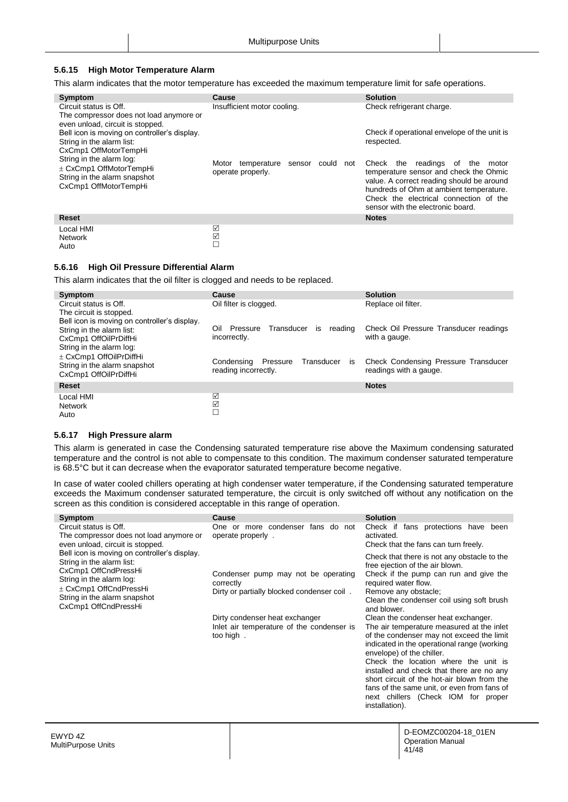#### <span id="page-40-0"></span>**5.6.15 High Motor Temperature Alarm**

This alarm indicates that the motor temperature has exceeded the maximum temperature limit for safe operations.

| Symptom                                                                                                      | <b>Cause</b>                                                     | <b>Solution</b>                                                                                                                                                                                                                                        |
|--------------------------------------------------------------------------------------------------------------|------------------------------------------------------------------|--------------------------------------------------------------------------------------------------------------------------------------------------------------------------------------------------------------------------------------------------------|
| Circuit status is Off.<br>The compressor does not load anymore or<br>even unload, circuit is stopped.        | Insufficient motor cooling.                                      | Check refrigerant charge.                                                                                                                                                                                                                              |
| Bell icon is moving on controller's display.<br>String in the alarm list:<br>CxCmp1 OffMotorTempHi           |                                                                  | Check if operational envelope of the unit is<br>respected.                                                                                                                                                                                             |
| String in the alarm log:<br>± CxCmp1 OffMotorTempHi<br>String in the alarm snapshot<br>CxCmp1 OffMotorTempHi | Motor temperature<br>could<br>sensor<br>not<br>operate properly. | readings of the<br>Check the<br>motor<br>temperature sensor and check the Ohmic<br>value. A correct reading should be around<br>hundreds of Ohm at ambient temperature.<br>Check the electrical connection of the<br>sensor with the electronic board. |
| <b>Reset</b>                                                                                                 |                                                                  | <b>Notes</b>                                                                                                                                                                                                                                           |
| Local HMI<br><b>Network</b><br>Auto                                                                          | ☑<br>$\boxed{\checkmark}$                                        |                                                                                                                                                                                                                                                        |

#### <span id="page-40-1"></span>**5.6.16 High Oil Pressure Differential Alarm**

This alarm indicates that the oil filter is clogged and needs to be replaced.

| Symptom                                      | Cause                                          | <b>Solution</b>                        |
|----------------------------------------------|------------------------------------------------|----------------------------------------|
| Circuit status is Off.                       | Oil filter is clogged.                         | Replace oil filter.                    |
| The circuit is stopped.                      |                                                |                                        |
| Bell icon is moving on controller's display. |                                                |                                        |
| String in the alarm list:                    | Oil<br>Transducer<br>Pressure<br>reading<br>is | Check Oil Pressure Transducer readings |
| CxCmp1 OffOilPrDiffHi                        | incorrectly.                                   | with a gauge.                          |
| String in the alarm log:                     |                                                |                                        |
|                                              |                                                |                                        |
| $\pm$ CxCmp1 OffOilPrDiffHi                  | Transducer<br>Condensing<br>Pressure<br>is     | Check Condensing Pressure Transducer   |
| String in the alarm snapshot                 | reading incorrectly.                           | readings with a gauge.                 |
| CxCmp1 OffOilPrDiffHi                        |                                                |                                        |
| Reset                                        |                                                | <b>Notes</b>                           |
| Local HMI                                    | ☑                                              |                                        |
| Network                                      | $\boxed{\checkmark}$                           |                                        |
| Auto                                         |                                                |                                        |
|                                              |                                                |                                        |

#### <span id="page-40-2"></span>**5.6.17 High Pressure alarm**

This alarm is generated in case the Condensing saturated temperature rise above the Maximum condensing saturated temperature and the control is not able to compensate to this condition. The maximum condenser saturated temperature is 68.5°C but it can decrease when the evaporator saturated temperature become negative.

In case of water cooled chillers operating at high condenser water temperature, if the Condensing saturated temperature exceeds the Maximum condenser saturated temperature, the circuit is only switched off without any notification on the screen as this condition is considered acceptable in this range of operation.

| Symptom                                                                                                                                                                                                                                             | <b>Cause</b>                                                                                                                                                                               | <b>Solution</b>                                                                                                                                                                                                                                                                                                                                                                                                                                                                                                                                                                                                                                                                                                                       |
|-----------------------------------------------------------------------------------------------------------------------------------------------------------------------------------------------------------------------------------------------------|--------------------------------------------------------------------------------------------------------------------------------------------------------------------------------------------|---------------------------------------------------------------------------------------------------------------------------------------------------------------------------------------------------------------------------------------------------------------------------------------------------------------------------------------------------------------------------------------------------------------------------------------------------------------------------------------------------------------------------------------------------------------------------------------------------------------------------------------------------------------------------------------------------------------------------------------|
| Circuit status is Off.<br>The compressor does not load anymore or                                                                                                                                                                                   | One or more condenser fans do not<br>operate properly.                                                                                                                                     | Check if<br>fans protections have been<br>activated.                                                                                                                                                                                                                                                                                                                                                                                                                                                                                                                                                                                                                                                                                  |
| even unload, circuit is stopped.<br>Bell icon is moving on controller's display.<br>String in the alarm list:<br>CxCmp1 OffCndPressHi<br>String in the alarm log:<br>± CxCmp1 OffCndPressHi<br>String in the alarm snapshot<br>CxCmp1 OffCndPressHi | Condenser pump may not be operating<br>correctly<br>Dirty or partially blocked condenser coil.<br>Dirty condenser heat exchanger<br>Inlet air temperature of the condenser is<br>too high. | Check that the fans can turn freely.<br>Check that there is not any obstacle to the<br>free ejection of the air blown.<br>Check if the pump can run and give the<br>required water flow.<br>Remove any obstacle;<br>Clean the condenser coil using soft brush<br>and blower.<br>Clean the condenser heat exchanger.<br>The air temperature measured at the inlet<br>of the condenser may not exceed the limit<br>indicated in the operational range (working<br>envelope) of the chiller.<br>Check the location where the unit is<br>installed and check that there are no any<br>short circuit of the hot-air blown from the<br>fans of the same unit, or even from fans of<br>next chillers (Check IOM for proper<br>installation). |
|                                                                                                                                                                                                                                                     |                                                                                                                                                                                            |                                                                                                                                                                                                                                                                                                                                                                                                                                                                                                                                                                                                                                                                                                                                       |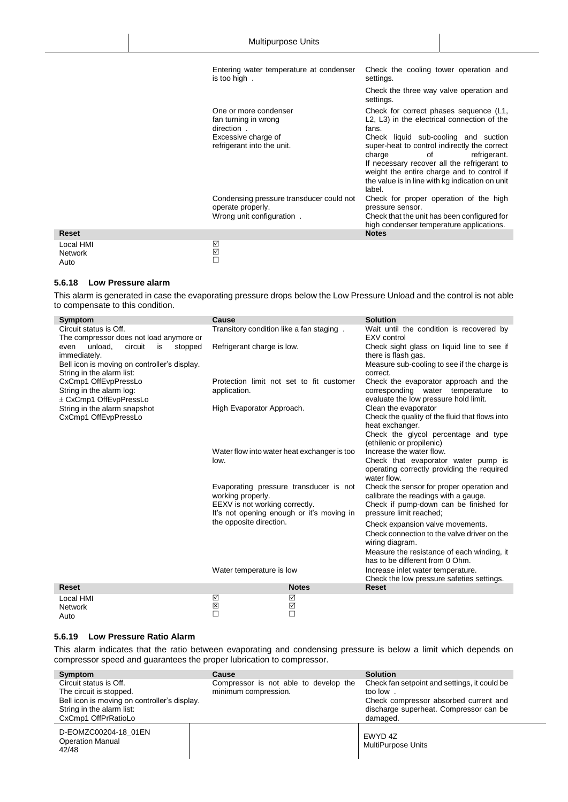|                                     | Entering water temperature at condenser<br>is too high.                                    | Check the cooling tower operation and<br>settings.                                                                                                                                                                                                                             |
|-------------------------------------|--------------------------------------------------------------------------------------------|--------------------------------------------------------------------------------------------------------------------------------------------------------------------------------------------------------------------------------------------------------------------------------|
|                                     |                                                                                            | Check the three way valve operation and<br>settings.                                                                                                                                                                                                                           |
|                                     | One or more condenser<br>fan turning in wrong<br>direction.                                | Check for correct phases sequence (L1,<br>L2, L3) in the electrical connection of the<br>fans.                                                                                                                                                                                 |
|                                     | Excessive charge of<br>refrigerant into the unit.                                          | Check liquid sub-cooling and suction<br>super-heat to control indirectly the correct<br>charge<br>refrigerant.<br>οf<br>If necessary recover all the refrigerant to<br>weight the entire charge and to control if<br>the value is in line with kg indication on unit<br>label. |
|                                     | Condensing pressure transducer could not<br>operate properly.<br>Wrong unit configuration. | Check for proper operation of the high<br>pressure sensor.<br>Check that the unit has been configured for<br>high condenser temperature applications.                                                                                                                          |
| <b>Reset</b>                        |                                                                                            | <b>Notes</b>                                                                                                                                                                                                                                                                   |
| Local HMI<br><b>Network</b><br>Auto | $\Box \boxtimes \Box$                                                                      |                                                                                                                                                                                                                                                                                |

#### **5.6.18 Low Pressure alarm**

<span id="page-41-0"></span>Auto

This alarm is generated in case the evaporating pressure drops below the Low Pressure Unload and the control is not able to compensate to this condition.

| Symptom                                          | Cause                                               |                                             | <b>Solution</b>                                                                |
|--------------------------------------------------|-----------------------------------------------------|---------------------------------------------|--------------------------------------------------------------------------------|
| Circuit status is Off.                           | Transitory condition like a fan staging.            |                                             | Wait until the condition is recovered by                                       |
| The compressor does not load anymore or          |                                                     |                                             | EXV control                                                                    |
| unload.<br>circuit<br>is<br>stopped<br>even      | Refrigerant charge is low.                          |                                             | Check sight glass on liquid line to see if                                     |
| immediately.                                     |                                                     |                                             | there is flash gas.                                                            |
| Bell icon is moving on controller's display.     |                                                     |                                             | Measure sub-cooling to see if the charge is                                    |
| String in the alarm list:                        |                                                     | Protection limit not set to fit customer    | correct.                                                                       |
| CxCmp1 OffEvpPressLo<br>String in the alarm log: | application.                                        |                                             | Check the evaporator approach and the<br>corresponding water temperature<br>to |
| ± CxCmp1 OffEvpPressLo                           |                                                     |                                             | evaluate the low pressure hold limit.                                          |
| String in the alarm snapshot                     | High Evaporator Approach.                           |                                             | Clean the evaporator                                                           |
| CxCmp1 OffEvpPressLo                             |                                                     |                                             | Check the quality of the fluid that flows into                                 |
|                                                  |                                                     |                                             | heat exchanger.                                                                |
|                                                  |                                                     |                                             | Check the glycol percentage and type                                           |
|                                                  |                                                     |                                             | (ethilenic or propilenic)                                                      |
|                                                  |                                                     | Water flow into water heat exchanger is too | Increase the water flow.                                                       |
|                                                  | low.                                                |                                             | Check that evaporator water pump is                                            |
|                                                  |                                                     |                                             | operating correctly providing the required                                     |
|                                                  |                                                     |                                             | water flow.                                                                    |
|                                                  |                                                     | Evaporating pressure transducer is not      | Check the sensor for proper operation and                                      |
|                                                  | working properly.<br>EEXV is not working correctly. |                                             | calibrate the readings with a gauge.<br>Check if pump-down can be finished for |
|                                                  |                                                     | It's not opening enough or it's moving in   | pressure limit reached;                                                        |
|                                                  | the opposite direction.                             |                                             |                                                                                |
|                                                  |                                                     |                                             | Check expansion valve movements.                                               |
|                                                  |                                                     |                                             | Check connection to the valve driver on the<br>wiring diagram.                 |
|                                                  |                                                     |                                             | Measure the resistance of each winding, it                                     |
|                                                  |                                                     |                                             | has to be different from 0 Ohm.                                                |
|                                                  | Water temperature is low                            |                                             | Increase inlet water temperature.                                              |
|                                                  |                                                     |                                             | Check the low pressure safeties settings.                                      |
| <b>Reset</b>                                     |                                                     | <b>Notes</b>                                | <b>Reset</b>                                                                   |
| Local HMI                                        | ☑                                                   | ☑                                           |                                                                                |
| <b>Network</b>                                   | ×<br>П                                              | ☑<br>$\Box$                                 |                                                                                |
| Auto                                             |                                                     |                                             |                                                                                |

#### <span id="page-41-1"></span>**5.6.19 Low Pressure Ratio Alarm**

This alarm indicates that the ratio between evaporating and condensing pressure is below a limit which depends on compressor speed and guarantees the proper lubrication to compressor.

| Symptom                                                  | Cause                                 | <b>Solution</b>                              |
|----------------------------------------------------------|---------------------------------------|----------------------------------------------|
| Circuit status is Off.                                   | Compressor is not able to develop the | Check fan setpoint and settings, it could be |
| The circuit is stopped.                                  | minimum compression.                  | too low.                                     |
| Bell icon is moving on controller's display.             |                                       | Check compressor absorbed current and        |
| String in the alarm list:                                |                                       | discharge superheat. Compressor can be       |
| CxCmp1 OffPrRatioLo                                      |                                       | damaged.                                     |
| D-EOMZC00204-18 01EN<br><b>Operation Manual</b><br>42/48 |                                       | EWYD 4Z<br>MultiPurpose Units                |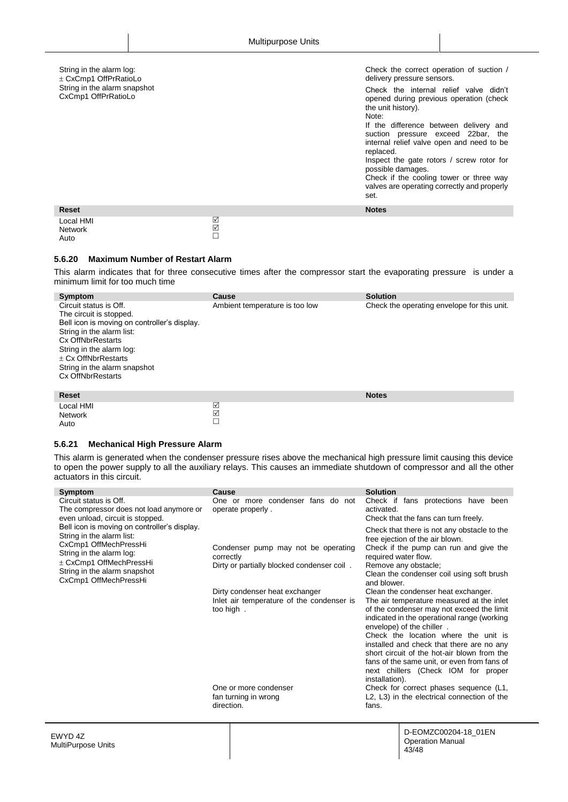| String in the alarm log:<br>± CxCmp1 OffPrRatioLo<br>String in the alarm snapshot<br>CxCmp1 OffPrRatioLo |                           | Check the correct operation of suction /<br>delivery pressure sensors.<br>Check the internal relief valve didn't<br>opened during previous operation (check<br>the unit history).<br>Note:<br>If the difference between delivery and<br>suction pressure exceed 22bar, the<br>internal relief valve open and need to be<br>replaced.<br>Inspect the gate rotors / screw rotor for<br>possible damages.<br>Check if the cooling tower or three way<br>valves are operating correctly and properly<br>set. |
|----------------------------------------------------------------------------------------------------------|---------------------------|----------------------------------------------------------------------------------------------------------------------------------------------------------------------------------------------------------------------------------------------------------------------------------------------------------------------------------------------------------------------------------------------------------------------------------------------------------------------------------------------------------|
| <b>Reset</b>                                                                                             |                           | <b>Notes</b>                                                                                                                                                                                                                                                                                                                                                                                                                                                                                             |
| Local HMI<br><b>Network</b><br>Auto                                                                      | ☑<br>$\frac{1}{\sqrt{2}}$ |                                                                                                                                                                                                                                                                                                                                                                                                                                                                                                          |

#### <span id="page-42-0"></span>**5.6.20 Maximum Number of Restart Alarm**

This alarm indicates that for three consecutive times after the compressor start the evaporating pressure is under a minimum limit for too much time

| Symptom<br>Circuit status is Off.<br>The circuit is stopped.<br>Bell icon is moving on controller's display.<br>String in the alarm list:<br>Cx OffNbrRestarts<br>String in the alarm log:<br>$\pm$ Cx OffNbrRestarts<br>String in the alarm snapshot<br><b>Cx OffNbrRestarts</b> | Cause<br>Ambient temperature is too low | <b>Solution</b><br>Check the operating envelope for this unit. |
|-----------------------------------------------------------------------------------------------------------------------------------------------------------------------------------------------------------------------------------------------------------------------------------|-----------------------------------------|----------------------------------------------------------------|
| <b>Reset</b>                                                                                                                                                                                                                                                                      |                                         | <b>Notes</b>                                                   |
| Local HMI<br><b>Network</b>                                                                                                                                                                                                                                                       | ☑<br>☑                                  |                                                                |

#### <span id="page-42-1"></span>**5.6.21 Mechanical High Pressure Alarm**

Auto

This alarm is generated when the condenser pressure rises above the mechanical high pressure limit causing this device to open the power supply to all the auxiliary relays. This causes an immediate shutdown of compressor and all the other actuators in this circuit.

 $\Box$ 

| Symptom                                                                                                                                                                                                                | Cause                                                                                          | <b>Solution</b>                                                                                                                                                                                                                                                                                                                                                                                                                                       |
|------------------------------------------------------------------------------------------------------------------------------------------------------------------------------------------------------------------------|------------------------------------------------------------------------------------------------|-------------------------------------------------------------------------------------------------------------------------------------------------------------------------------------------------------------------------------------------------------------------------------------------------------------------------------------------------------------------------------------------------------------------------------------------------------|
| Circuit status is Off.<br>The compressor does not load anymore or<br>even unload, circuit is stopped.                                                                                                                  | One or more condenser fans do not<br>operate properly.                                         | Check if<br>fans protections have been<br>activated.<br>Check that the fans can turn freely.                                                                                                                                                                                                                                                                                                                                                          |
| Bell icon is moving on controller's display.<br>String in the alarm list:<br>CxCmp1 OffMechPressHi<br>String in the alarm log:<br>$\pm$ CxCmp1 OffMechPressHi<br>String in the alarm snapshot<br>CxCmp1 OffMechPressHi | Condenser pump may not be operating<br>correctly<br>Dirty or partially blocked condenser coil. | Check that there is not any obstacle to the<br>free ejection of the air blown.<br>Check if the pump can run and give the<br>required water flow.<br>Remove any obstacle;<br>Clean the condenser coil using soft brush<br>and blower.                                                                                                                                                                                                                  |
|                                                                                                                                                                                                                        | Dirty condenser heat exchanger<br>Inlet air temperature of the condenser is<br>too high.       | Clean the condenser heat exchanger.<br>The air temperature measured at the inlet<br>of the condenser may not exceed the limit<br>indicated in the operational range (working<br>envelope) of the chiller.<br>Check the location where the unit is<br>installed and check that there are no any<br>short circuit of the hot-air blown from the<br>fans of the same unit, or even from fans of<br>next chillers (Check IOM for proper<br>installation). |
|                                                                                                                                                                                                                        | One or more condenser                                                                          | Check for correct phases sequence (L1,                                                                                                                                                                                                                                                                                                                                                                                                                |
|                                                                                                                                                                                                                        | fan turning in wrong<br>direction.                                                             | L2, L3) in the electrical connection of the<br>fans.                                                                                                                                                                                                                                                                                                                                                                                                  |
|                                                                                                                                                                                                                        |                                                                                                |                                                                                                                                                                                                                                                                                                                                                                                                                                                       |
|                                                                                                                                                                                                                        |                                                                                                |                                                                                                                                                                                                                                                                                                                                                                                                                                                       |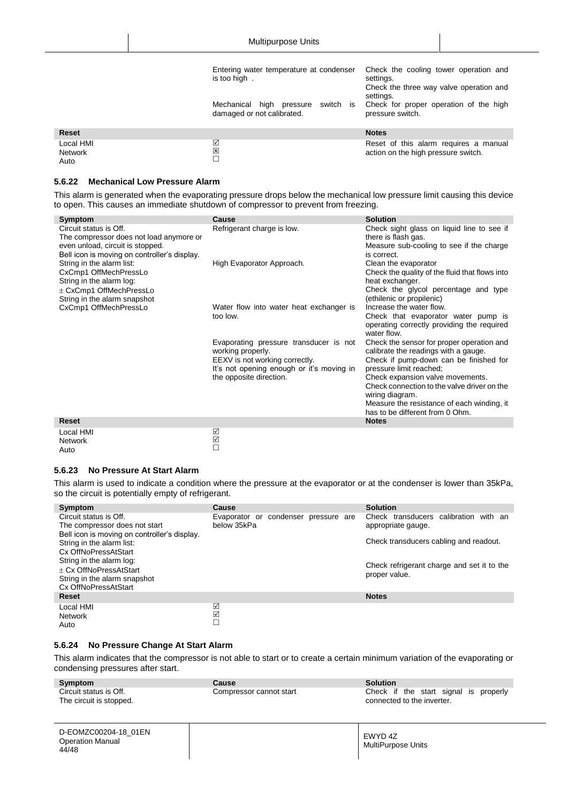|                                     | Entering water temperature at condenser<br>is too high.<br>Mechanical high pressure<br>switch is<br>damaged or not calibrated. | Check the cooling tower operation and<br>settings.<br>Check the three way valve operation and<br>settings.<br>Check for proper operation of the high<br>pressure switch. |
|-------------------------------------|--------------------------------------------------------------------------------------------------------------------------------|--------------------------------------------------------------------------------------------------------------------------------------------------------------------------|
| <b>Reset</b>                        |                                                                                                                                | <b>Notes</b>                                                                                                                                                             |
| Local HMI<br><b>Network</b><br>Auto | ☑<br>図                                                                                                                         | Reset of this alarm requires a manual<br>action on the high pressure switch.                                                                                             |

#### <span id="page-43-0"></span>**5.6.22 Mechanical Low Pressure Alarm**

This alarm is generated when the evaporating pressure drops below the mechanical low pressure limit causing this device to open. This causes an immediate shutdown of compressor to prevent from freezing.

| Symptom                                                                                                                                               | Cause                                                                                                                                                                 | <b>Solution</b>                                                                                                                                                                                                                                                                                                                               |
|-------------------------------------------------------------------------------------------------------------------------------------------------------|-----------------------------------------------------------------------------------------------------------------------------------------------------------------------|-----------------------------------------------------------------------------------------------------------------------------------------------------------------------------------------------------------------------------------------------------------------------------------------------------------------------------------------------|
| Circuit status is Off.<br>The compressor does not load anymore or<br>even unload, circuit is stopped.<br>Bell icon is moving on controller's display. | Refrigerant charge is low.                                                                                                                                            | Check sight glass on liquid line to see if<br>there is flash gas.<br>Measure sub-cooling to see if the charge<br>is correct.                                                                                                                                                                                                                  |
| String in the alarm list:<br>CxCmp1 OffMechPressLo<br>String in the alarm log:<br>$\pm$ CxCmp1 OffMechPressLo<br>String in the alarm snapshot         | High Evaporator Approach.                                                                                                                                             | Clean the evaporator<br>Check the quality of the fluid that flows into<br>heat exchanger.<br>Check the glycol percentage and type<br>(ethilenic or propilenic)                                                                                                                                                                                |
| CxCmp1 OffMechPressLo                                                                                                                                 | Water flow into water heat exchanger is<br>too low.                                                                                                                   | Increase the water flow.<br>Check that evaporator water pump is<br>operating correctly providing the required<br>water flow.                                                                                                                                                                                                                  |
|                                                                                                                                                       | Evaporating pressure transducer is not<br>working properly.<br>EEXV is not working correctly.<br>It's not opening enough or it's moving in<br>the opposite direction. | Check the sensor for proper operation and<br>calibrate the readings with a gauge.<br>Check if pump-down can be finished for<br>pressure limit reached;<br>Check expansion valve movements.<br>Check connection to the valve driver on the<br>wiring diagram.<br>Measure the resistance of each winding, it<br>has to be different from 0 Ohm. |
| <b>Reset</b>                                                                                                                                          |                                                                                                                                                                       | <b>Notes</b>                                                                                                                                                                                                                                                                                                                                  |
| Local HMI<br><b>Network</b>                                                                                                                           | ☑<br>$\triangledown$                                                                                                                                                  |                                                                                                                                                                                                                                                                                                                                               |

#### **5.6.23 No Pressure At Start Alarm**

<span id="page-43-1"></span>Auto

This alarm is used to indicate a condition where the pressure at the evaporator or at the condenser is lower than 35kPa, so the circuit is potentially empty of refrigerant.

 $\Box$ 

| Symptom                                                 | Cause                                               | <b>Solution</b>                                             |
|---------------------------------------------------------|-----------------------------------------------------|-------------------------------------------------------------|
| Circuit status is Off.<br>The compressor does not start | Evaporator or condenser pressure are<br>below 35kPa | Check transducers calibration with an<br>appropriate gauge. |
| Bell icon is moving on controller's display.            |                                                     |                                                             |
| String in the alarm list:                               |                                                     | Check transducers cabling and readout.                      |
| Cx OffNoPressAtStart                                    |                                                     |                                                             |
| String in the alarm log:                                |                                                     | Check refrigerant charge and set it to the                  |
| + Cx OffNoPressAtStart                                  |                                                     | proper value.                                               |
| String in the alarm snapshot<br>Cx OffNoPressAtStart    |                                                     |                                                             |
| <b>Reset</b>                                            |                                                     | <b>Notes</b>                                                |
| Local HMI                                               | ☑                                                   |                                                             |
| Network                                                 | ☑                                                   |                                                             |
| Auto                                                    |                                                     |                                                             |

#### <span id="page-43-2"></span>**5.6.24 No Pressure Change At Start Alarm**

This alarm indicates that the compressor is not able to start or to create a certain minimum variation of the evaporating or condensing pressures after start.

| Symptom<br>Circuit status is Off.<br>The circuit is stopped. | Cause<br>Compressor cannot start | <b>Solution</b><br>Check if the start signal is properly<br>connected to the inverter. |
|--------------------------------------------------------------|----------------------------------|----------------------------------------------------------------------------------------|
| D-EOMZC00204-18 01EN<br><b>Operation Manual</b><br>44/48     |                                  | EWYD 4Z<br>MultiPurpose Units                                                          |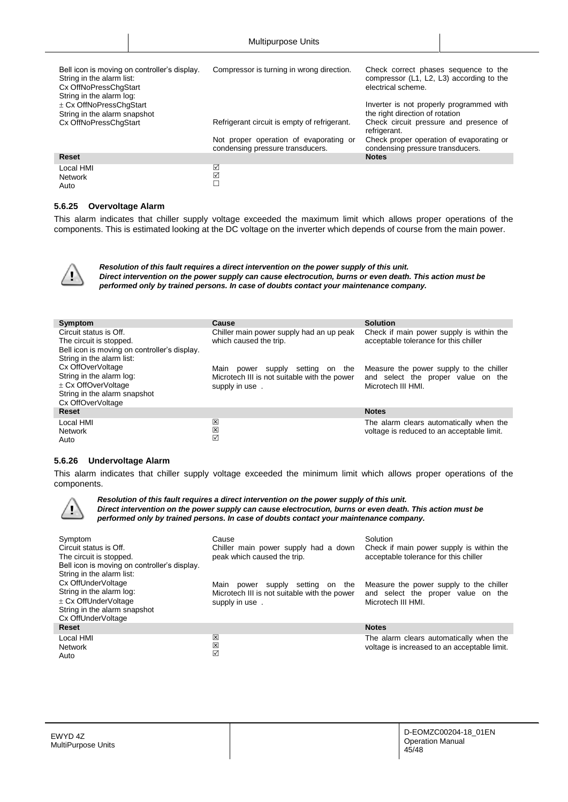| Bell icon is moving on controller's display.<br>String in the alarm list:<br>Cx OffNoPressChgStart<br>String in the alarm log: | Compressor is turning in wrong direction.                                  | Check correct phases sequence to the<br>compressor (L1, L2, L3) according to the<br>electrical scheme. |
|--------------------------------------------------------------------------------------------------------------------------------|----------------------------------------------------------------------------|--------------------------------------------------------------------------------------------------------|
| $\pm$ Cx OffNoPressChgStart<br>String in the alarm snapshot                                                                    |                                                                            | Inverter is not properly programmed with<br>the right direction of rotation                            |
| Cx OffNoPressChgStart                                                                                                          | Refrigerant circuit is empty of refrigerant.                               | Check circuit pressure and presence of<br>refrigerant.                                                 |
|                                                                                                                                | Not proper operation of evaporating or<br>condensing pressure transducers. | Check proper operation of evaporating or<br>condensing pressure transducers.                           |
| <b>Reset</b>                                                                                                                   |                                                                            | <b>Notes</b>                                                                                           |
| Local HMI<br><b>Network</b><br>Auto                                                                                            | ☑<br>☑<br>$\Box$                                                           |                                                                                                        |

#### <span id="page-44-0"></span>**5.6.25 Overvoltage Alarm**

This alarm indicates that chiller supply voltage exceeded the maximum limit which allows proper operations of the components. This is estimated looking at the DC voltage on the inverter which depends of course from the main power.



ı

*Resolution of this fault requires a direct intervention on the power supply of this unit. Direct intervention on the power supply can cause electrocution, burns or even death. This action must be performed only by trained persons. In case of doubts contact your maintenance company.*

| Symptom                                      | Cause                                        | <b>Solution</b>                                                                   |
|----------------------------------------------|----------------------------------------------|-----------------------------------------------------------------------------------|
| Circuit status is Off.                       | Chiller main power supply had an up peak     | Check if main power supply is within the<br>acceptable tolerance for this chiller |
| The circuit is stopped.                      | which caused the trip.                       |                                                                                   |
| Bell icon is moving on controller's display. |                                              |                                                                                   |
| String in the alarm list:                    |                                              |                                                                                   |
| Cx OffOverVoltage                            | Main<br>setting on the<br>supply<br>power    | Measure the power supply to the chiller                                           |
| String in the alarm log:                     | Microtech III is not suitable with the power | and select the proper value on the                                                |
| $\pm$ Cx OffOverVoltage                      | supply in use.                               | Microtech III HMI.                                                                |
| String in the alarm snapshot                 |                                              |                                                                                   |
| Cx OffOverVoltage                            |                                              |                                                                                   |
| Reset                                        |                                              | <b>Notes</b>                                                                      |
| Local HMI                                    | 図                                            | The alarm clears automatically when the                                           |
| <b>Network</b>                               | 図                                            | voltage is reduced to an acceptable limit.                                        |
| Auto                                         | ☑                                            |                                                                                   |

#### <span id="page-44-1"></span>**5.6.26 Undervoltage Alarm**

This alarm indicates that chiller supply voltage exceeded the minimum limit which allows proper operations of the components.

*Resolution of this fault requires a direct intervention on the power supply of this unit. Direct intervention on the power supply can cause electrocution, burns or even death. This action must be performed only by trained persons. In case of doubts contact your maintenance company.*

| Symptom<br>Circuit status is Off.<br>The circuit is stopped.<br>Bell icon is moving on controller's display.<br>String in the alarm list: | Cause<br>Chiller main power supply had a down<br>peak which caused the trip.                                   | Solution<br>Check if main power supply is within the<br>acceptable tolerance for this chiller       |
|-------------------------------------------------------------------------------------------------------------------------------------------|----------------------------------------------------------------------------------------------------------------|-----------------------------------------------------------------------------------------------------|
| Cx OffUnderVoltage<br>String in the alarm log:<br>$\pm$ Cx OffUnderVoltage<br>String in the alarm snapshot<br>Cx OffUnderVoltage          | Main<br>settina<br>on the<br>supply<br>power<br>Microtech III is not suitable with the power<br>supply in use. | Measure the power supply to the chiller<br>and select the proper value on the<br>Microtech III HMI. |
| <b>Reset</b>                                                                                                                              |                                                                                                                | <b>Notes</b>                                                                                        |
| Local HMI<br>Network<br>Auto                                                                                                              | 区<br>区<br>☑                                                                                                    | The alarm clears automatically when the<br>voltage is increased to an acceptable limit.             |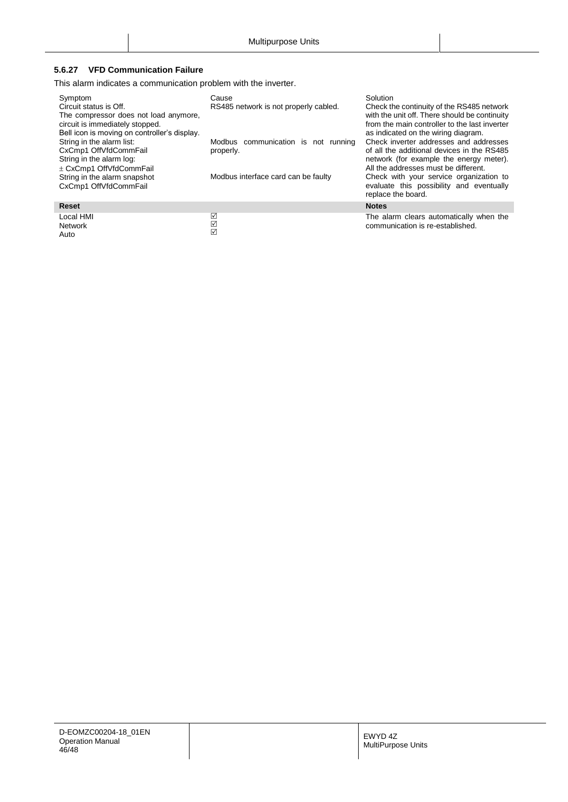## <span id="page-45-0"></span>**5.6.27 VFD Communication Failure**

This alarm indicates a communication problem with the inverter.

| Symptom<br>Circuit status is Off.<br>The compressor does not load anymore,<br>circuit is immediately stopped.<br>Bell icon is moving on controller's display.<br>String in the alarm list:<br>CxCmp1 OffVfdCommFail<br>String in the alarm log:<br>± CxCmp1 OffVfdCommFail<br>String in the alarm snapshot<br>CxCmp1 OffVfdCommFail | Cause<br>RS485 network is not properly cabled.<br>Modbus communication is not running<br>properly.<br>Modbus interface card can be faulty | Solution<br>Check the continuity of the RS485 network<br>with the unit off. There should be continuity<br>from the main controller to the last inverter<br>as indicated on the wiring diagram.<br>Check inverter addresses and addresses<br>of all the additional devices in the RS485<br>network (for example the energy meter).<br>All the addresses must be different.<br>Check with your service organization to<br>evaluate this possibility and eventually<br>replace the board. |
|-------------------------------------------------------------------------------------------------------------------------------------------------------------------------------------------------------------------------------------------------------------------------------------------------------------------------------------|-------------------------------------------------------------------------------------------------------------------------------------------|----------------------------------------------------------------------------------------------------------------------------------------------------------------------------------------------------------------------------------------------------------------------------------------------------------------------------------------------------------------------------------------------------------------------------------------------------------------------------------------|
| <b>Reset</b>                                                                                                                                                                                                                                                                                                                        |                                                                                                                                           | <b>Notes</b>                                                                                                                                                                                                                                                                                                                                                                                                                                                                           |
| Local HMI<br>Network<br>Auto                                                                                                                                                                                                                                                                                                        | ☑<br>☑<br>☑                                                                                                                               | The alarm clears automatically when the<br>communication is re-established.                                                                                                                                                                                                                                                                                                                                                                                                            |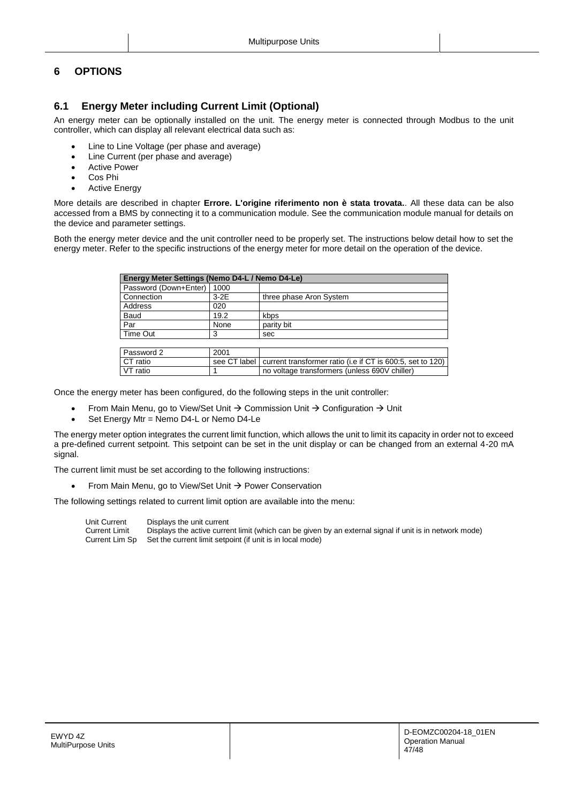## <span id="page-46-1"></span><span id="page-46-0"></span>**6 OPTIONS**

## **6.1 Energy Meter including Current Limit (Optional)**

An energy meter can be optionally installed on the unit. The energy meter is connected through Modbus to the unit controller, which can display all relevant electrical data such as:

- Line to Line Voltage (per phase and average)
- Line Current (per phase and average)
- **•** Active Power
- Cos Phi
- Active Energy

More details are described in chapter **Errore. L'origine riferimento non è stata trovata.**. All these data can be also accessed from a BMS by connecting it to a communication module. See the communication module manual for details on the device and parameter settings.

Both the energy meter device and the unit controller need to be properly set. The instructions below detail how to set the energy meter. Refer to the specific instructions of the energy meter for more detail on the operation of the device.

| Energy Meter Settings (Nemo D4-L / Nemo D4-Le) |                |                                                            |
|------------------------------------------------|----------------|------------------------------------------------------------|
| Password (Down+Enter)                          | 1000           |                                                            |
| Connection                                     | $3-2E$         | three phase Aron System                                    |
| Address                                        | 020            |                                                            |
| Baud                                           | 19.2           | kbps                                                       |
| Par                                            | None           | parity bit                                                 |
| Time Out                                       | 3              | sec                                                        |
|                                                |                |                                                            |
| Password 2                                     | 2001           |                                                            |
| CT ratio                                       | see CT label I | current transformer ratio (i.e if CT is 600:5, set to 120) |
| VT ratio                                       |                | no voltage transformers (unless 690V chiller)              |

Once the energy meter has been configured, do the following steps in the unit controller:

- From Main Menu, go to View/Set Unit  $\rightarrow$  Commission Unit  $\rightarrow$  Configuration  $\rightarrow$  Unit
- Set Energy Mtr = Nemo D4-L or Nemo D4-Le

The energy meter option integrates the current limit function, which allows the unit to limit its capacity in order not to exceed a pre-defined current setpoint. This setpoint can be set in the unit display or can be changed from an external 4-20 mA signal.

The current limit must be set according to the following instructions:

From Main Menu, go to View/Set Unit  $\rightarrow$  Power Conservation

The following settings related to current limit option are available into the menu:

Unit Current Displays the unit current Current Limit Displays the active current limit (which can be given by an external signal if unit is in network mode)<br>Current Lim Sp Set the current limit setpoint (if unit is in local mode) Set the current limit setpoint (if unit is in local mode)